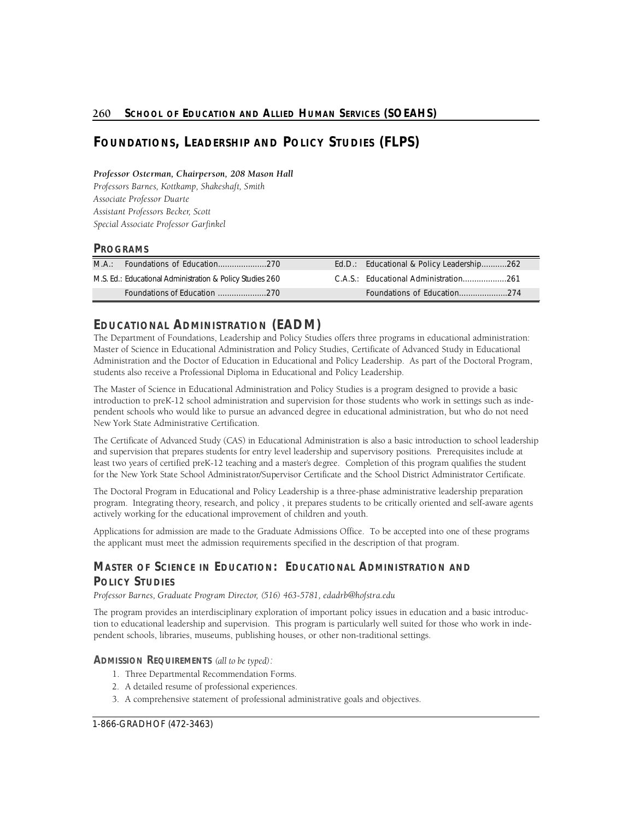# **FOUNDATIONS, LEADERSHIP AND POLICY STUDIES (FLPS)**

# *P rofessor Osterman, Chairperson, 208 Mason Hall*

*P rofessors Barnes, Kottkamp, Shakeshaft, Smith*  **Associate Professor Duarte** *Assistant Professors Becker, Scott Special Associate Professor Garfinkel* 

# **PROGRAMS**

| MA: |                                                           |  | Ed.D.: Educational & Policy Leadership262 |  |
|-----|-----------------------------------------------------------|--|-------------------------------------------|--|
|     | M.S. Ed.: Educational Administration & Policy Studies 260 |  |                                           |  |
|     |                                                           |  |                                           |  |

# **EDUCATIONAL ADMINISTRATION (EADM)**

The Department of Foundations, Leadership and Policy Studies offers three programs in educational administration: Master of Science in Educational Administration and Policy Studies, Certificate of Advanced Study in Educational Administration and the Doctor of Education in Educational and Policy Leadership. As part of the Doctoral Program, students also receive a Professional Diploma in Educational and Policy Leadership.

The Master of Science in Educational Administration and Policy Studies is a program designed to provide a basic introduction to preK-12 school administration and supervision for those students who work in settings such as independent schools who would like to pursue an advanced degree in educational administration, but who do not need New York State Administrative Certification.

 least two years of certified preK-12 teaching and a master's degree. Completion of this program qualifies the student for the New York State School Administrator/Supervisor Certificate and the School District Administrator Certificate. The Certificate of Advanced Study (CAS) in Educational Administration is also a basic introduction to school leadership and supervision that prepares students for entry level leadership and supervisory positions. Prerequisites include at

The Doctoral Program in Educational and Policy Leadership is a three-phase administrative leadership preparation program. Integrating theory, research, and policy , it prepares students to be critically oriented and self-aware agents actively working for the educational improvement of children and youth.

Applications for admission are made to the Graduate Admissions Office. To be accepted into one of these programs the applicant must meet the admission requirements specified in the description of that program.

# **MASTER OF SCIENCE IN EDUCATION: EDUCATIONAL ADMINISTRATION AND POLICY STUDIES**

Professor Barnes, Graduate Program Director, (516) 463-5781, edadrb@hofstra.edu

The program provides an interdisciplinary exploration of important policy issues in education and a basic introduction to educational leadership and supervision. This program is particularly well suited for those who work in independent schools, libraries, museums, publishing houses, or other non-traditional settings.

# **ADMISSION REQUIREMENTS** *(all to be typed):*

- 1. Three Departmental Recommendation Forms.
- 2. A detailed resume of professional experiences.
- 3. A comprehensive statement of professional administrative goals and objectives.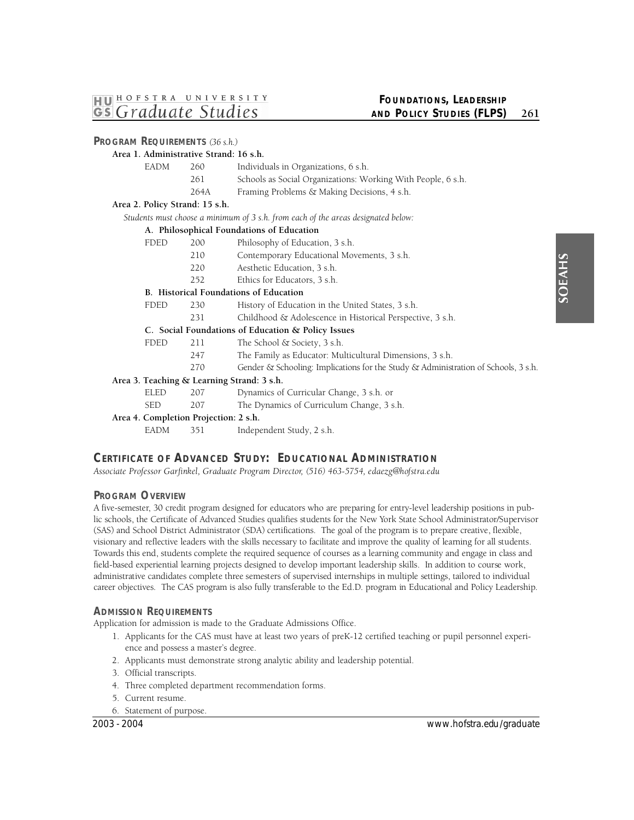**PROGRAM REQUIREMENTS** *(36 s.h.)* 

# **FOUNDATIONS, LEADERSHIP AND POLICY STUDIES (FLPS)** 261

|                                            | Area 1. Administrative Strand: 16 s.h. |                                                                                    |  |  |  |
|--------------------------------------------|----------------------------------------|------------------------------------------------------------------------------------|--|--|--|
| <b>EADM</b>                                | 260                                    | Individuals in Organizations, 6 s.h.                                               |  |  |  |
|                                            | 261                                    | Schools as Social Organizations: Working With People, 6 s.h.                       |  |  |  |
|                                            | 264A                                   | Framing Problems & Making Decisions, 4 s.h.                                        |  |  |  |
| Area 2. Policy Strand: 15 s.h.             |                                        |                                                                                    |  |  |  |
|                                            |                                        | Students must choose a minimum of 3 s.h. from each of the areas designated below:  |  |  |  |
|                                            |                                        | A. Philosophical Foundations of Education                                          |  |  |  |
| <b>FDED</b>                                | 200                                    | Philosophy of Education, 3 s.h.                                                    |  |  |  |
|                                            | 210                                    | Contemporary Educational Movements, 3 s.h.                                         |  |  |  |
|                                            | 220                                    | Aesthetic Education, 3 s.h.                                                        |  |  |  |
|                                            | 252                                    | Ethics for Educators, 3 s.h.                                                       |  |  |  |
|                                            |                                        | B. Historical Foundations of Education                                             |  |  |  |
| <b>FDED</b>                                | 230                                    | History of Education in the United States, 3 s.h.                                  |  |  |  |
|                                            | 231                                    | Childhood & Adolescence in Historical Perspective, 3 s.h.                          |  |  |  |
|                                            |                                        | C. Social Foundations of Education & Policy Issues                                 |  |  |  |
| <b>FDED</b>                                | 211                                    | The School & Society, 3 s.h.                                                       |  |  |  |
|                                            | 247                                    | The Family as Educator: Multicultural Dimensions, 3 s.h.                           |  |  |  |
|                                            | 270                                    | Gender & Schooling: Implications for the Study & Administration of Schools, 3 s.h. |  |  |  |
| Area 3. Teaching & Learning Strand: 3 s.h. |                                        |                                                                                    |  |  |  |
| <b>ELED</b>                                | 207                                    | Dynamics of Curricular Change, 3 s.h. or                                           |  |  |  |
| <b>SED</b>                                 | 207                                    | The Dynamics of Curriculum Change, 3 s.h.                                          |  |  |  |
| Area 4. Completion Projection: 2 s.h.      |                                        |                                                                                    |  |  |  |
| <b>EADM</b>                                | 351                                    | Independent Study, 2 s.h.                                                          |  |  |  |

# **CERTIFICATE OF ADVANCED STUDY: EDUCATIONAL ADMINISTRATION**

Associate Professor Garfinkel, Graduate Program Director, (516) 463-5754, edaezg@hofstra.edu

# **PROGRAM OVERVIEW**

 A five-semester, 30 credit program designed for educators who are preparing for entry-level leadership positions in public schools, the Certificate of Advanced Studies qualifies students for the New York State School Administrator/Supervisor (SAS) and School District Administrator (SDA) certifications. The goal of the program is to prepare creative, flexible, visionary and reflective leaders with the skills necessary to facilitate and improve the quality of learning for all students. Towards this end, students complete the required sequence of courses as a learning community and engage in class and field-based experiential learning projects designed to develop important leadership skills. In addition to course work, career objectives. The CAS program is also fully transferable to the Ed.D. program in Educational and Policy Leadership. administrative candidates complete three semesters of supervised internships in multiple settings, tailored to individual

# **ADMISSION REQUIREMENTS**

Application for admission is made to the Graduate Admissions Office.

- 1. Applicants for the CAS must have at least two years of preK-12 certified teaching or pupil personnel experience and possess a master's degree.
- 2. Applicants must demonstrate strong analytic ability and leadership potential.
- 3. Official transcripts.
- 4. Three completed department recommendation forms.
- 5. Current resume.
- 6. Statement of purpose.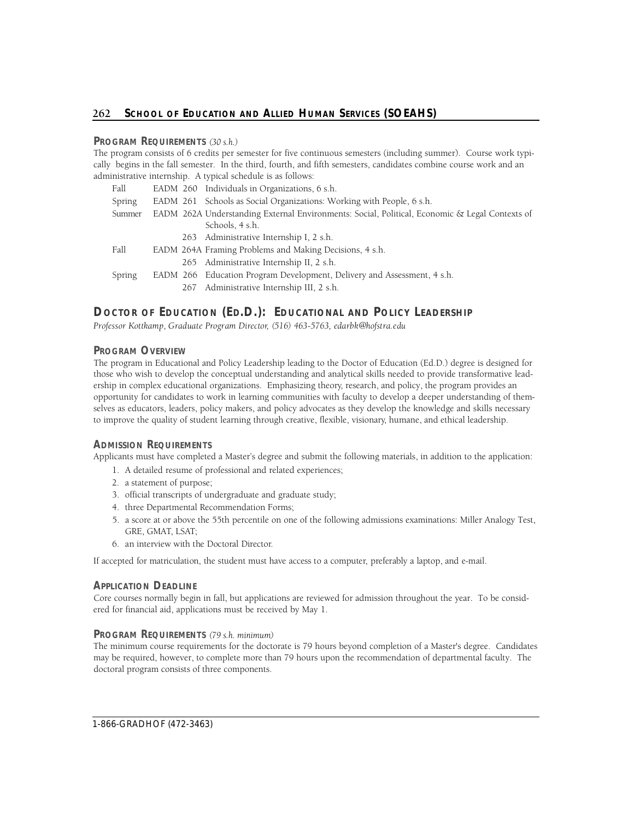# **PROGRAM REQUIREMENTS** *(30 s.h.)*

The program consists of 6 credits per semester for five continuous semesters (including summer). Course work typically begins in the fall semester. In the third, fourth, and fifth semesters, candidates combine course work and an administrative internship. A typical schedule is as follows:

| Fall   |  | EADM 260 Individuals in Organizations, 6 s.h.                                                                     |
|--------|--|-------------------------------------------------------------------------------------------------------------------|
| Spring |  | EADM 261 Schools as Social Organizations: Working with People, 6 s.h.                                             |
| Summer |  | EADM 262A Understanding External Environments: Social, Political, Economic & Legal Contexts of<br>Schools, 4 s.h. |
|        |  | 263 Administrative Internship I, 2 s.h.                                                                           |
| Fall   |  | EADM 264A Framing Problems and Making Decisions, 4 s.h.                                                           |
|        |  | 265 Administrative Internship II, 2 s.h.                                                                          |
| Spring |  | EADM 266 Education Program Development, Delivery and Assessment, 4 s.h.                                           |
|        |  | 267 Administrative Internship III, 2 s.h.                                                                         |

# Doctor of Education (Ed.D.): Educational and Policy Leadership

*P rofessor Kottkamp, Graduate Program Dire c t o r, (516) 463-5763, edarbk@hofstra.edu* 

# **PROGRAM OVERVIEW**

The program in Educational and Policy Leadership leading to the Doctor of Education (Ed.D.) degree is designed for those who wish to develop the conceptual understanding and analytical skills needed to provide transformative leadership in complex educational organizations. Emphasizing theory, research, and policy, the program provides an opportunity for candidates to work in learning communities with faculty to develop a deeper understanding of themselves as educators, leaders, policy makers, and policy advocates as they develop the knowledge and skills necessary to improve the quality of student learning through creative, flexible, visionary, humane, and ethical leadership.

# **ADMISSION REQUIREMENTS**

Applicants must have completed a Master's degree and submit the following materials, in addition to the application:

- 1. A detailed resume of professional and related experiences;
- 2. a statement of purpose;
- 3. official transcripts of undergraduate and graduate study;
- 4. three Departmental Recommendation Forms;
- 5. a score at or above the 55th percentile on one of the following admissions examinations: Miller Analogy Test, GRE, GMAT, LSAT;
- 6. an interview with the Doctoral Director.

If accepted for matriculation, the student must have access to a computer, preferably a laptop, and e-mail.

# **APPLICATION DEADLINE**

Core courses normally begin in fall, but applications are reviewed for admission throughout the year. To be considered for financial aid, applications must be received by May 1.

# **PROGRAM REQUIREMENTS** *(79 s.h. minimum)*

The minimum course requirements for the doctorate is 79 hours beyond completion of a Master's degree. Candidates may be required, however, to complete more than 79 hours upon the recommendation of departmental faculty. The doctoral program consists of three components.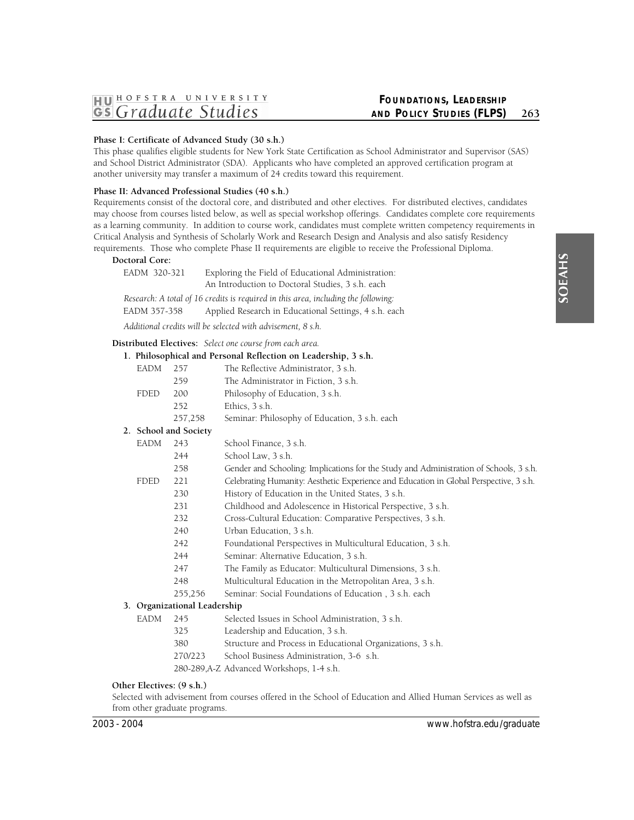# **Phase I: Certificate of Advanced Study (30 s.h.)**

This phase qualifies eligible students for New York State Certification as School Administrator and Supervisor (SAS) and School District Administrator (SDA). Applicants who have completed an approved certification program at another university may transfer a maximum of 24 credits toward this requirement.

# **Phase II: Advanced Professional Studies (40 s.h.)**

Requirements consist of the doctoral core, and distributed and other electives. For distributed electives, candidates may choose from courses listed below, as well as special workshop offerings. Candidates complete core requirements as a learning community. In addition to course work, candidates must complete written competency requirements in Critical Analysis and Synthesis of Scholarly Work and Research Design and Analysis and also satisfy Residency requirements. Those who complete Phase II requirements are eligible to receive the Professional Diploma.

# **Doctoral Core:**

| EADM 320-321                                                | Exploring the Field of Educational Administration:                                 |  |  |  |
|-------------------------------------------------------------|------------------------------------------------------------------------------------|--|--|--|
|                                                             | An Introduction to Doctoral Studies, 3 s.h. each                                   |  |  |  |
|                                                             | Research: A total of 16 credits is required in this area, including the following: |  |  |  |
| EADM 357-358                                                | Applied Research in Educational Settings, 4 s.h. each                              |  |  |  |
| Additional credits will be selected with advisement, 8 s.h. |                                                                                    |  |  |  |

**Distributed Electives:** *Select one course from each area.* 

|    |             |                           | 1. Philosophical and Personal Reflection on Leadership, 3 s.h.                         |
|----|-------------|---------------------------|----------------------------------------------------------------------------------------|
|    | EADM        | 257                       | The Reflective Administrator, 3 s.h.                                                   |
|    |             | 259                       | The Administrator in Fiction, 3 s.h.                                                   |
|    | FDED        | 200                       | Philosophy of Education, 3 s.h.                                                        |
|    |             | 252                       | Ethics, 3 s.h.                                                                         |
|    |             | 257,258                   | Seminar: Philosophy of Education, 3 s.h. each                                          |
|    |             | 2. School and Society     |                                                                                        |
|    | EADM        | 243                       | School Finance, 3 s.h.                                                                 |
|    |             | 244                       | School Law, 3 s.h.                                                                     |
|    |             | 258                       | Gender and Schooling: Implications for the Study and Administration of Schools, 3 s.h. |
|    | <b>FDED</b> | 221                       | Celebrating Humanity: Aesthetic Experience and Education in Global Perspective, 3 s.h. |
|    |             | 230                       | History of Education in the United States, 3 s.h.                                      |
|    |             | 231                       | Childhood and Adolescence in Historical Perspective, 3 s.h.                            |
|    |             | 232                       | Cross-Cultural Education: Comparative Perspectives, 3 s.h.                             |
|    |             | 240                       | Urban Education, 3 s.h.                                                                |
|    |             | 242                       | Foundational Perspectives in Multicultural Education, 3 s.h.                           |
|    |             | 244                       | Seminar: Alternative Education, 3 s.h.                                                 |
|    |             | 247                       | The Family as Educator: Multicultural Dimensions, 3 s.h.                               |
|    |             | 248                       | Multicultural Education in the Metropolitan Area, 3 s.h.                               |
|    |             | 255,256                   | Seminar: Social Foundations of Education, 3 s.h. each                                  |
| 3. |             | Organizational Leadership |                                                                                        |
|    | EADM        | 245                       | Selected Issues in School Administration, 3 s.h.                                       |
|    |             | 325                       | Leadership and Education, 3 s.h.                                                       |
|    |             | 380                       | Structure and Process in Educational Organizations, 3 s.h.                             |
|    |             | 270/223                   | School Business Administration, 3-6 s.h.                                               |
|    |             |                           | 280-289, A-Z Advanced Workshops, 1-4 s.h.                                              |

# **Other Electives: (9 s.h.)**

Selected with advisement from courses offered in the School of Education and Allied Human Services as well as from other graduate programs.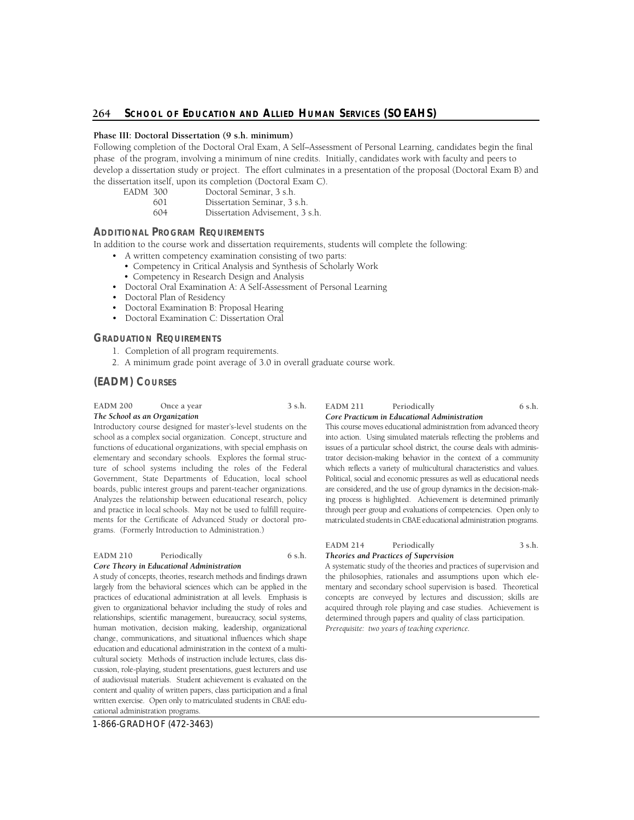# **Phase III: Doctoral Dissertation (9 s.h. minimum)**

Following completion of the Doctoral Oral Exam, A Self–Assessment of Personal Learning, candidates begin the final phase of the program, involving a minimum of nine credits. Initially, candidates work with faculty and peers to develop a dissertation study or project. The effort culminates in a presentation of the proposal (Doctoral Exam B) and the dissertation itself, upon its completion (Doctoral Exam C).

| EADM 300 |     | Doctoral Seminar, 3 s.h.        |
|----------|-----|---------------------------------|
|          | 601 | Dissertation Seminar, 3 s.h.    |
|          | 604 | Dissertation Advisement, 3 s.h. |

# **ADDITIONAL PROGRAM REQUIREMENTS**

In addition to the course work and dissertation requirements, students will complete the following:

- A written competency examination consisting of two parts:
- Competency in Critical Analysis and Synthesis of Scholarly Work
- Competency in Research Design and Analysis
- Doctoral Oral Examination A: A Self-Assessment of Personal Learning
- Doctoral Plan of Residency
- Doctoral Examination B: Proposal Hearing
- Doctoral Examination C: Dissertation Oral

# **GRADUATION REQUIREMENTS**

- 1. Completion of all program requirements.
- 2. A minimum grade point average of 3.0 in overall graduate course work.

# **(EADM) COURSES**

#### EADM 200 Once a year 3 s.h.

# *The School as an Organization*

Introductory course designed for master's-level students on the school as a complex social organization. Concept, structure and functions of educational organizations, with special emphasis on elementary and secondary schools. Explores the formal structure of school systems including the roles of the Federal Government, State Departments of Education, local school boards, public interest groups and parent-teacher organizations. Analyzes the relationship between educational research, policy and practice in local schools. May not be used to fulfill requirements for the Certificate of Advanced Study or doctoral programs. (Formerly Introduction to Administration.)

# EADM 210 Periodically 6 s.h.

# *Core Theory in Educational Administration*

largely from the behavioral sciences which can be applied in the practices of educational administration at all levels. Emphasis is given to organizational behavior including the study of roles and relationships, scientific management, bureaucracy, social systems, human motivation, decision making, leadership, organizational change, communications, and situational influences which shape cultural society. Methods of instruction include lectures, class dis- cussion, role-playing, student presentations, guest lecturers and use of audiovisual materials. Student achievement is evaluated on the A study of concepts, theories, research methods and findings drawn education and educational administration in the context of a multicontent and quality of written papers, class participation and a final written exercise. Open only to matriculated students in CBAE educational administration programs.

1-866-GRADHOF (472-3463)

#### EADM 211 Periodically 6 s.h. *Core Practicum in Educational Administration*

 This course moves educational administration from advanced theory into action. Using simulated materials reflecting the problems and issues of a particular school district, the course deals with adminis- trator decision-making behavior in the context of a community which reflects a variety of multicultural characteristics and values. Political, social and economic pressures as well as educational needs are considered, and the use of group dynamics in the decision-mak- ing process is highlighted. Achievement is determined primarily through peer group and evaluations of competencies. Open only to matriculated students in CBAE educational administration programs.

#### EADM 214 Periodically 3 s.h. *Theories and Practices of Supervision*

mentary and secondary school supervision is based. Theoretical concepts are conveyed by lectures and discussion; skills are acquired through role playing and case studies. Achievement is A systematic study of the theories and practices of supervision and the philosophies, rationales and assumptions upon which eledetermined through papers and quality of class participation. *Prerequisite: two years of teaching experience.*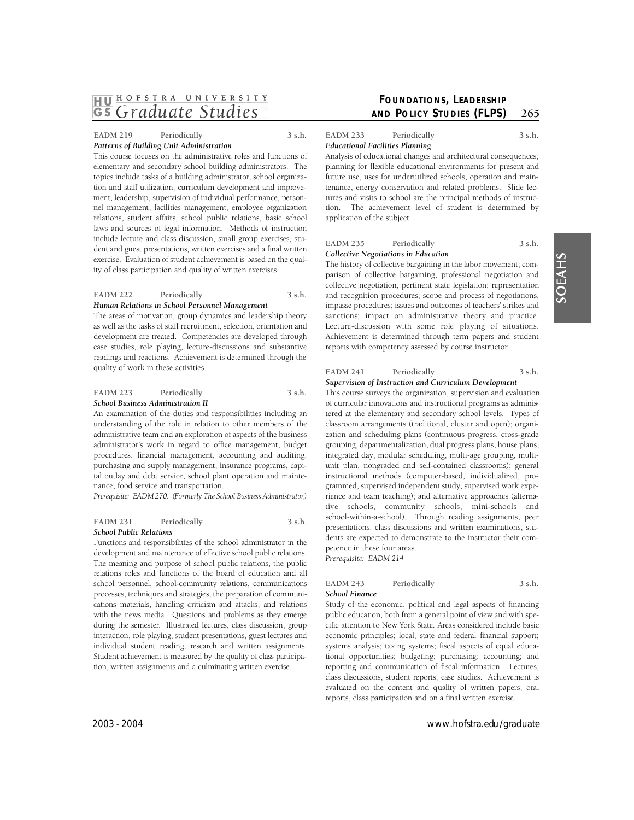#### EADM 219 Periodically 3 s.h. *Patterns of Building Unit Administration*

 This course focuses on the administrative roles and functions of topics include tasks of a building administrator, school organiza- relations, student affairs, school public relations, basic school exercise. Evaluation of student achievement is based on the qualelementary and secondary school building administrators. The tion and staff utilization, curriculum development and improvement, leadership, supervision of individual performance, personnel management, facilities management, employee organization laws and sources of legal information. Methods of instruction include lecture and class discussion, small group exercises, student and guest presentations, written exercises and a final written ity of class participation and quality of written exercises.

# EADM 222 Periodically 3 s.h. *Human Relations in School Personnel Management*

The areas of motivation, group dynamics and leadership theory as well as the tasks of staff recruitment, selection, orientation and development are treated. Competencies are developed through case studies, role playing, lecture-discussions and substantive readings and reactions. Achievement is determined through the quality of work in these activities.

# EADM 223 Periodically 3 s.h. *School Business Administration II*

An examination of the duties and responsibilities including an understanding of the role in relation to other members of the administrative team and an exploration of aspects of the business administrator's work in regard to office management, budget procedures, financial management, accounting and auditing, purchasing and supply management, insurance programs, capital outlay and debt service, school plant operation and maintenance, food service and transportation.

*Prerequisite: EADM 270. (Formerly The School Business Administrator.)* 

# EADM 231 Periodically 3 s.h. *School Public Relations*

 The meaning and purpose of school public relations, the public relations roles and functions of the board of education and all cations materials, handling criticism and attacks, and relations with the news media. Questions and problems as they emerge during the semester. Illustrated lectures, class discussion, group tion, written assignments and a culminating written exercise. Functions and responsibilities of the school administrator in the development and maintenance of effective school public relations. school personnel, school-community relations, communications p rocesses, techniques and strategies, the preparation of communiinteraction, role playing, student presentations, guest lectures and individual student reading, research and written assignments. Student achievement is measured by the quality of class participa-

# **FOUNDATIONS, LEADERSHIP AND POLICY STUDIES (FLPS)** 265

EADM 233 Periodically 3 s.h. *Educational Facilities Planning* 

Analysis of educational changes and architectural consequences, planning for flexible educational environments for present and future use, uses for underutilized schools, operation and maintenance, energy conservation and related problems. Slide lectures and visits to school are the principal methods of instruction. The achievement level of student is determined by application of the subject.

# EADM 235 Periodically 3 s.h. *Collective Negotiations in Education*

Lecture-discussion with some role playing of situations. The history of collective bargaining in the labor movement; comparison of collective bargaining, professional negotiation and collective negotiation, pertinent state legislation; representation and recognition procedures; scope and process of negotiations, impasse procedures; issues and outcomes of teachers' strikes and sanctions; impact on administrative theory and practice. Achievement is determined through term papers and student reports with competency assessed by course instructor.

#### EADM 241 Periodically 3 s.h. *Supervision of Instruction and Curriculum Development*

 tive schools, community schools, mini-schools and This course surveys the organization, supervision and evaluation of curricular innovations and instructional programs as administered at the elementary and secondary school levels. Types of classroom arrangements (traditional, cluster and open); organization and scheduling plans (continuous progress, cross-grade grouping, departmentalization, dual progress plans, house plans, integrated day, modular scheduling, multi-age grouping, multiunit plan, nongraded and self-contained classrooms); general instructional methods (computer-based, individualized, programmed, supervised independent study, supervised work experience and team teaching); and alternative approaches (alternaschool-within-a-school). Through reading assignments, peer presentations, class discussions and written examinations, students are expected to demonstrate to the instructor their competence in these four areas. *Prerequisite: EADM 214* 

#### EADM 243 Periodically 3 s.h. *School Finance*

 Study of the economic, political and legal aspects of financing cific attention to New York State. Areas considered include basic economic principles; local, state and federal financial support; systems analysis; taxing systems; fiscal aspects of equal educareporting and communication of fiscal information. Lectures, class discussions, student reports, case studies. Achievement is evaluated on the content and quality of written papers, oral public education, both from a general point of view and with spetional opportunities; budgeting; purchasing; accounting; and reports, class participation and on a final written exercise.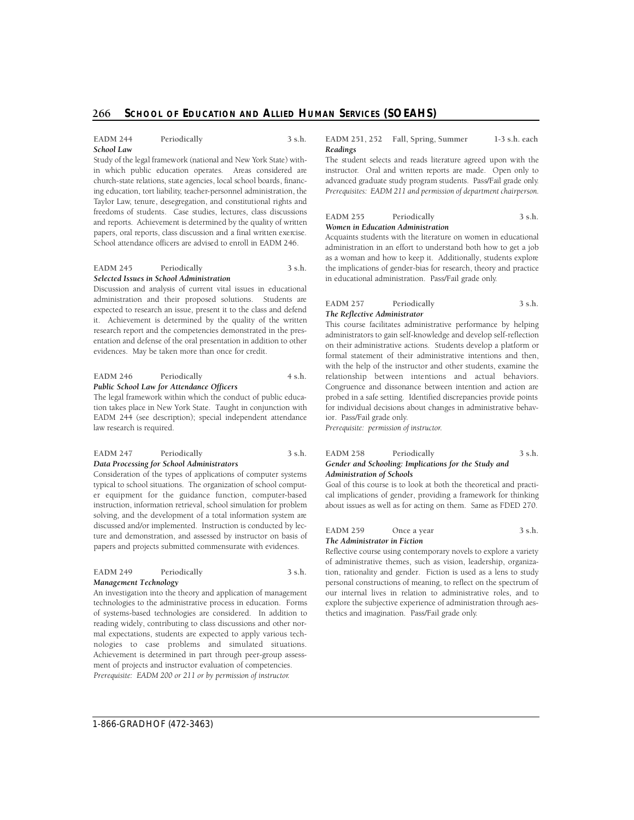# **266 • School of Education and Allied Human Services (SOEAHS)**

#### EADM 244 Periodically 3 s.h. *School Law*

 Study of the legal framework (national and New York State) with- in which public education operates. Areas considered are Taylor Law, tenure, desegregation, and constitutional rights and freedoms of students. Case studies, lectures, class discussions papers, oral reports, class discussion and a final written exercise. School attendance officers are advised to enroll in EADM 246. church-state relations, state agencies, local school boards, financing education, tort liability, teacher-personnel administration, the and reports. Achievement is determined by the quality of written

#### EADM 245 Periodically 3 s.h. *Selected Issues in School Administration*

Discussion and analysis of current vital issues in educational administration and their proposed solutions. Students are expected to research an issue, present it to the class and defend it. Achievement is determined by the quality of the written research report and the competencies demonstrated in the presentation and defense of the oral presentation in addition to other evidences. May be taken more than once for credit.

#### EADM 246 Periodically 4 s.h. *Public School Law for Attendance Officers*

The legal framework within which the conduct of public education takes place in New York State. Taught in conjunction with EADM 244 (see description); special independent attendance law research is required.

#### EADM 247 Periodically 3 s.h. *Data Processing for School Administrators*

Consideration of the types of applications of computer systems typical to school situations. The organization of school computer equipment for the guidance function, computer-based instruction, information retrieval, school simulation for problem solving, and the development of a total information system are discussed and/or implemented. Instruction is conducted by lecture and demonstration, and assessed by instructor on basis of papers and projects submitted commensurate with evidences.

#### EADM 249 Periodically 3 s.h. *Management Technology*

 nologies to case problems and simulated situations. An investigation into the theory and application of management technologies to the administrative process in education. Forms of systems-based technologies are considered. In addition to reading widely, contributing to class discussions and other normal expectations, students are expected to apply various tech-Achievement is determined in part through peer-group assessment of projects and instructor evaluation of competencies. *Prerequisite: EADM 200 or 211 or by permission of instructor.* 

**EADM 251, 252 Fall, Spring, Summer 1-3 s.h. each**  *Readings* 

 The student selects and reads literature agreed upon with the instructor. Oral and written reports are made. Open only to advanced graduate study program students. Pass/Fail grade only. *Prerequisites: EADM 211 and permission of department chairperson.* 

# EADM 255 Periodically 3 s.h.

# *Women in Education Administration*

Acquaints students with the literature on women in educational administration in an effort to understand both how to get a job as a woman and how to keep it. Additionally, students explore the implications of gender-bias for research, theory and practice in educational administration. Pass/Fail grade only.

#### EADM 257 Periodically 3 s.h. *The Reflective Administrator*

 relationship between intentions and actual behaviors. This course facilitates administrative performance by helping administrators to gain self-knowledge and develop self-reflection on their administrative actions. Students develop a platform or formal statement of their administrative intentions and then, with the help of the instructor and other students, examine the Congruence and dissonance between intention and action are probed in a safe setting. Identified discrepancies provide points for individual decisions about changes in administrative behavior. Pass/Fail grade only.

*Prerequisite: permission of instructor.* 

#### EADM 258 Periodically 3 s.h. *Gender and Schooling: Implications for the Study and Administration of Schools*

Goal of this course is to look at both the theoretical and practical implications of gender, providing a framework for thinking about issues as well as for acting on them. Same as FDED 270.

#### EADM 259 Once a year 3 s.h. *The Administrator in Fiction*

Reflective course using contemporary novels to explore a variety of administrative themes, such as vision, leadership, organization, rationality and gender. Fiction is used as a lens to study personal constructions of meaning, to reflect on the spectrum of our internal lives in relation to administrative roles, and to explore the subjective experience of administration through aesthetics and imagination. Pass/Fail grade only.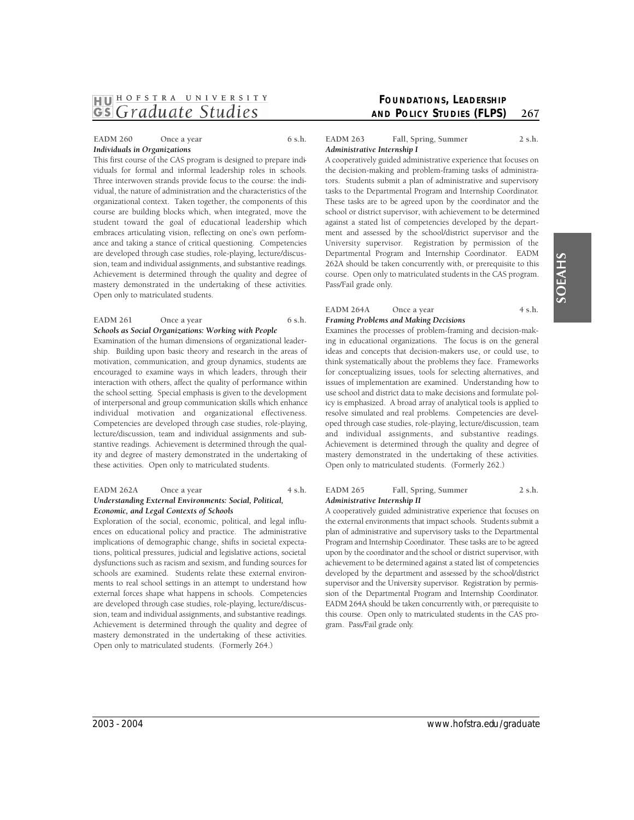# EADM 260 Once a year 6 s.h. *Individuals in Organizations*

 student toward the goal of educational leadership which This first course of the CAS program is designed to prepare individuals for formal and informal leadership roles in schools. Three interwoven strands provide focus to the course: the individual, the nature of administration and the characteristics of the organizational context. Taken together, the components of this course are building blocks which, when integrated, move the embraces articulating vision, reflecting on one's own performance and taking a stance of critical questioning. Competencies are developed through case studies, role-playing, lecture/discussion, team and individual assignments, and substantive readings. Achievement is determined through the quality and degree of mastery demonstrated in the undertaking of these activities. Open only to matriculated students.

#### EADM 261 Once a year 6 s.h. *Schools as Social Organizations: Working with People*

individual motivation and organizational effectiveness. Examination of the human dimensions of organizational leadership. Building upon basic theory and research in the areas of motivation, communication, and group dynamics, students are encouraged to examine ways in which leaders, through their interaction with others, affect the quality of performance within the school setting. Special emphasis is given to the development of interpersonal and group communication skills which enhance Competencies are developed through case studies, role-playing, lecture/discussion, team and individual assignments and substantive readings. Achievement is determined through the quality and degree of mastery demonstrated in the undertaking of these activities. Open only to matriculated students.

#### EADM 262A Once a year 4 s.h. *Understanding External Environments: Social, Political, Economic, and Legal Contexts of Schools*

Exploration of the social, economic, political, and legal influences on educational policy and practice. The administrative implications of demographic change, shifts in societal expectations, political pressures, judicial and legislative actions, societal dysfunctions such as racism and sexism, and funding sources for schools are examined. Students relate these external environments to real school settings in an attempt to understand how external forces shape what happens in schools. Competencies are developed through case studies, role-playing, lecture/discussion, team and individual assignments, and substantive readings. Achievement is determined through the quality and degree of mastery demonstrated in the undertaking of these activities. Open only to matriculated students. (Formerly 264.)

# **FOUNDATIONS, LEADERSHIP AND POLICY STUDIES (FLPS)** 267

# EADM 263 Fall, Spring, Summer 2 s.h. *Administrative Internship I*

University supervisor. Registration by permission of the A cooperatively guided administrative experience that focuses on the decision-making and problem-framing tasks of administrators. Students submit a plan of administrative and supervisory tasks to the Departmental Program and Internship Coordinator. These tasks are to be agreed upon by the coordinator and the school or district supervisor, with achievement to be determined against a stated list of competencies developed by the department and assessed by the school/district supervisor and the Departmental Program and Internship Coordinator. EADM 262A should be taken concurrently with, or prerequisite to this course. Open only to matriculated students in the CAS program. Pass/Fail grade only.

#### EADM 264A Once a year 4 s.h. *Framing Problems and Making Decisions*

and individual assignments, and substantive readings. Examines the processes of problem-framing and decision-making in educational organizations. The focus is on the general ideas and concepts that decision-makers use, or could use, to think systematically about the problems they face. Frameworks for conceptualizing issues, tools for selecting alternatives, and issues of implementation are examined. Understanding how to use school and district data to make decisions and formulate policy is emphasized. A broad array of analytical tools is applied to resolve simulated and real problems. Competencies are developed through case studies, role-playing, lecture/discussion, team Achievement is determined through the quality and degree of mastery demonstrated in the undertaking of these activities. Open only to matriculated students. (Formerly 262.)

# EADM 265 Fall, Spring, Summer 2 s.h. *Administrative Internship II*

 the external environments that impact schools. Students submit a plan of administrative and supervisory tasks to the Departmental upon by the coordinator and the school or district supervisor, with achievement to be determined against a stated list of competencies developed by the department and assessed by the school/district this course. Open only to matriculated students in the CAS pro-A cooperatively guided administrative experience that focuses on Program and Internship Coordinator. These tasks are to be agreed supervisor and the University supervisor. Registration by permission of the Departmental Program and Internship Coordinator. EADM 264A should be taken concurrently with, or prerequisite to gram. Pass/Fail grade only.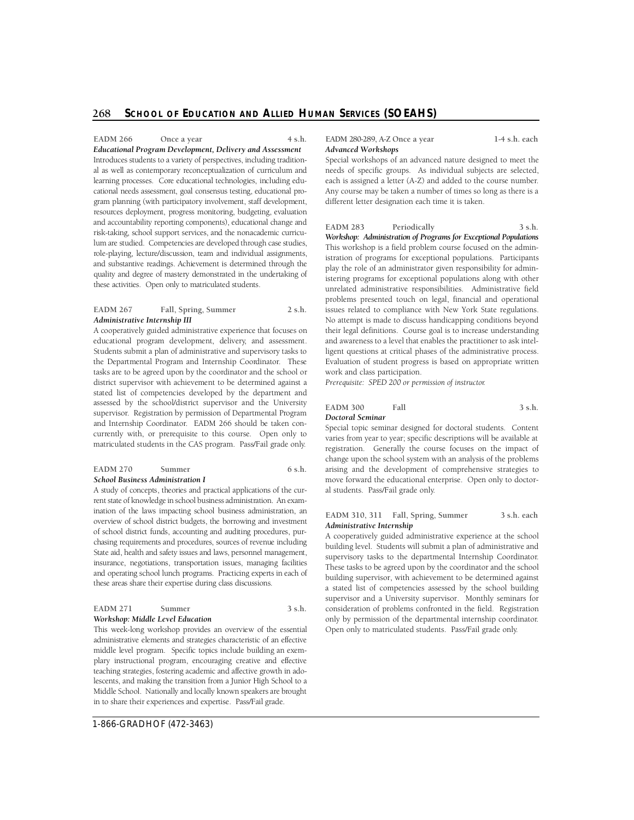al as well as contemporary reconceptualization of curriculum and learning processes. Core educational technologies, including edu- cational needs assessment, goal consensus testing, educational proand accountability reporting components), educational change and lum are studied. Competencies are developed through case studies, and substantive readings. Achievement is determined through the quality and degree of mastery demonstrated in the undertaking of these activities. Open only to matriculated students. **EADM 266** Once a year 4 s.h. *Educational Program Development, Delivery and Assessment*  Introduces students to a variety of perspectives, including traditiongram planning (with participatory involvement, staff development, resources deployment, progress monitoring, budgeting, evaluation risk-taking, school support services, and the nonacademic curricurole-playing, lecture/discussion, team and individual assignments,

#### EADM 267 Fall, Spring, Summer 2 s.h. *Administrative Internship III*

 educational program development, delivery, and assessment. the Departmental Program and Internship Coordinator. These tasks are to be agreed upon by the coordinator and the school or stated list of competencies developed by the department and and Internship Coordinator. EADM 266 should be taken concurrently with, or prerequisite to this course. Open only to matriculated students in the CAS program. Pass/Fail grade only. A cooperatively guided administrative experience that focuses on Students submit a plan of administrative and supervisory tasks to district supervisor with achievement to be determined against a assessed by the school/district supervisor and the University supervisor. Registration by permission of Departmental Program

#### EADM 270 Summer 6 s.h. *School Business Administration I*

 A study of concepts, theories and practical applications of the cur- rent state of knowledge in school business administration. An exam- ination of the laws impacting school business administration, an overview of school district budgets, the borrowing and investment of school district funds, accounting and auditing procedures, pur- these areas share their expertise during class discussions. chasing requirements and procedures, sources of revenue including State aid, health and safety issues and laws, personnel management, insurance, negotiations, transportation issues, managing facilities and operating school lunch programs. Practicing experts in each of

# EADM 271 Summer 3 s.h.

#### *Workshop: Middle Level Education*

 This week-long workshop provides an overview of the essential administrative elements and strategies characteristic of an effective middle level program. Specific topics include building an exemplary instructional program, encouraging creative and effective lescents, and making the transition from a Junior High School to a Middle School. Nationally and locally known speakers are brought in to share their experiences and expertise. Pass/Fail grade. teaching strategies, fostering academic and affective growth in ado**EADM 280-289, A-Z Once a year 1-4 s.h. each**  *Advanced Workshops* 

Special workshops of an advanced nature designed to meet the needs of specific groups. As individual subjects are selected, each is assigned a letter (A-Z) and added to the course number. Any course may be taken a number of times so long as there is a different letter designation each time it is taken.

#### EADM 283 Periodically 3 s.h.

*Workshop: Administration of Programs for Exceptional Populations*  This workshop is a field problem course focused on the administration of programs for exceptional populations. Participants play the role of an administrator given responsibility for administering programs for exceptional populations along with other unrelated administrative responsibilities. Administrative field problems presented touch on legal, financial and operational issues related to compliance with New York State regulations. No attempt is made to discuss handicapping conditions beyond their legal definitions. Course goal is to increase understanding and awareness to a level that enables the practitioner to ask intelligent questions at critical phases of the administrative process. Evaluation of student progress is based on appropriate written work and class participation.

*Prerequisite: SPED 200 or permission of instructor.* 

#### **EADM 300** Fall 3 s.h. *Doctoral Seminar*

Special topic seminar designed for doctoral students. Content varies from year to year; specific descriptions will be available at registration. Generally the course focuses on the impact of change upon the school system with an analysis of the problems arising and the development of comprehensive strategies to move forward the educational enterprise. Open only to doctoral students. Pass/Fail grade only.

#### EADM 310, 311 Fall, Spring, Summer 3 s.h. each *Administrative Internship*

A cooperatively guided administrative experience at the school building level. Students will submit a plan of administrative and supervisory tasks to the departmental Internship Coordinator. These tasks to be agreed upon by the coordinator and the school building supervisor, with achievement to be determined against a stated list of competencies assessed by the school building supervisor and a University supervisor. Monthly seminars for consideration of problems confronted in the field. Registration only by permission of the departmental internship coordinator. Open only to matriculated students. Pass/Fail grade only.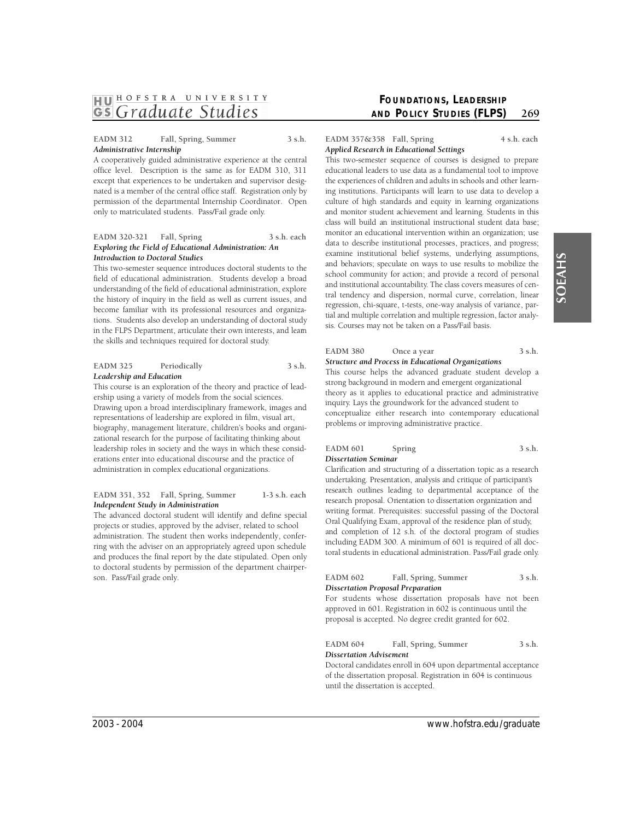# EADM 312 Fall, Spring, Summer 3 s.h. *Administrative Internship*

A cooperatively guided administrative experience at the central office level. Description is the same as for EADM 310, 311 except that experiences to be undertaken and supervisor designated is a member of the central office staff. Registration only by permission of the departmental Internship Coordinator. Open only to matriculated students. Pass/Fail grade only.

#### **EADM 320-321 Fall, Spring 3 s.h. each**  *Exploring the Field of Educational Administration: An Introduction to Doctoral Studies*

This two-semester sequence introduces doctoral students to the field of educational administration. Students develop a broad understanding of the field of educational administration, explore the history of inquiry in the field as well as current issues, and become familiar with its professional resources and organizations. Students also develop an understanding of doctoral study in the FLPS Department, articulate their own interests, and leam the skills and techniques required for doctoral study.

#### EADM 325 Periodically 3 s.h. *Leadership and Education*

This course is an exploration of the theory and practice of leadership using a variety of models from the social sciences. Drawing upon a broad interdisciplinary framework, images and representations of leadership are explored in film, visual art, biography, management literature, children's books and organizational research for the purpose of facilitating thinking about leadership roles in society and the ways in which these considerations enter into educational discourse and the practice of administration in complex educational organizations.

#### **EADM 351, 352 Fall, Spring, Summer 1-3 s.h. each**  *Independent Study in Administration*

The advanced doctoral student will identify and define special projects or studies, approved by the adviser, related to school administration. The student then works independently, conferring with the adviser on an appropriately agreed upon schedule and produces the final report by the date stipulated. Open only to doctoral students by permission of the department chairperson. Pass/Fail grade only.

# **FOUNDATIONS, LEADERSHIP AND POLICY STUDIES (FLPS)** 269

#### **EADM 357&358 Fall, Spring 4 s.h. each**  *Applied Research in Educational Settings*

This two-semester sequence of courses is designed to prepare educational leaders to use data as a fundamental tool to improve culture of high standards and equity in learning organizations class will build an institutional instructional student data base; monitor an educational intervention within an organization; use data to describe institutional processes, practices, and progress; and behaviors; speculate on ways to use results to mobilize the and institutional accountability. The class covers measures of cenregression, chi-square, t-tests, one-way analysis of variance, partial and multiple correlation and multiple regression, factor analythe experiences of children and adults in schools and other learning institutions. Participants will learn to use data to develop a and monitor student achievement and learning. Students in this examine institutional belief systems, underlying assumptions, school community for action; and provide a record of personal tral tendency and dispersion, normal curve, correlation, linear sis. Courses may not be taken on a Pass/Fail basis.

| <b>EADM 380</b> |  | Once a year |  |  | 3 s.h. |
|-----------------|--|-------------|--|--|--------|
|                 |  |             |  |  |        |

# *Structure and Process in Educational Organizations*

This course helps the advanced graduate student develop a strong background in modern and emergent organizational theory as it applies to educational practice and administrative inquiry. Lays the groundwork for the advanced student to conceptualize either research into contemporary educational problems or improving administrative practice.

# **EADM 601** Spring 3 s.h. *Dissertation Seminar*

Clarification and structuring of a dissertation topic as a research writing format. Prerequisites: successful passing of the Doctoral Oral Qualifying Exam, approval of the residence plan of study, including EADM 300. A minimum of 601 is required of all docundertaking. Presentation, analysis and critique of participant's research outlines leading to departmental acceptance of the research proposal. Orientation to dissertation organization and and completion of 12 s.h. of the doctoral program of studies toral students in educational administration. Pass/Fail grade only.

| EADM 602                                 | Fall, Spring, Summer | 3 s.h. |
|------------------------------------------|----------------------|--------|
| <b>Dissertation Proposal Preparation</b> |                      |        |

 For students whose dissertation proposals have not been approved in 601. Registration in 602 is continuous until the proposal is accepted. No degree credit granted for 602.

# EADM 604 Fall, Spring, Summer 3 s.h. *Dissertation Advisement*

Doctoral candidates enroll in 604 upon departmental acceptance of the dissertation proposal. Registration in 604 is continuous until the dissertation is accepted.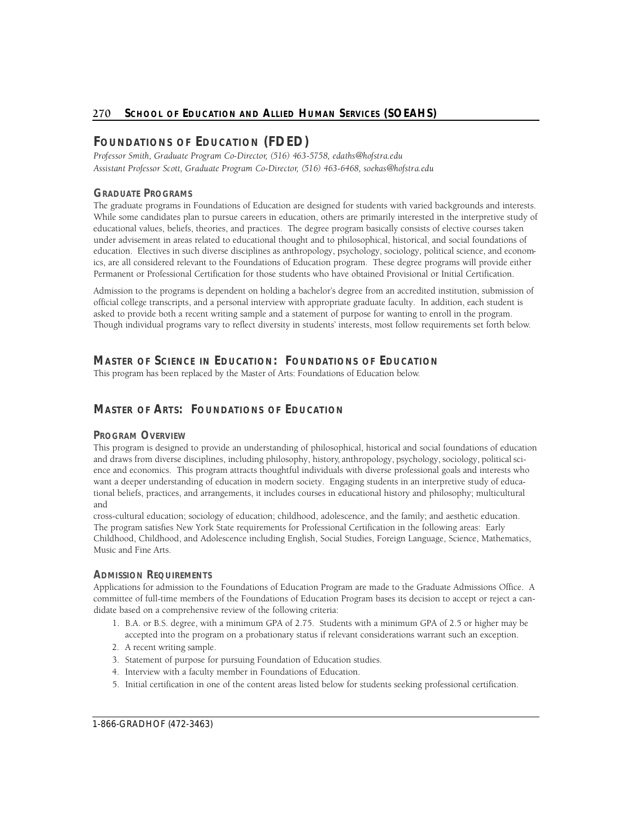# **FOUNDATIONS OF EDUCATION (FDED)**

 *Assistant Professor Scott, Graduate Program Co-Dire c t o r, (516) 463-6468, soekas@hofstra.edu*  Professor Smith, Graduate Program Co-Director, (516) 463-5758, edaths@hofstra.edu

# **GRADUATE PROGRAMS**

The graduate programs in Foundations of Education are designed for students with varied backgrounds and interests. While some candidates plan to pursue careers in education, others are primarily interested in the interpretive study of educational values, beliefs, theories, and practices. The degree program basically consists of elective courses taken under advisement in areas related to educational thought and to philosophical, historical, and social foundations of education. Electives in such diverse disciplines as anthropology, psychology, sociology, political science, and economics, are all considered relevant to the Foundations of Education program. These degree programs will provide either Permanent or Professional Certification for those students who have obtained Provisional or Initial Certification.

Admission to the programs is dependent on holding a bachelor's degree from an accredited institution, submission of official college transcripts, and a personal interview with appropriate graduate faculty. In addition, each student is asked to provide both a recent writing sample and a statement of purpose for wanting to enroll in the program. Though individual programs vary to reflect diversity in students' interests, most follow requirements set forth below.

# **Master of Science in Education: Foundations of Education**

This program has been replaced by the Master of Arts: Foundations of Education below.

# **Master of Arts: Foundations of Education**

# **PROGRAM OVERVIEW**

This program is designed to provide an understanding of philosophical, historical and social foundations of education and draws from diverse disciplines, including philosophy, history, anthropology, psychology, sociology, political science and economics. This program attracts thoughtful individuals with diverse professional goals and interests who want a deeper understanding of education in modern society. Engaging students in an interpretive study of educational beliefs, practices, and arrangements, it includes courses in educational history and philosophy; multicultural and

cross-cultural education; sociology of education; childhood, adolescence, and the family; and aesthetic education. The program satisfies New York State requirements for Professional Certification in the following areas: Early Childhood, Childhood, and Adolescence including English, Social Studies, Foreign Language, Science, Mathematics, Music and Fine Arts.

# **ADMISSION REQUIREMENTS**

Applications for admission to the Foundations of Education Program are made to the Graduate Admissions Office. A committee of full-time members of the Foundations of Education Program bases its decision to accept or reject a candidate based on a comprehensive review of the following criteria:

- 1. B.A. or B.S. degree, with a minimum GPA of 2.75. Students with a minimum GPA of 2.5 or higher may be accepted into the program on a probationary status if relevant considerations warrant such an exception.
- 2. A recent writing sample.
- 3. Statement of purpose for pursuing Foundation of Education studies.
- 4. Interview with a faculty member in Foundations of Education.
- 5. Initial certification in one of the content areas listed below for students seeking professional certification.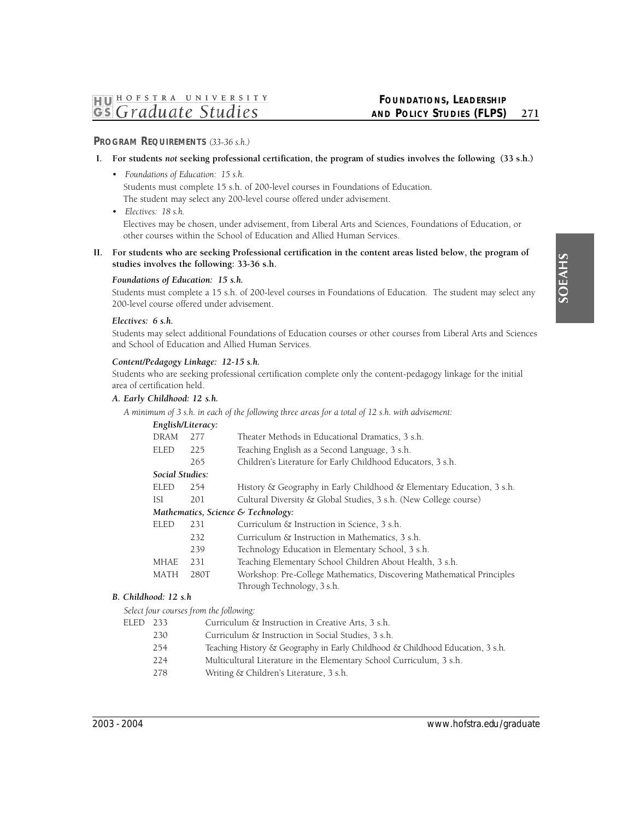# **PROGRAM REQUIREMENTS** *(33-36 s.h.)*

# **I.** For students *not* seeking professional certification, the program of studies involves the following (33 s.h.)

*• Foundations of Education: 15 s.h.* 

Students must complete 15 s.h. of 200-level courses in Foundations of Education. The student may select any 200-level course offered under advisement.

*• Electives: 18 s.h.* 

Electives may be chosen, under advisement, from Liberal Arts and Sciences, Foundations of Education, or other courses within the School of Education and Allied Human Services.

**II. For students who are seeking Professional certification in the content areas listed below, the program of studies involves the following: 33-36 s.h.** 

# *Foundations of Education: 15 s.h.*

Students must complete a 15 s.h. of 200-level courses in Foundations of Education. The student may select any 200-level course offered under advisement.

# *Electives: 6 s.h.*

Students may select additional Foundations of Education courses or other courses from Liberal Arts and Sciences and School of Education and Allied Human Services.

# *Content/Pedagogy Linkage: 12-15 s.h.*

Students who are seeking professional certification complete only the content-pedagogy linkage for the initial area of certification held.

# *A. Early Childhood: 12 s.h.*

*A minimum of 3 s.h. in each of the following three areas for a total of 12 s.h. with advisement:* 

| English/Literacy: |      |                                                                        |
|-------------------|------|------------------------------------------------------------------------|
| <b>DRAM</b>       | 277  | Theater Methods in Educational Dramatics, 3 s.h.                       |
| <b>ELED</b>       | 225  | Teaching English as a Second Language, 3 s.h.                          |
|                   | 265  | Children's Literature for Early Childhood Educators, 3 s.h.            |
| Social Studies:   |      |                                                                        |
| <b>ELED</b>       | 254  | History & Geography in Early Childhood & Elementary Education, 3 s.h.  |
| ISI               | 201  | Cultural Diversity & Global Studies, 3 s.h. (New College course)       |
|                   |      | Mathematics, Science & Technology:                                     |
| <b>ELED</b>       | 231  | Curriculum & Instruction in Science, 3 s.h.                            |
|                   | 232  | Curriculum & Instruction in Mathematics, 3 s.h.                        |
|                   | 239  | Technology Education in Elementary School, 3 s.h.                      |
| <b>MHAE</b>       | 231  | Teaching Elementary School Children About Health, 3 s.h.               |
| <b>MATH</b>       | 280T | Workshop: Pre-College Mathematics, Discovering Mathematical Principles |
|                   |      | Through Technology, 3 s.h.                                             |

# *B. Childhood: 12 s.h*

*Select four courses from the following:* 

| ELED 233 |     | Curriculum & Instruction in Creative Arts, 3 s.h.                             |
|----------|-----|-------------------------------------------------------------------------------|
|          | 230 | Curriculum & Instruction in Social Studies, 3 s.h.                            |
|          | 254 | Teaching History & Geography in Early Childhood & Childhood Education, 3 s.h. |
|          |     |                                                                               |

- 224 Multicultural Literature in the Elementary School Curriculum, 3 s.h.
- 278 Writing & Children's Literature, 3 s.h.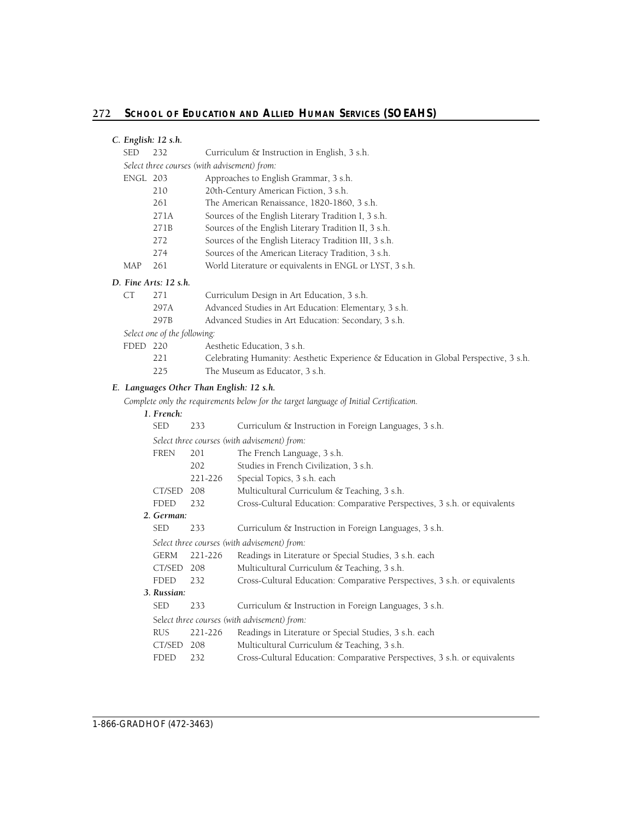| C. English: 12 s.h. |  |  |
|---------------------|--|--|
|                     |  |  |
|                     |  |  |

| <b>SED</b> | 232  | Curriculum & Instruction in English, 3 s.h.             |
|------------|------|---------------------------------------------------------|
|            |      | Select three courses (with advisement) from:            |
| ENGL 203   |      | Approaches to English Grammar, 3 s.h.                   |
|            | 210  | 20th-Century American Fiction, 3 s.h.                   |
|            | 261  | The American Renaissance, 1820-1860, 3 s.h.             |
|            | 271A | Sources of the English Literary Tradition I, 3 s.h.     |
|            | 271B | Sources of the English Literary Tradition II, 3 s.h.    |
|            | 272  | Sources of the English Literacy Tradition III, 3 s.h.   |
|            | 274  | Sources of the American Literacy Tradition, 3 s.h.      |
| MAP        | 261  | World Literature or equivalents in ENGL or LYST, 3 s.h. |
|            |      |                                                         |

# *D. Fine Arts: 12 s.h.*

| СT | 271  | Curriculum Design in Art Education, 3 s.h.            |  |   |  |  |  |
|----|------|-------------------------------------------------------|--|---|--|--|--|
|    | 297A | Advanced Studies in Art Education: Elementary, 3 s.h. |  |   |  |  |  |
|    |      |                                                       |  | . |  |  |  |

297B Advanced Studies in Art Education: Secondary, 3 s.h.

*Select one of the following:* 

| ED 220 | Aesthetic Education, 3 s.h.                                           |
|--------|-----------------------------------------------------------------------|
| 221    | $C_1$ defined in Fig. 1 Theory and the contract of the state of $C_1$ |

- 221 Celebrating Humanity: Aesthetic Experience & Education in Global Perspective, 3 s.h.
- 225 The Museum as Educator, 3 s.h.

# *E. Languages Other Than English: 12 s.h.*

*Complete only the requirements below for the target language of Initial Certification.* 

# *1. French:*

| <b>SED</b>  | 233     | Curriculum & Instruction in Foreign Languages, 3 s.h.                     |
|-------------|---------|---------------------------------------------------------------------------|
|             |         | Select three courses (with advisement) from:                              |
| <b>FREN</b> | 201     | The French Language, 3 s.h.                                               |
|             | 202     | Studies in French Civilization, 3 s.h.                                    |
|             | 221-226 | Special Topics, 3 s.h. each                                               |
| CT/SED      | 208     | Multicultural Curriculum & Teaching, 3 s.h.                               |
| <b>FDED</b> | 232     | Cross-Cultural Education: Comparative Perspectives, 3 s.h. or equivalents |
| 2. German:  |         |                                                                           |
| <b>SED</b>  | 233     | Curriculum & Instruction in Foreign Languages, 3 s.h.                     |
|             |         | Select three courses (with advisement) from:                              |
| <b>GERM</b> | 221-226 | Readings in Literature or Special Studies, 3 s.h. each                    |
| CT/SED 208  |         | Multicultural Curriculum & Teaching, 3 s.h.                               |
| <b>FDED</b> | 232     | Cross-Cultural Education: Comparative Perspectives, 3 s.h. or equivalents |
| 3. Russian: |         |                                                                           |
| <b>SED</b>  | 233     | Curriculum & Instruction in Foreign Languages, 3 s.h.                     |
|             |         | Select three courses (with advisement) from:                              |
| <b>RUS</b>  | 221-226 | Readings in Literature or Special Studies, 3 s.h. each                    |
| CT/SED      | 208     | Multicultural Curriculum & Teaching, 3 s.h.                               |
| <b>FDED</b> | 232     | Cross-Cultural Education: Comparative Perspectives, 3 s.h. or equivalents |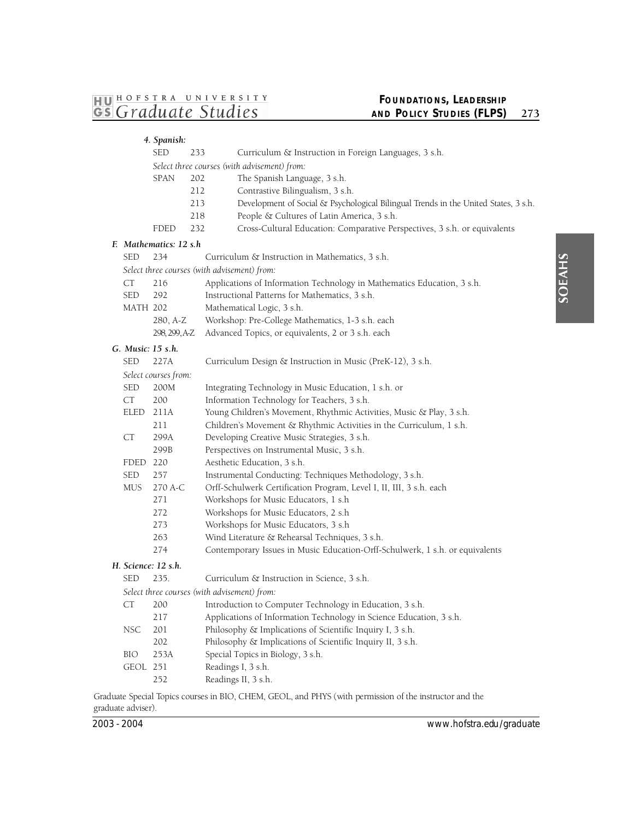# **FOUNDATIONS, LEADERSHIP AND POLICY STUDIES (FLPS)** 273

|                   | 4. Spanish:            |     |                                                                                     |
|-------------------|------------------------|-----|-------------------------------------------------------------------------------------|
|                   | <b>SED</b>             | 233 | Curriculum & Instruction in Foreign Languages, 3 s.h.                               |
|                   |                        |     | Select three courses (with advisement) from:                                        |
|                   | <b>SPAN</b>            | 202 | The Spanish Language, 3 s.h.                                                        |
|                   |                        | 212 | Contrastive Bilingualism, 3 s.h.                                                    |
|                   |                        | 213 | Development of Social & Psychological Bilingual Trends in the United States, 3 s.h. |
|                   |                        | 218 | People & Cultures of Latin America, 3 s.h.                                          |
|                   | FDED                   | 232 | Cross-Cultural Education: Comparative Perspectives, 3 s.h. or equivalents           |
|                   | F. Mathematics: 12 s.h |     |                                                                                     |
| SED               | 234                    |     | Curriculum & Instruction in Mathematics, 3 s.h.                                     |
|                   |                        |     | Select three courses (with advisement) from:                                        |
| <b>CT</b>         | 216                    |     | Applications of Information Technology in Mathematics Education, 3 s.h.             |
| SED               | 292                    |     | Instructional Patterns for Mathematics, 3 s.h.                                      |
| <b>MATH 202</b>   |                        |     | Mathematical Logic, 3 s.h.                                                          |
|                   | 280, A-Z               |     | Workshop: Pre-College Mathematics, 1-3 s.h. each                                    |
|                   | 298, 299, A-Z          |     | Advanced Topics, or equivalents, 2 or 3 s.h. each                                   |
| G. Music: 15 s.h. |                        |     |                                                                                     |
| SED               | 227A                   |     | Curriculum Design & Instruction in Music (PreK-12), 3 s.h.                          |
|                   | Select courses from:   |     |                                                                                     |
| <b>SED</b>        | 200M                   |     | Integrating Technology in Music Education, 1 s.h. or                                |
| CT                | 200                    |     | Information Technology for Teachers, 3 s.h.                                         |
| ELED              | 211A                   |     | Young Children's Movement, Rhythmic Activities, Music & Play, 3 s.h.                |
|                   | 211                    |     | Children's Movement & Rhythmic Activities in the Curriculum, 1 s.h.                 |
| CT                | 299A                   |     | Developing Creative Music Strategies, 3 s.h.                                        |
|                   | 299B                   |     | Perspectives on Instrumental Music, 3 s.h.                                          |
| FDED 220          |                        |     | Aesthetic Education, 3 s.h.                                                         |
| <b>SED</b>        | 257                    |     | Instrumental Conducting: Techniques Methodology, 3 s.h.                             |
| <b>MUS</b>        | 270 A-C                |     | Orff-Schulwerk Certification Program, Level I, II, III, 3 s.h. each                 |
|                   | 271                    |     | Workshops for Music Educators, 1 s.h                                                |
|                   | 272                    |     | Workshops for Music Educators, 2 s.h.                                               |
|                   | 273                    |     | Workshops for Music Educators, 3 s.h                                                |
|                   | 263                    |     | Wind Literature & Rehearsal Techniques, 3 s.h.                                      |
|                   | 274                    |     | Contemporary Issues in Music Education-Orff-Schulwerk, 1 s.h. or equivalents        |
|                   | H. Science: 12 s.h.    |     |                                                                                     |
| <b>SED</b>        | 235.                   |     | Curriculum & Instruction in Science, 3 s.h.                                         |
|                   |                        |     | Select three courses (with advisement) from:                                        |
| CT                | 200                    |     | Introduction to Computer Technology in Education, 3 s.h.                            |
|                   | 217                    |     | Applications of Information Technology in Science Education, 3 s.h.                 |
| <b>NSC</b>        | 201                    |     | Philosophy & Implications of Scientific Inquiry I, 3 s.h.                           |
|                   | 202                    |     | Philosophy & Implications of Scientific Inquiry II, 3 s.h.                          |
| BIO               | 253A                   |     | Special Topics in Biology, 3 s.h.                                                   |
| GEOL 251          |                        |     | Readings I, 3 s.h.                                                                  |
|                   | 252                    |     | Readings II, 3 s.h.                                                                 |

 Graduate Special Topics courses in BIO, CHEM, GEOL, and PHYS (with permission of the instructor and the graduate adviser).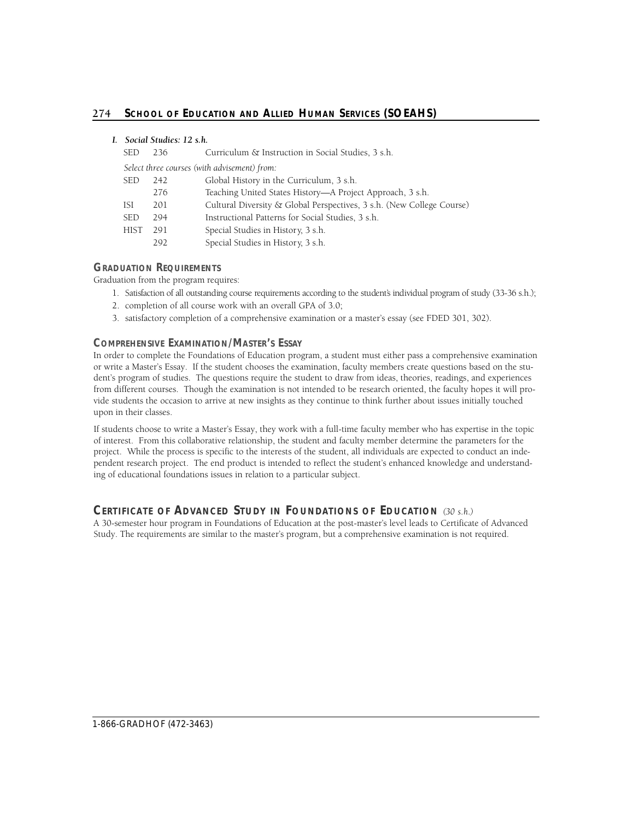# *I. Social Studies: 12 s.h.*

| <b>SED</b>  | 236                                          | Curriculum & Instruction in Social Studies, 3 s.h.                    |  |  |  |  |
|-------------|----------------------------------------------|-----------------------------------------------------------------------|--|--|--|--|
|             | Select three courses (with advisement) from: |                                                                       |  |  |  |  |
| <b>SED</b>  | 242                                          | Global History in the Curriculum, 3 s.h.                              |  |  |  |  |
|             | 276                                          | Teaching United States History—A Project Approach, 3 s.h.             |  |  |  |  |
| ISI         | 201                                          | Cultural Diversity & Global Perspectives, 3 s.h. (New College Course) |  |  |  |  |
| <b>SED</b>  | 294                                          | Instructional Patterns for Social Studies, 3 s.h.                     |  |  |  |  |
| <b>HIST</b> | 291                                          | Special Studies in History, 3 s.h.                                    |  |  |  |  |
|             | 292                                          | Special Studies in History, 3 s.h.                                    |  |  |  |  |

# **GRADUATION REQUIREMENTS**

Graduation from the program requires:

- 1. Satisfaction of all outstanding course requirements according to the student's individual program of study (33-36 s.h.);
- 2. completion of all course work with an overall GPA of 3.0;
- 3. satisfactory completion of a comprehensive examination or a master's essay (see FDED 301, 302).

# **COMPREHENSIVE EXAMINATION/MASTER'S ESSAY**

In order to complete the Foundations of Education program, a student must either pass a comprehensive examination or write a Master's Essay. If the student chooses the examination, faculty members create questions based on the student's program of studies. The questions require the student to draw from ideas, theories, readings, and experiences from different courses. Though the examination is not intended to be research oriented, the faculty hopes it will provide students the occasion to arrive at new insights as they continue to think further about issues initially touched upon in their classes.

If students choose to write a Master's Essay, they work with a full-time faculty member who has expertise in the topic of interest. From this collaborative relationship, the student and faculty member determine the parameters for the project. While the process is specific to the interests of the student, all individuals are expected to conduct an independent research project. The end product is intended to reflect the student's enhanced knowledge and understanding of educational foundations issues in relation to a particular subject.

# **CERTIFICATE OF ADVANCED STUDY IN FOUNDATIONS OF EDUCATION (30 s.h.)**

A 30-semester hour program in Foundations of Education at the post-master's level leads to Certificate of Advanced Study. The requirements are similar to the master's program, but a comprehensive examination is not required.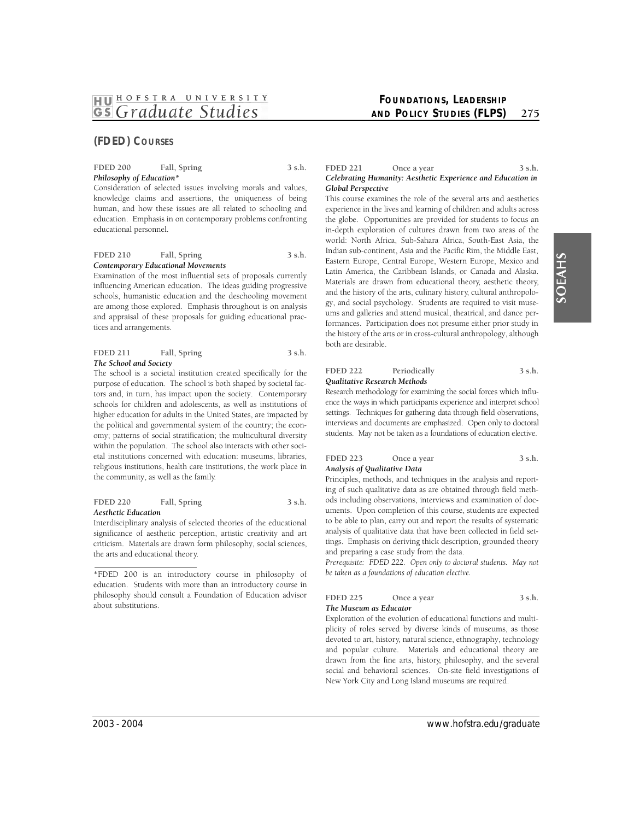# **(FDED) COURSES**

#### FDED 200 Fall, Spring 3 s.h. *Philosophy of Education\**

Consideration of selected issues involving morals and values, knowledge claims and assertions, the uniqueness of being human, and how these issues are all related to schooling and education. Emphasis in on contemporary problems confronting educational personnel.

#### FDED 210 Fall, Spring 3 s.h. *Contemporary Educational Movements*

Examination of the most influential sets of proposals currently influencing American education. The ideas guiding progressive schools, humanistic education and the deschooling movement are among those explored. Emphasis throughout is on analysis and appraisal of these proposals for guiding educational practices and arrangements.

#### FDED 211 Fall, Spring 3 s.h. *The School and Society*

The school is a societal institution created specifically for the purpose of education. The school is both shaped by societal factors and, in turn, has impact upon the society. Contemporary schools for children and adolescents, as well as institutions of higher education for adults in the United States, are impacted by the political and governmental system of the country; the economy; patterns of social stratification; the multicultural diversity within the population. The school also interacts with other societal institutions concerned with education: museums, libraries, religious institutions, health care institutions, the work place in the community, as well as the family.

#### FDED 220 Fall, Spring 3 s.h. *Aesthetic Education*

Interdisciplinary analysis of selected theories of the educational significance of aesthetic perception, artistic creativity and art criticism. Materials are drawn form philosophy, social sciences, the arts and educational theory.

# **FOUNDATIONS, LEADERSHIP AND POLICY STUDIES (FLPS)** 275

#### FDED 221 Once a year 3 s.h. *Celebrating Humanity: Aesthetic Experience and Education in Global Perspective*

This course examines the role of the several arts and aesthetics experience in the lives and learning of children and adults across the globe. Opportunities are provided for students to focus an in-depth exploration of cultures drawn from two areas of the world: North Africa, Sub-Sahara Africa, South-East Asia, the Indian sub-continent, Asia and the Pacific Rim, the Middle East, Eastern Europe, Central Europe, Western Europe, Mexico and Latin America, the Caribbean Islands, or Canada and Alaska. Materials are drawn from educational theory, aesthetic theory, and the history of the arts, culinary history, cultural anthropology, and social psychology. Students are required to visit museums and galleries and attend musical, theatrical, and dance performances. Participation does not presume either prior study in the history of the arts or in cross-cultural anthropology, although both are desirable.

#### FDED 222 Periodically 3 s.h. *Qualitative Research Methods*

Research methodology for examining the social forces which influsettings. Techniques for gathering data through field observations, interviews and documents are emphasized. Open only to doctoral students. May not be taken as a foundations of education elective. ence the ways in which participants experience and interpret school

#### FDED 223 Once a year 3 s.h. *Analysis of Qualitative Data*

Principles, methods, and techniques in the analysis and reporting of such qualitative data as are obtained through field methods including observations, interviews and examination of documents. Upon completion of this course, students are expected to be able to plan, carry out and report the results of systematic analysis of qualitative data that have been collected in field settings. Emphasis on deriving thick description, grounded theory and preparing a case study from the data.

*Prerequisite: FDED 222. Open only to doctoral students. May not be taken as a foundations of education elective.* 

# FDED 225 Once a year 3 s.h.

*The Museum as Educator* 

Exploration of the evolution of educational functions and multiplicity of roles served by diverse kinds of museums, as those devoted to art, history, natural science, ethnography, technology and popular culture. Materials and educational theory are drawn from the fine arts, history, philosophy, and the several social and behavioral sciences. On-site field investigations of New York City and Long Island museums are required.

<sup>\*</sup>FDED 200 is an introductory course in philosophy of education. Students with more than an introductory course in philosophy should consult a Foundation of Education advisor about substitutions.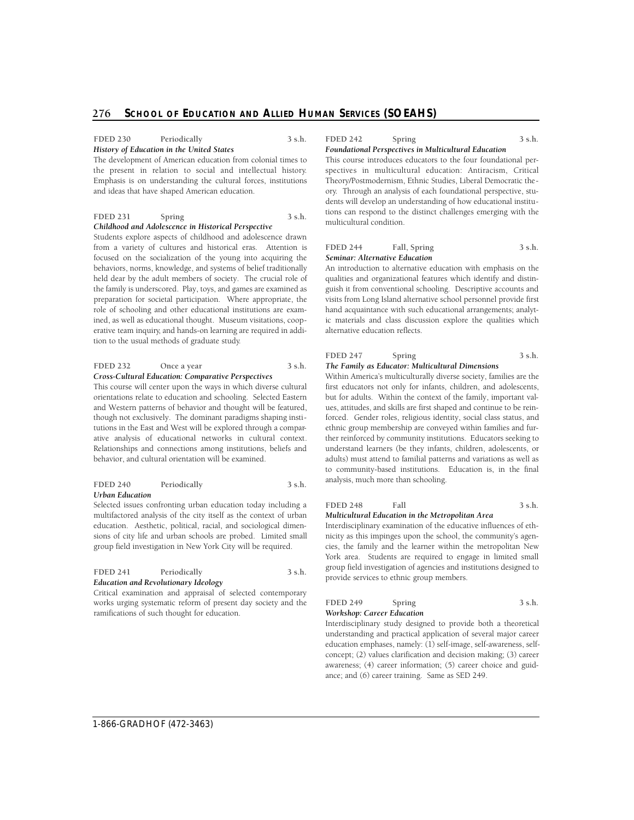#### FDED 230 Periodically 3 s.h. *History of Education in the United States*

 the present in relation to social and intellectual history. The development of American education from colonial times to Emphasis is on understanding the cultural forces, institutions and ideas that have shaped American education.

# **FDED 231** Spring 3 s.h.

#### *Childhood and Adolescence in Historical Perspective*

Students explore aspects of childhood and adolescence drawn from a variety of cultures and historical eras. Attention is focused on the socialization of the young into acquiring the behaviors, norms, knowledge, and systems of belief traditionally held dear by the adult members of society. The crucial role of the family is underscored. Play, toys, and games are examined as preparation for societal participation. Where appropriate, the role of schooling and other educational institutions are examined, as well as educational thought. Museum visitations, cooperative team inquiry, and hands-on learning are required in addition to the usual methods of graduate study.

#### FDED 232 Once a year 3 s.h. *Cross-Cultural Education: Comparative Perspectives*

This course will center upon the ways in which diverse cultural orientations relate to education and schooling. Selected Eastern and Western patterns of behavior and thought will be featured, though not exclusively. The dominant paradigms shaping institutions in the East and West will be explored through a comparative analysis of educational networks in cultural context. Relationships and connections among institutions, beliefs and behavior, and cultural orientation will be examined.

#### FDED 240 Periodically 3 s.h. *Urban Education*

Selected issues confronting urban education today including a multifactored analysis of the city itself as the context of urban education. Aesthetic, political, racial, and sociological dimensions of city life and urban schools are probed. Limited small group field investigation in New York City will be required.

| <b>FDED 241</b>                      | Periodically | 3 s.h. |  |
|--------------------------------------|--------------|--------|--|
| Education and Revolutionary Ideology |              |        |  |

Critical examination and appraisal of selected contemporary works urging systematic reform of present day society and the ramifications of such thought for education.

# **FDED 242 Spring 3 s.h.**

*Foundational Perspectives in Multicultural Education* 

This course introduces educators to the four foundational perspectives in multicultural education: Antiracism, Critical Theory/Postmodernism, Ethnic Studies, Liberal Democratic theory. Through an analysis of each foundational perspective, students will develop an understanding of how educational institutions can respond to the distinct challenges emerging with the multicultural condition.

# FDED 244 Fall, Spring 3 s.h. *Seminar: Alternative Education*

An introduction to alternative education with emphasis on the qualities and organizational features which identify and distinguish it from conventional schooling. Descriptive accounts and visits from Long Island alternative school personnel provide first hand acquaintance with such educational arrangements; analytic materials and class discussion explore the qualities which alternative education reflects.

# **FDED 247** Spring 3 s.h.

#### *The Family as Educator: Multicultural Dimensions*

Within America's multiculturally diverse society, families are the first educators not only for infants, children, and adolescents, but for adults. Within the context of the family, important values, attitudes, and skills are first shaped and continue to be reinforced. Gender roles, religious identity, social class status, and ethnic group membership are conveyed within families and further reinforced by community institutions. Educators seeking to understand learners (be they infants, children, adolescents, or adults) must attend to familial patterns and variations as well as to community-based institutions. Education is, in the final analysis, much more than schooling.

#### FDED 248 Fall 3 s.h. *Multicultural Education in the Metropolitan Area*

Interdisciplinary examination of the educative influences of ethnicity as this impinges upon the school, the community's agencies, the family and the learner within the metropolitan New York area. Students are required to engage in limited small group field investigation of agencies and institutions designed to provide services to ethnic group members.

| <b>FDED 249</b>            | Spring | 3 s.h. |
|----------------------------|--------|--------|
| Workshop: Career Education |        |        |

Interdisciplinary study designed to provide both a theoretical understanding and practical application of several major career education emphases, namely: (1) self-image, self-awareness, selfconcept; (2) values clarification and decision making; (3) career awareness; (4) career information; (5) career choice and guidance; and (6) career training. Same as SED 249.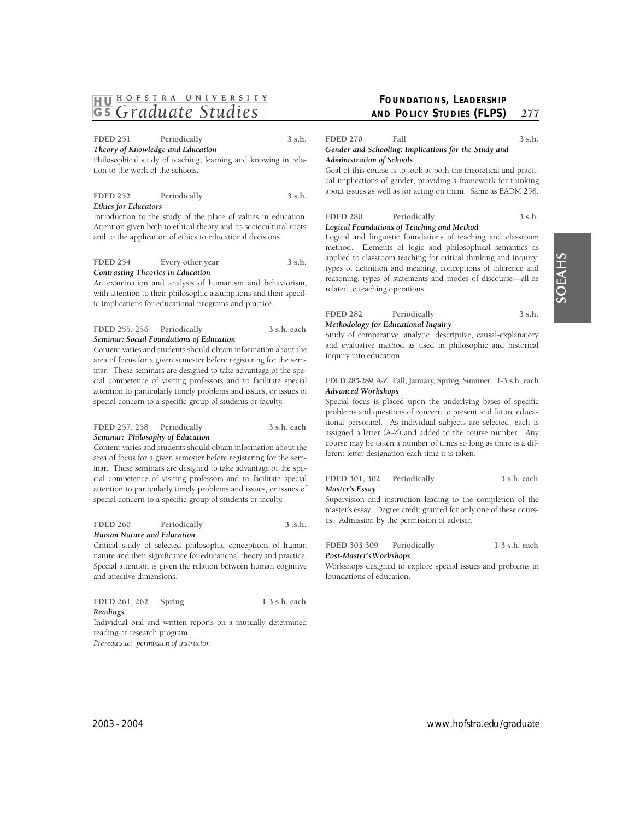# SOEAHS

# **1HJ01 HOFSTRA UNIVER <sup>S</sup> ITY**  *~ Graduate Studies*

FDED 251 Periodically 3 s.h.

*Theory of Knowledge and Education* 

Philosophical study of teaching, learning and knowing in relation to the work of the schools.

| <b>FDED 252</b>             | Periodically | $3$ s.h. |
|-----------------------------|--------------|----------|
| <b>Ethics for Educators</b> |              |          |

Introduction to the study of the place of values in education. Attention given both to ethical theory and its sociocultural roots and to the application of ethics to educational decisions.

#### FDED 254 Every other year 3 s.h. *Contrasting Theories in Education*

An examination and analysis of humanism and behaviorism, with attention to their philosophic assumptions and their specific implications for educational programs and practice.

#### **FDED 255, 256 Periodically 3 s.h. each**  *Seminar: Social Foundations of Education*

Content varies and students should obtain information about the area of focus for a given semester before registering for the seminar. These seminars are designed to take advantage of the special competence of visiting professors and to facilitate special attention to particularly timely problems and issues, or issues of special concern to a specific group of students or faculty.

#### **FDED 257, 258 Periodically 3 s.h. each**  *Seminar: Philosophy of Education*

Content varies and students should obtain information about the area of focus for a given semester before registering for the seminar. These seminars are designed to take advantage of the special competence of visiting professors and to facilitate special attention to particularly timely problems and issues, or issues of special concern to a specific group of students or faculty.

FDED 260 Periodically 3 .s.h. *Human Nature and Education* 

Critical study of selected philosophic conceptions of human nature and their significance for educational theory and practice. Special attention is given the relation between human cognitive and affective dimensions.

| FDED 261, 262 | Spring |  | 1-3 s.h. each                                                |
|---------------|--------|--|--------------------------------------------------------------|
| Readings      |        |  |                                                              |
|               |        |  | Individual oral and written reports on a mutually determined |

reading or research program. *Prerequisite: permission of instructor.* 

# **FOUNDATIONS, LEADERSHIP AND POLICY STUDIES (FLPS)** 277

**FDED 270** Fall 3 s.h.

# *Gender and Schooling: Implications for the Study and Administration of Schools*

Goal of this course is to look at both the theoretical and practical implications of gender, providing a framework for thinking about issues as well as for acting on them. Same as EADM 258.

# FDED 280 Periodically 3 s.h.

# *Logical Foundations of Teaching and Method*

Logical and linguistic foundations of teaching and classroom method. Elements of logic and philosophical semantics as applied to classroom teaching for critical thinking and inquiry: types of definition and meaning, conceptions of inference and reasoning, types of statements and modes of discourse—all as related to teaching operations.

#### FDED 282 Periodically 3 s.h. *Methodology for Educational Inquiry*

Study of comparative, analytic, descriptive, causal-explanatory and evaluative method as used in philosophic and historical inquiry into education.

 **F D E D 285-289, A-Z Fall, January, Spring, Summer 1-3 s.h. each**  *Advanced Workshops* 

Special focus is placed upon the underlying bases of specific problems and questions of concern to present and future educational personnel. As individual subjects are selected, each is assigned a letter (A-Z) and added to the course number. Any course may be taken a number of times so long as there is a different letter designation each time it is taken.

#### **FDED 301, 302 Periodically 3 s.h. each**  *Master's Essay*

Supervision and instruction leading to the completion of the master's essay. Degree credit granted for only one of these courses. Admission by the permission of adviser.

# **FDED 303-309 Periodically 1-3 s.h. each**  *Post-Master's Workshops*

Workshops designed to explore special issues and problems in foundations of education.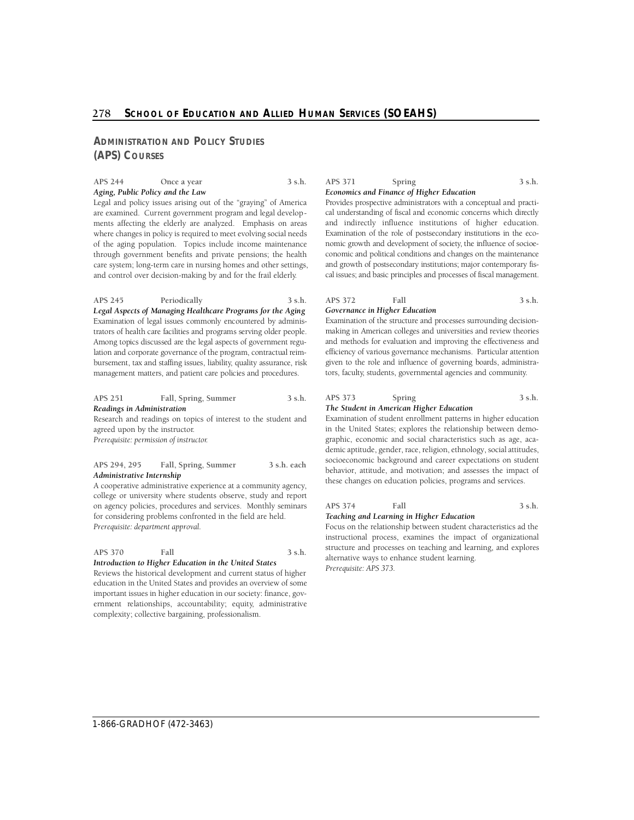# 278 School of Education and Allied Human Services (SOEAHS)

# **ADMINISTRATION AND POLICY STUDIES (APS) COURSES**

# APS 244 Once a year 3 s.h. *Aging, Public Policy and the Law*

Legal and policy issues arising out of the "graying" of America are examined. Current government program and legal developments affecting the elderly are analyzed. Emphasis on areas where changes in policy is required to meet evolving social needs of the aging population. Topics include income maintenance through government benefits and private pensions; the health care system; long-term care in nursing homes and other settings, and control over decision-making by and for the frail elderly.

#### **APS 245 Periodically 3 s.h.**

 *Legal Aspects of Managing Healthcare Programs for the Aging*  Examination of legal issues commonly encountered by adminislation and corporate governance of the program, contractual reim- bursement, tax and staffing issues, liability, quality assurance, risk management matters, and patient care policies and procedures. trators of health care facilities and programs serving older people. Among topics discussed are the legal aspects of government regu-

# **APS 251 Fall, Spring, Summer 3 s.h.**  *Readings in Administration*

Research and readings on topics of interest to the student and agreed upon by the instructor.

*Prerequisite: permission of instructor.* 

#### **APS 294, 295 Fall, Spring, Summer 3 s.h. each**  *Administrative Internship*

A cooperative administrative experience at a community agency, college or university where students observe, study and report on agency policies, procedures and services. Monthly seminars for considering problems confronted in the field are held. *Prerequisite: department approval.* 

#### **APS 370 Fall 3 s.h.**  *Introduction to Higher Education in the United States*

Reviews the historical development and current status of higher education in the United States and provides an overview of some important issues in higher education in our society: finance, government relationships, accountability; equity, administrative complexity; collective bargaining, professionalism.

# APS 371 Spring 3 s.h. *Economics and Finance of Higher Education*

Provides prospective administrators with a conceptual and practical understanding of fiscal and economic concerns which directly

 Examination of the role of postsecondary institutions in the eco- conomic and political conditions and changes on the maintenance and indirectly influence institutions of higher education. nomic growth and development of society, the influence of socioeand growth of postsecondary institutions; major contemporary fiscal issues; and basic principles and processes of fiscal management.

#### **APS 372 Fall 3 s.h.**  *Governance in Higher Education*

 making in American colleges and universities and review theories given to the role and influence of governing boards, administra-Examination of the structure and processes surrounding decisionand methods for evaluation and improving the effectiveness and e fficiency of various governance mechanisms. Particular attention tors, faculty, students, governmental agencies and community.

#### **APS 373 Spring 3 s.h.**  *The Student in American Higher Education*

Examination of student enrollment patterns in higher education in the United States; explores the relationship between demographic, economic and social characteristics such as age, academic aptitude, gender, race, religion, ethnology, social attitudes, socioeconomic background and career expectations on student behavior, attitude, and motivation; and assesses the impact of these changes on education policies, programs and services.

#### **APS 374 Fall 3 s.h.**  *Teaching and Learning in Higher Education*

Focus on the relationship between student characteristics ad the instructional process, examines the impact of organizational structure and processes on teaching and learning, and explores alternative ways to enhance student learning. *Prerequisite: APS 373.*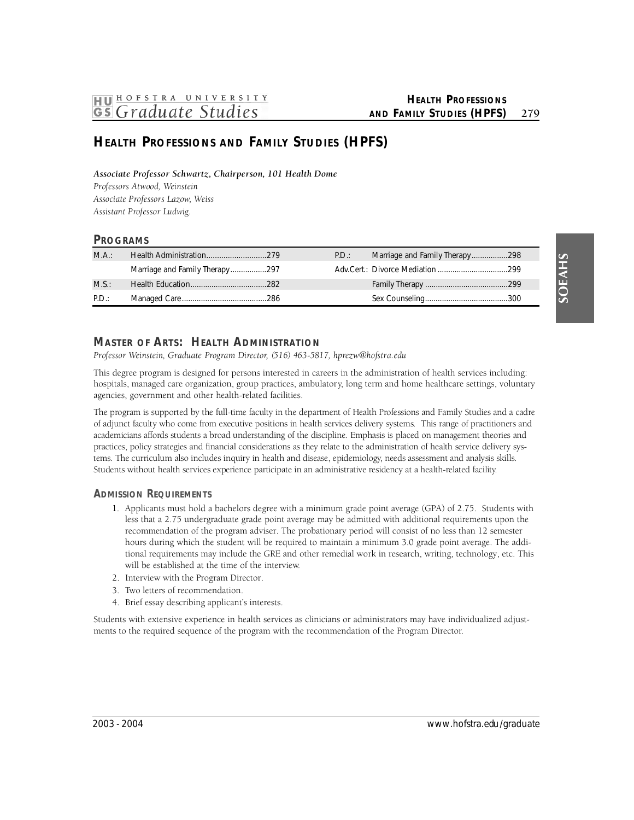# **HEALTH PROFESSIONS AND FAMILY STUDIES (HPFS)**

*Associate Professor Schwartz, Chairperson, 101 Health Dome* 

 *P rofessors Atwood, We i n s t e i n*  **Associate Professors Lazow, Weiss** *Assistant Professor Ludwig.* 

# **PROGRAMS**

| MA:   |                                | P.D.: | Marriage and Family Therapy298 |  |
|-------|--------------------------------|-------|--------------------------------|--|
|       | Marriage and Family Therapy297 |       |                                |  |
| M.S.: |                                |       |                                |  |
| P.D.: |                                |       |                                |  |

# **Master of Arts: Health Administration**

*P rofessor Weinstein, Graduate Program Dire c t o r, (516) 463-5817, hprezw@hofstra.edu* 

This degree program is designed for persons interested in careers in the administration of health services including: hospitals, managed care organization, group practices, ambulatory, long term and home healthcare settings, voluntary agencies, government and other health-related facilities.

 The program is supported by the full-time faculty in the department of Health Professions and Family Studies and a cadre of adjunct faculty who come from executive positions in health services delivery systems. This range of practitioners and academicians affords students a broad understanding of the discipline. Emphasis is placed on management theories and practices, policy strategies and financial considerations as they relate to the administration of health service delivery sys- Students without health services experience participate in an administrative residency at a health-related facility. tems. The curriculum also includes inquiry in health and disease, epidemiology, needs assessment and analysis skills.

# **ADMISSION REQUIREMENTS**

- 1. Applicants must hold a bachelors degree with a minimum grade point average (GPA) of 2.75. Students with less that a 2.75 undergraduate grade point average may be admitted with additional requirements upon the recommendation of the program adviser. The probationary period will consist of no less than 12 semester hours during which the student will be required to maintain a minimum 3.0 grade point average. The additional requirements may include the GRE and other remedial work in research, writing, technology, etc. This will be established at the time of the interview.
- 2. Interview with the Program Director.
- 3. Two letters of recommendation.
- 4. Brief essay describing applicant's interests.

Students with extensive experience in health services as clinicians or administrators may have individualized adjustments to the required sequence of the program with the recommendation of the Program Director.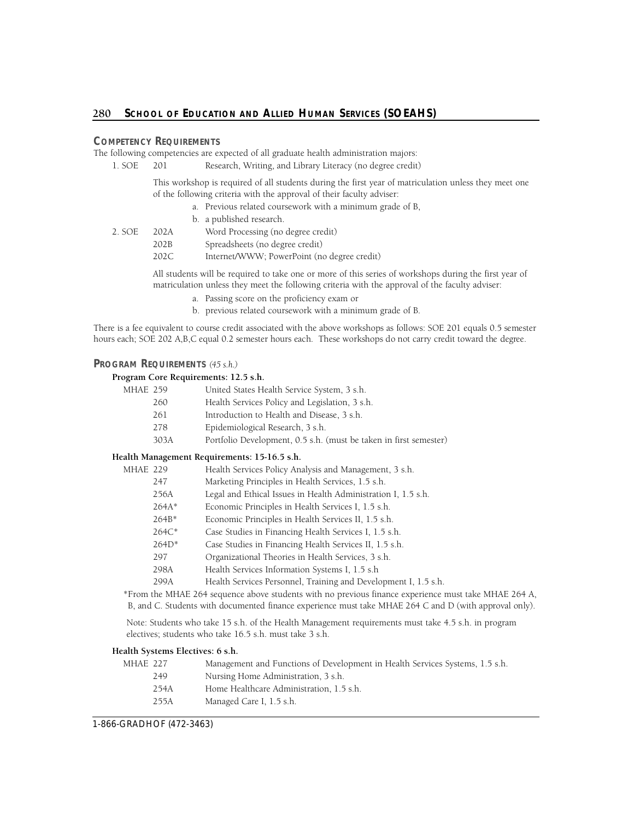# **COMPETENCY REQUIREMENTS**

The following competencies are expected of all graduate health administration majors:

1. SOE 201 Research, Writing, and Library Literacy (no degree credit)

This workshop is required of all students during the first year of matriculation unless they meet one of the following criteria with the approval of their faculty adviser:

- a. Previous related coursework with a minimum grade of B,
- b. a published research.
- 2. SOE 202A Word Processing (no degree credit)
	- 202B Spreadsheets (no degree credit)
		- 202C Internet/WWW; PowerPoint (no degree credit)

All students will be required to take one or more of this series of workshops during the first year of matriculation unless they meet the following criteria with the approval of the faculty adviser:

- a. Passing score on the proficiency exam or
- b. previous related coursework with a minimum grade of B.

There is a fee equivalent to course credit associated with the above workshops as follows: SOE 201 equals 0.5 semester hours each; SOE 202 A,B,C equal 0.2 semester hours each. These workshops do not carry credit toward the degree.

# **PROGRAM REQUIREMENTS** *(45 s.h.)*

# **Program Core Requirements: 12.5 s.h.**

| MHAE 259 |      | United States Health Service System, 3 s.h.                       |
|----------|------|-------------------------------------------------------------------|
|          | 260  | Health Services Policy and Legislation, 3 s.h.                    |
|          | 261  | Introduction to Health and Disease, 3 s.h.                        |
|          | 278  | Epidemiological Research, 3 s.h.                                  |
|          | 303A | Portfolio Development, 0.5 s.h. (must be taken in first semester) |
|          |      |                                                                   |

# **Health Management Requirements: 15-16.5 s.h.**

| MHAE 229 |         | Health Services Policy Analysis and Management, 3 s.h.          |
|----------|---------|-----------------------------------------------------------------|
|          | 247     | Marketing Principles in Health Services, 1.5 s.h.               |
|          | 256A    | Legal and Ethical Issues in Health Administration I, 1.5 s.h.   |
|          | $264A*$ | Economic Principles in Health Services I, 1.5 s.h.              |
|          | $264B*$ | Economic Principles in Health Services II, 1.5 s.h.             |
|          | 264C*   | Case Studies in Financing Health Services I, 1.5 s.h.           |
|          | $264D*$ | Case Studies in Financing Health Services II, 1.5 s.h.          |
|          | 297     | Organizational Theories in Health Services, 3 s.h.              |
|          | 298A    | Health Services Information Systems I, 1.5 s.h.                 |
|          | 299A    | Health Services Personnel, Training and Development I, 1.5 s.h. |
|          |         |                                                                 |

\*From the MHAE 264 sequence above students with no previous finance experience must take MHAE 264 A, B, and C. Students with documented finance experience must take MHAE 264 C and D (with approval only).

Note: Students who take 15 s.h. of the Health Management requirements must take 4.5 s.h. in program electives; students who take 16.5 s.h. must take 3 s.h.

# **Health Systems Electives: 6 s.h.**

| MHAF 227 |      | Management and Functions of Development in Health Services Systems, 1.5 s.h. |
|----------|------|------------------------------------------------------------------------------|
|          | 249  | Nursing Home Administration, 3 s.h.                                          |
|          | 254A | Home Healthcare Administration, 1.5 s.h.                                     |
|          | 255A | Managed Care I, 1.5 s.h.                                                     |
|          |      |                                                                              |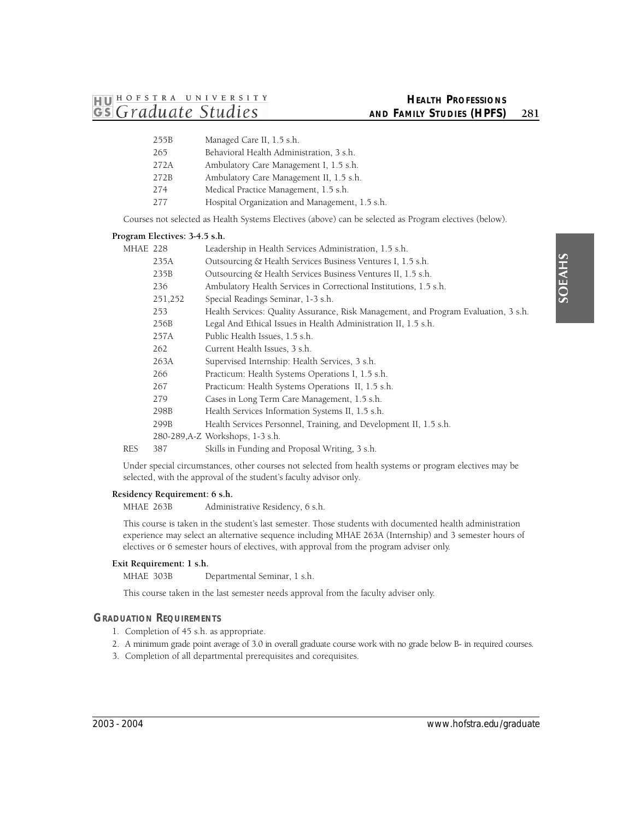- 255B Managed Care II, 1.5 s.h.
- 265 Behavioral Health Administration, 3 s.h.
- 272A Ambulatory Care Management I, 1.5 s.h.
- 272B Ambulatory Care Management II, 1.5 s.h.
- 274 Medical Practice Management, 1.5 s.h.
- 277 Hospital Organization and Management, 1.5 s.h.

Courses not selected as Health Systems Electives (above) can be selected as Program electives (below).

#### **Program Electives: 3-4.5 s.h.**

| MHAE 228 |         | Leadership in Health Services Administration, 1.5 s.h.                              |
|----------|---------|-------------------------------------------------------------------------------------|
|          | 235A    | Outsourcing & Health Services Business Ventures I, 1.5 s.h.                         |
|          | 235B    | Outsourcing & Health Services Business Ventures II, 1.5 s.h.                        |
|          | 236     | Ambulatory Health Services in Correctional Institutions, 1.5 s.h.                   |
|          | 251,252 | Special Readings Seminar, 1-3 s.h.                                                  |
|          | 253     | Health Services: Quality Assurance, Risk Management, and Program Evaluation, 3 s.h. |
|          | 256B    | Legal And Ethical Issues in Health Administration II, 1.5 s.h.                      |
|          | 257A    | Public Health Issues, 1.5 s.h.                                                      |
|          | 262     | Current Health Issues, 3 s.h.                                                       |
|          | 263A    | Supervised Internship: Health Services, 3 s.h.                                      |
|          | 266     | Practicum: Health Systems Operations I, 1.5 s.h.                                    |
|          | 267     | Practicum: Health Systems Operations II, 1.5 s.h.                                   |
|          | 279     | Cases in Long Term Care Management, 1.5 s.h.                                        |
|          | 298B    | Health Services Information Systems II, 1.5 s.h.                                    |
|          | 299B    | Health Services Personnel, Training, and Development II, 1.5 s.h.                   |
|          |         | 280-289, A-Z Workshops, 1-3 s.h.                                                    |
| RES      | 387     | Skills in Funding and Proposal Writing, 3 s.h.                                      |
|          |         |                                                                                     |

Under special circumstances, other courses not selected from health systems or program electives may be selected, with the approval of the student's faculty advisor only.

# **Residency Requirement: 6 s.h.**

MHAE 263B Administrative Residency, 6 s.h.

This course is taken in the student's last semester. Those students with documented health administration experience may select an alternative sequence including MHAE 263A (Internship) and 3 semester hours of electives or 6 semester hours of electives, with approval from the program adviser only.

# **Exit Requirement: 1 s.h.**

MHAE 303B Departmental Seminar, 1 s.h.

This course taken in the last semester needs approval from the faculty adviser only.

# **GRADUATION REQUIREMENTS**

- 1. Completion of 45 s.h. as appropriate.
- 2. A minimum grade point average of 3.0 in overall graduate course work with no grade below B- in required courses.
- 3. Completion of all departmental prerequisites and corequisites.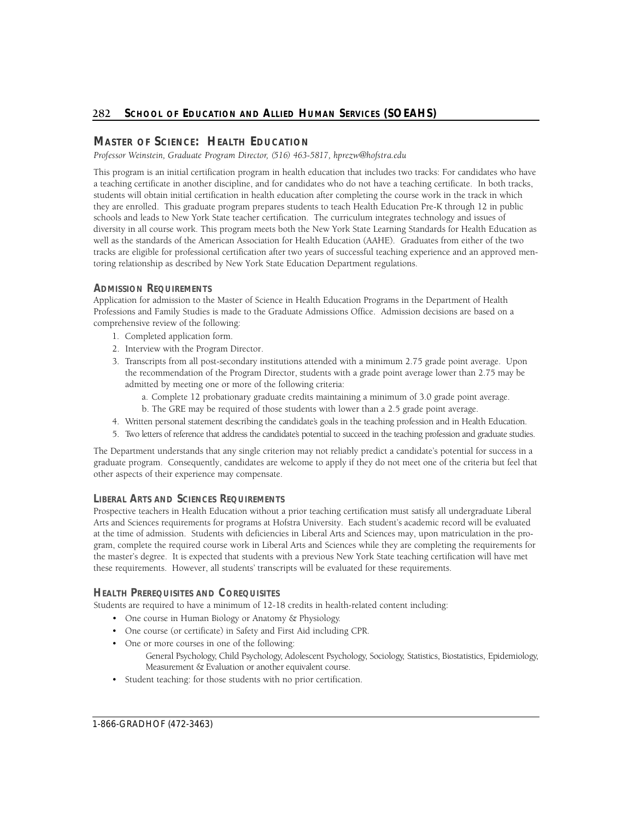# 282 School of Education and Allied Human Services (SOEAHS)

# **Master of Science: Health Education**

 *P rofessor Weinstein, Graduate Program Dire c t o r, (516) 463-5817, hprezw@hofstra.edu* 

This program is an initial certification program in health education that includes two tracks: For candidates who have a teaching certificate in another discipline, and for candidates who do not have a teaching certificate. In both tracks, students will obtain initial certification in health education after completing the course work in the track in which they are enrolled. This graduate program prepares students to teach Health Education Pre-K through 12 in public schools and leads to New York State teacher certification. The curriculum integrates technology and issues of diversity in all course work. This program meets both the New York State Learning Standards for Health Education as well as the standards of the American Association for Health Education (AAHE). Graduates from either of the two tracks are eligible for professional certification after two years of successful teaching experience and an approved mentoring relationship as described by New York State Education Department regulations.

# **ADMISSION REQUIREMENTS**

Application for admission to the Master of Science in Health Education Programs in the Department of Health Professions and Family Studies is made to the Graduate Admissions Office. Admission decisions are based on a comprehensive review of the following:

- 1. Completed application form.
- 2. Interview with the Program Director.
- 3. Transcripts from all post-secondary institutions attended with a minimum 2.75 grade point average. Upon the recommendation of the Program Director, students with a grade point average lower than 2.75 may be admitted by meeting one or more of the following criteria:
	- a. Complete 12 probationary graduate credits maintaining a minimum of 3.0 grade point average.
	- b. The GRE may be required of those students with lower than a 2.5 grade point average.
- 4. Written personal statement describing the candidate's goals in the teaching profession and in Health Education.
- 5. Two letters of reference that address the candidate's potential to succeed in the teaching profession and graduate studies.

The Department understands that any single criterion may not reliably predict a candidate's potential for success in a graduate program. Consequently, candidates are welcome to apply if they do not meet one of the criteria but feel that other aspects of their experience may compensate.

# **LIBERAL ARTS AND SCIENCES REQUIREMENTS**

Prospective teachers in Health Education without a prior teaching certification must satisfy all undergraduate Liberal Arts and Sciences requirements for programs at Hofstra University. Each student's academic record will be evaluated at the time of admission. Students with deficiencies in Liberal Arts and Sciences may, upon matriculation in the program, complete the required course work in Liberal Arts and Sciences while they are completing the requirements for the master's degree. It is expected that students with a previous New York State teaching certification will have met these requirements. However, all students' transcripts will be evaluated for these requirements.

# **HEALTH PREREQUISITES AND COREQUISITES**

Students are required to have a minimum of 12-18 credits in health-related content including:

- One course in Human Biology or Anatomy & Physiology.
- One course (or certificate) in Safety and First Aid including CPR.
- One or more courses in one of the following: General Psychology, Child Psychology, Adolescent Psychology, Sociology, Statistics, Biostatistics, Epidemiology, Measurement & Evaluation or another equivalent course.
- Student teaching: for those students with no prior certification.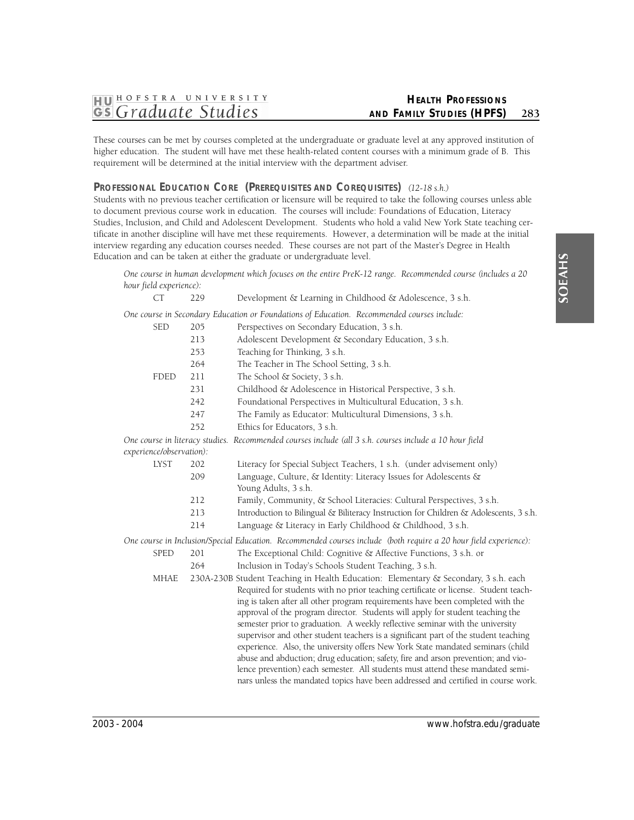These courses can be met by courses completed at the undergraduate or graduate level at any approved institution of higher education. The student will have met these health-related content courses with a minimum grade of B. This requirement will be determined at the initial interview with the department adviser.

# **PROFESSIONAL EDUCATION CORE (PREREQUISITES AND COREQUISITES)** *(12-18 s.h.)*

Students with no previous teacher certification or licensure will be required to take the following courses unless able to document previous course work in education. The courses will include: Foundations of Education, Literacy Studies, Inclusion, and Child and Adolescent Development. Students who hold a valid New York State teaching certificate in another discipline will have met these requirements. However, a determination will be made at the initial interview regarding any education courses needed. These courses are not part of the Master's Degree in Health Education and can be taken at either the graduate or undergraduate level.

*One course in human development which focuses on the entire PreK-12 range. Recommended course (includes a 20 hour field experience):* 

| <b>CT</b>                | 229 | Development & Learning in Childhood & Adolescence, 3 s.h.                                                                                                           |  |  |
|--------------------------|-----|---------------------------------------------------------------------------------------------------------------------------------------------------------------------|--|--|
|                          |     | One course in Secondary Education or Foundations of Education. Recommended courses include:                                                                         |  |  |
| <b>SED</b>               | 205 | Perspectives on Secondary Education, 3 s.h.                                                                                                                         |  |  |
|                          | 213 | Adolescent Development & Secondary Education, 3 s.h.                                                                                                                |  |  |
|                          | 253 | Teaching for Thinking, 3 s.h.                                                                                                                                       |  |  |
|                          | 264 | The Teacher in The School Setting, 3 s.h.                                                                                                                           |  |  |
| <b>FDED</b>              | 211 | The School & Society, 3 s.h.                                                                                                                                        |  |  |
|                          | 231 | Childhood & Adolescence in Historical Perspective, 3 s.h.                                                                                                           |  |  |
|                          | 242 | Foundational Perspectives in Multicultural Education, 3 s.h.                                                                                                        |  |  |
|                          | 247 | The Family as Educator: Multicultural Dimensions, 3 s.h.                                                                                                            |  |  |
|                          | 252 | Ethics for Educators, 3 s.h.                                                                                                                                        |  |  |
|                          |     | One course in literacy studies. Recommended courses include (all 3 s.h. courses include a 10 hour field                                                             |  |  |
| experience/observation): |     |                                                                                                                                                                     |  |  |
| <b>LYST</b>              | 202 | Literacy for Special Subject Teachers, 1 s.h. (under advisement only)                                                                                               |  |  |
|                          | 209 | Language, Culture, & Identity: Literacy Issues for Adolescents &<br>Young Adults, 3 s.h.                                                                            |  |  |
|                          | 212 | Family, Community, & School Literacies: Cultural Perspectives, 3 s.h.                                                                                               |  |  |
|                          | 213 | Introduction to Bilingual & Biliteracy Instruction for Children & Adolescents, 3 s.h.                                                                               |  |  |
|                          | 214 | Language & Literacy in Early Childhood & Childhood, 3 s.h.                                                                                                          |  |  |
|                          |     | One course in Inclusion/Special Education. Recommended courses include (both require a 20 hour field experience):                                                   |  |  |
| <b>SPED</b>              | 201 | The Exceptional Child: Cognitive & Affective Functions, 3 s.h. or                                                                                                   |  |  |
|                          | 264 | Inclusion in Today's Schools Student Teaching, 3 s.h.                                                                                                               |  |  |
| <b>MHAE</b>              |     | 230A-230B Student Teaching in Health Education: Elementary & Secondary, 3 s.h. each                                                                                 |  |  |
|                          |     | Required for students with no prior teaching certificate or license. Student teach-                                                                                 |  |  |
|                          |     | ing is taken after all other program requirements have been completed with the                                                                                      |  |  |
|                          |     | approval of the program director. Students will apply for student teaching the                                                                                      |  |  |
|                          |     | semester prior to graduation. A weekly reflective seminar with the university                                                                                       |  |  |
|                          |     | supervisor and other student teachers is a significant part of the student teaching                                                                                 |  |  |
|                          |     | experience. Also, the university offers New York State mandated seminars (child                                                                                     |  |  |
|                          |     | abuse and abduction; drug education; safety, fire and arson prevention; and vio-                                                                                    |  |  |
|                          |     | lence prevention) each semester. All students must attend these mandated semi-<br>nars unless the mandated topics have been addressed and certified in course work. |  |  |
|                          |     |                                                                                                                                                                     |  |  |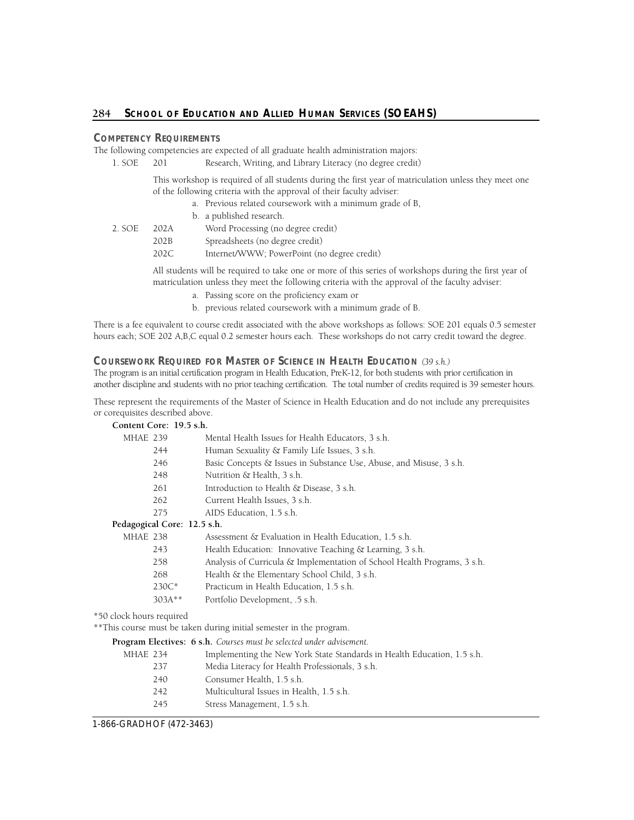# **COMPETENCY REQUIREMENTS**

The following competencies are expected of all graduate health administration majors:

| 1. SOE | - 201 | Research, Writing, and Library Literacy (no degree credit) |  |
|--------|-------|------------------------------------------------------------|--|
|--------|-------|------------------------------------------------------------|--|

This workshop is required of all students during the first year of matriculation unless they meet one of the following criteria with the approval of their faculty adviser:

- a. Previous related coursework with a minimum grade of B,
	- b. a published research.

| 2. SOE | 202A                 | Word Processing (no degree credit) |
|--------|----------------------|------------------------------------|
|        | $\sim$ $\sim$ $\sim$ |                                    |

202B Spreadsheets (no degree credit)

202C Internet/WWW; PowerPoint (no degree credit)

All students will be required to take one or more of this series of workshops during the first year of matriculation unless they meet the following criteria with the approval of the faculty adviser:

- a. Passing score on the proficiency exam or
- b. previous related coursework with a minimum grade of B.

hours each; SOE 202 A,B,C equal 0.2 semester hours each. These workshops do not carry credit toward the degree. There is a fee equivalent to course credit associated with the above workshops as follows: SOE 201 equals 0.5 semester

# **COURSEWORK REQUIRED FOR MASTER OF SCIENCE IN HEALTH EDUCATION** *(39 s.h.)*

 The program is an initial certification program in Health Education, PreK-12, for both students with prior certification in another discipline and students with no prior teaching certification. The total number of credits required is 39 semester hours.

These represent the requirements of the Master of Science in Health Education and do not include any prerequisites or corequisites described above.

|          | Content Core: 19.5 s.h.     |                                                                          |
|----------|-----------------------------|--------------------------------------------------------------------------|
| MHAE 239 |                             | Mental Health Issues for Health Educators, 3 s.h.                        |
|          | 244                         | Human Sexuality & Family Life Issues, 3 s.h.                             |
|          | 246                         | Basic Concepts & Issues in Substance Use, Abuse, and Misuse, 3 s.h.      |
|          | 248                         | Nutrition & Health, 3 s.h.                                               |
|          | 261                         | Introduction to Health & Disease, 3 s.h.                                 |
|          | 262                         | Current Health Issues, 3 s.h.                                            |
|          | 275                         | AIDS Education, 1.5 s.h.                                                 |
|          | Pedagogical Core: 12.5 s.h. |                                                                          |
| MHAE 238 |                             | Assessment & Evaluation in Health Education, 1.5 s.h.                    |
|          | 243                         | Health Education: Innovative Teaching & Learning, 3 s.h.                 |
|          | 258                         | Analysis of Curricula & Implementation of School Health Programs, 3 s.h. |
|          | 268                         | Health & the Elementary School Child, 3 s.h.                             |
|          | $230C*$                     | Practicum in Health Education, 1.5 s.h.                                  |
|          | $303A**$                    | Portfolio Development, .5 s.h.                                           |
|          |                             |                                                                          |

\*50 clock hours required

\*\*This course must be taken during initial semester in the program.

**Program Electives: 6 s.h.** *Courses must be selected under advisement.* 

| MHAE 234 | Implementing the New York State Standards in Health Education, 1.5 s.h. |
|----------|-------------------------------------------------------------------------|
| 237      | Media Literacy for Health Professionals, 3 s.h.                         |
| 240      | Consumer Health, 1.5 s.h.                                               |
| 242      | Multicultural Issues in Health, 1.5 s.h.                                |
| 245      | Stress Management, 1.5 s.h.                                             |
|          |                                                                         |

1-866-GRADHOF (472-3463)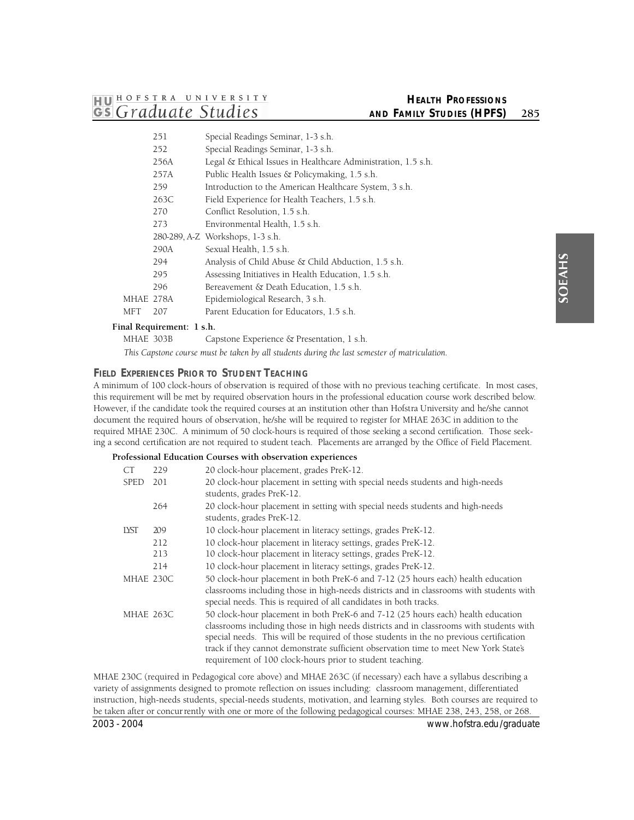# **HEALTH PROFESSIONS AND FAMILY STUDIES (HPFS)** 285

|           | 251  | Special Readings Seminar, 1-3 s.h.                            |
|-----------|------|---------------------------------------------------------------|
|           | 252  | Special Readings Seminar, 1-3 s.h.                            |
|           | 256A | Legal & Ethical Issues in Healthcare Administration, 1.5 s.h. |
|           | 257A | Public Health Issues & Policymaking, 1.5 s.h.                 |
|           | 259  | Introduction to the American Healthcare System, 3 s.h.        |
|           | 263C | Field Experience for Health Teachers, 1.5 s.h.                |
|           | 270  | Conflict Resolution, 1.5 s.h.                                 |
|           | 273  | Environmental Health, 1.5 s.h.                                |
|           |      | 280-289, A-Z Workshops, 1-3 s.h.                              |
|           | 290A | Sexual Health, 1.5 s.h.                                       |
|           | 294  | Analysis of Child Abuse & Child Abduction, 1.5 s.h.           |
|           | 295  | Assessing Initiatives in Health Education, 1.5 s.h.           |
|           | 296  | Bereavement & Death Education, 1.5 s.h.                       |
| MHAE 278A |      | Epidemiological Research, 3 s.h.                              |
| MFT       | 207  | Parent Education for Educators, 1.5 s.h.                      |
|           |      |                                                               |

# **Final Requirement: 1 s.h.**

MHAE 303B Capstone Experience & Presentation, 1 s.h.

*This Capstone course must be taken by all students during the last semester of matriculation.* 

# **FIELD EXPERIENCES PRIOR TO STUDENT TEACHING**

A minimum of 100 clock-hours of observation is required of those with no previous teaching certificate. In most cases, this requirement will be met by required observation hours in the professional education course work described below. However, if the candidate took the required courses at an institution other than Hofstra University and he/she cannot document the required hours of observation, he/she will be required to register for MHAE 263C in addition to the required MHAE 230C. A minimum of 50 clock-hours is required of those seeking a second certification. Those seeking a second certification are not required to student teach. Placements are arranged by the Office of Field Placement.

# **Professional Education Courses with observation experiences**

| CT          | 229 | 20 clock-hour placement, grades PreK-12.                                                                                                                                                                                                                                                                                                                                                                                     |
|-------------|-----|------------------------------------------------------------------------------------------------------------------------------------------------------------------------------------------------------------------------------------------------------------------------------------------------------------------------------------------------------------------------------------------------------------------------------|
| <b>SPED</b> | 201 | 20 clock-hour placement in setting with special needs students and high-needs<br>students, grades PreK-12.                                                                                                                                                                                                                                                                                                                   |
|             | 264 | 20 clock-hour placement in setting with special needs students and high-needs<br>students, grades PreK-12.                                                                                                                                                                                                                                                                                                                   |
| LYST        | 209 | 10 clock-hour placement in literacy settings, grades PreK-12.                                                                                                                                                                                                                                                                                                                                                                |
|             | 212 | 10 clock-hour placement in literacy settings, grades PreK-12.                                                                                                                                                                                                                                                                                                                                                                |
|             | 213 | 10 clock-hour placement in literacy settings, grades PreK-12.                                                                                                                                                                                                                                                                                                                                                                |
|             | 214 | 10 clock-hour placement in literacy settings, grades PreK-12.                                                                                                                                                                                                                                                                                                                                                                |
| MHAE 230C   |     | 50 clock-hour placement in both PreK-6 and 7-12 (25 hours each) health education<br>classrooms including those in high-needs districts and in classrooms with students with<br>special needs. This is required of all candidates in both tracks.                                                                                                                                                                             |
| MHAE 263C   |     | 50 clock-hour placement in both PreK-6 and 7-12 (25 hours each) health education<br>classrooms including those in high needs districts and in classrooms with students with<br>special needs. This will be required of those students in the no previous certification<br>track if they cannot demonstrate sufficient observation time to meet New York State's<br>requirement of 100 clock-hours prior to student teaching. |

MHAE 230C (required in Pedagogical core above) and MHAE 263C (if necessary) each have a syllabus describing a variety of assignments designed to promote reflection on issues including: classroom management, differentiated instruction, high-needs students, special-needs students, motivation, and learning styles. Both courses are required to be taken after or concur rently with one or more of the following pedagogical courses: MHAE 238, 243, 258, or 268.

2003 - 2004 www.hofstra.edu/graduate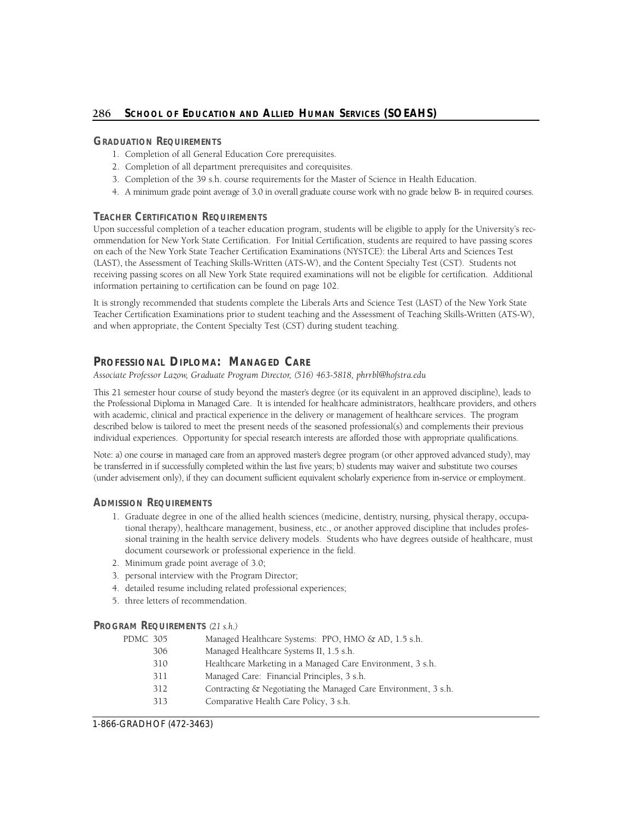# 286 School of Education and Allied Human Services (SOEAHS)

# **GRADUATION REQUIREMENTS**

- 1. Completion of all General Education Core prerequisites.
- 2. Completion of all department prerequisites and corequisites.
- 3. Completion of the 39 s.h. course requirements for the Master of Science in Health Education.
- 4. A minimum grade point average of 3.0 in overall graduate course work with no grade below B- in required courses.

# **TEACHER CERTIFICATION REQUIREMENTS**

Upon successful completion of a teacher education program, students will be eligible to apply for the University's recommendation for New York State Certification. For Initial Certification, students are required to have passing scores on each of the New York State Teacher Certification Examinations (NYSTCE): the Liberal Arts and Sciences Test (LAST), the Assessment of Teaching Skills-Written (ATS-W), and the Content Specialty Test (CST). Students not receiving passing scores on all New York State required examinations will not be eligible for certification. Additional information pertaining to certification can be found on page 102.

It is strongly recommended that students complete the Liberals Arts and Science Test (LAST) of the New York State Teacher Certification Examinations prior to student teaching and the Assessment of Teaching Skills-Written (ATS-W), and when appropriate, the Content Specialty Test (CST) during student teaching.

# Professional Diploma: Managed Care

Associate Professor Lazow, Graduate Program Director, (516) 463-5818, phrrbl@hofstra.edu

 This 21 semester hour course of study beyond the master's degree (or its equivalent in an approved discipline), leads to the Professional Diploma in Managed Care. It is intended for healthcare administrators, healthcare providers, and others with academic, clinical and practical experience in the delivery or management of healthcare services. The program described below is tailored to meet the present needs of the seasoned professional(s) and complements their previous individual experiences. Opportunity for special research interests are afforded those with appropriate qualifications.

 Note: a) one course in managed care from an approved master's degree program (or other approved advanced study), may be transferred in if successfully completed within the last five years; b) students may waiver and substitute two courses (under advisement only), if they can document sufficient equivalent scholarly experience from in-service or employment.

# **ADMISSION REQUIREMENTS**

- 1. Graduate degree in one of the allied health sciences (medicine, dentistry, nursing, physical therapy, occupational therapy), healthcare management, business, etc., or another approved discipline that includes professional training in the health service delivery models. Students who have degrees outside of healthcare, must document coursework or professional experience in the field.
- 2. Minimum grade point average of 3.0;
- 3. personal interview with the Program Director;
- 4. detailed resume including related professional experiences;
- 5. three letters of recommendation.

# **PROGRAM REQUIREMENTS** *(21 s.h.)*

| PDMC 305 | Managed Healthcare Systems: PPO, HMO & AD, 1.5 s.h.            |
|----------|----------------------------------------------------------------|
| 306      | Managed Healthcare Systems II, 1.5 s.h.                        |
| 310      | Healthcare Marketing in a Managed Care Environment, 3 s.h.     |
| 311      | Managed Care: Financial Principles, 3 s.h.                     |
| 312      | Contracting & Negotiating the Managed Care Environment, 3 s.h. |
| 313      | Comparative Health Care Policy, 3 s.h.                         |
|          |                                                                |

1-866-GRADHOF (472-3463)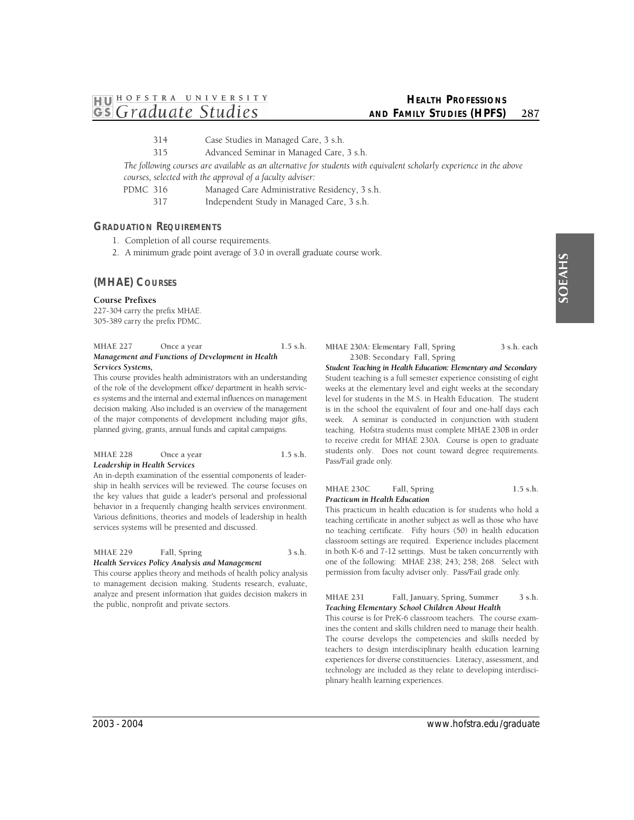- **1HJ01 HOFSTRA UNIVER <sup>S</sup> ITY**  *~ Graduate Studies* 
	- 314 Case Studies in Managed Care, 3 s.h.
	- 315 Advanced Seminar in Managed Care, 3 s.h.

The following courses are available as an alternative for students with equivalent scholarly experience in the above *courses, selected with the approval of a faculty adviser:* 

PDMC 316 Managed Care Administrative Residency, 3 s.h.

317 Independent Study in Managed Care, 3 s.h.

# **GRADUATION REQUIREMENTS**

- 1. Completion of all course requirements.
- 2. A minimum grade point average of 3.0 in overall graduate course work.

# **(MHAE) COURSES**

# **Course Prefixes**

227-304 carry the prefix MHAE. 305-389 carry the prefix PDMC.

MHAE 227 Once a year 1.5 s.h. *Management and Functions of Development in Health Services Systems,* 

 This course provides health administrators with an understanding es systems and the internal and external influences on management of the major components of development including major gifts, of the role of the development office/ department in health servicdecision making. Also included is an overview of the management planned giving, grants, annual funds and capital campaigns.

# MHAE 228 Once a year 1.5 s.h. *Leadership in Health Services*

An in-depth examination of the essential components of leadership in health services will be reviewed. The course focuses on the key values that guide a leader's personal and professional behavior in a frequently changing health services environment. Various definitions, theories and models of leadership in health services systems will be presented and discussed.

# MHAE 229 Fall, Spring 3 s.h. *Health Services Policy Analysis and Management*

This course applies theory and methods of health policy analysis to management decision making. Students research, evaluate, analyze and present information that guides decision makers in the public, nonprofit and private sectors.

**MHAE 230A: Elementary Fall, Spring 3 s.h. each 230B: Secondary Fall, Spring** 

*Student Teaching in Health Education: Elementary and Secondary*  Student teaching is a full semester experience consisting of eight weeks at the elementary level and eight weeks at the secondary level for students in the M.S. in Health Education. The student is in the school the equivalent of four and one-half days each week. A seminar is conducted in conjunction with student teaching. Hofstra students must complete MHAE 230B in order to receive credit for MHAE 230A. Course is open to graduate students only. Does not count toward degree requirements. Pass/Fail grade only.

# **MHAE 230C Fall, Spring 1.5 s.h.**  *Practicum in Health Education*

This practicum in health education is for students who hold a teaching certificate in another subject as well as those who have no teaching certificate. Fifty hours (50) in health education classroom settings are required. Experience includes placement in both K-6 and 7-12 settings. Must be taken concurrently with one of the following: MHAE 238; 243; 258; 268. Select with permission from faculty adviser only. Pass/Fail grade only.

# **MHAE 231 Fall, January, Spring, Summer 3 s.h.**  *Teaching Elementary School Children About Health*

This course is for PreK-6 classroom teachers. The course examines the content and skills children need to manage their health. The course develops the competencies and skills needed by teachers to design interdisciplinary health education learning experiences for diverse constituencies. Literacy, assessment, and technology are included as they relate to developing interdisciplinary health learning experiences.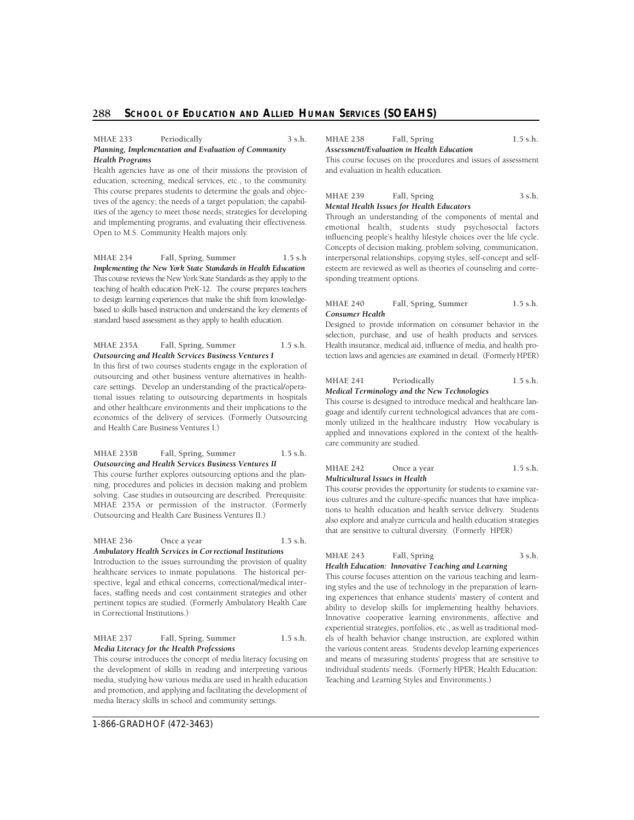#### **MHAE 233 Periodically 3 s.h.**  *Planning, Implementation and Evaluation of Community Health Programs*

Health agencies have as one of their missions the provision of education, screening, medical services, etc., to the community. This course prepares students to determine the goals and objectives of the agency; the needs of a target population; the capabilities of the agency to meet those needs; strategies for developing and implementing programs, and evaluating their effectiveness. Open to M.S. Community Health majors only.

 *Implementing the New York State Standards in Health Education*  This course reviews the New York State Standards as they apply to the teaching of health education PreK-12. The course prepares teachers to design learning experiences that make the shift from knowledge- based to skills based instruction and understand the key elements of standard based assessment as they apply to health education. **MHAE 234 Fall, Spring, Summer 1.5 s.h** 

#### **MHAE 235A Fall, Spring, Summer 1.5 s.h.**  *Outsourcing and Health Services Business Ventures I*

In this first of two courses students engage in the exploration of outsourcing and other business venture alternatives in healthcare settings. Develop an understanding of the practical/operational issues relating to outsourcing departments in hospitals and other healthcare environments and their implications to the economics of the delivery of services. (Formerly Outsourcing and Health Care Business Ventures I.)

# **MHAE 235B Fall, Spring, Summer 1.5 s.h.**  *Outsourcing and Health Services Business Ventures II*

MHAE 235A or permission of the instructor. (Formerly This course further explores outsourcing options and the planning, procedures and policies in decision making and problem solving. Case studies in outsourcing are described. Prerequisite: Outsourcing and Health Care Business Ventures II.)

MHAE 236 Once a year 1.5 s.h. *Ambulatory Health Services in Correctional Institutions* 

Introduction to the issues surrounding the provision of quality healthcare services to inmate populations. The historical perspective, legal and ethical concerns, correctional/medical interfaces, staffing needs and cost containment strategies and other pertinent topics are studied. (Formerly Ambulatory Health Care in Correctional Institutions.)

#### **MHAE 237 Fall, Spring, Summer 1.5 s.h.**  *Media Literacy for the Health Professions*

This course introduces the concept of media literacy focusing on the development of skills in reading and interpreting various media, studying how various media are used in health education and promotion, and applying and facilitating the development of media literacy skills in school and community settings.

**MHAE 238 Fall, Spring 1.5 s.h.** 

*Assessment/Evaluation in Health Education*  This course focuses on the procedures and issues of assessment and evaluation in health education.

MHAE 239 Fall, Spring 3 s.h. *Mental Health Issues for Health Educators* 

Through an understanding of the components of mental and emotional health, students study psychosocial factors influencing people's healthy lifestyle choices over the life cycle. Concepts of decision making, problem solving, communication, interpersonal relationships, copying styles, self-concept and selfesteem are reviewed as well as theories of counseling and corresponding treatment options.

#### **MHAE 240 Fall, Spring, Summer 1.5 s.h.**  *Consumer Health*

 Designed to provide information on consumer behavior in the selection, purchase, and use of health products and services. tection laws and agencies are examined in detail. (Formerly HPER) Health insurance, medical aid, influence of media, and health pro-

#### **MHAE 241 Periodically 1.5 s.h.**  *Medical Terminology and the New Technologies*

This course is designed to introduce medical and healthcare language and identify current technological advances that are commonly utilized in the healthcare industry. How vocabulary is applied and innovations explored in the context of the healthcare community are studied.

#### MHAE 242 Once a year 1.5 s.h. *Multicultural Issues in Health*

 This course provides the opportunity for students to examine var- ious cultures and the culture-specific nuances that have implica- tions to health education and health service delivery. Students that are sensitive to cultural diversity. (Formerly HPER) also explore and analyze curricula and health education strategies

#### MHAE 243 Fall, Spring 3 s.h. *Health Education: Innovative Teaching and Learning*

This course focuses attention on the various teaching and learning styles and the use of technology in the preparation of learning experiences that enhance students' mastery of content and ability to develop skills for implementing healthy behaviors. Innovative cooperative learning environments, affective and experiential strategies, portfolios, etc., as well as traditional models of health behavior change instruction, are explored within the various content areas. Students develop learning experiences and means of measuring students' progress that are sensitive to individual students' needs. (Formerly HPER; Health Education: Teaching and Learning Styles and Environments.)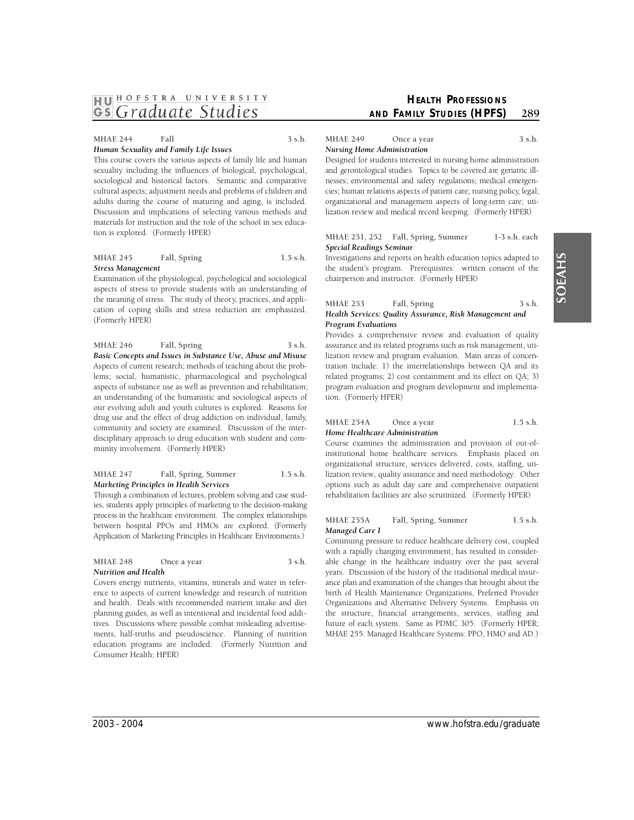# **MHAE 244 Fall 3 s.h.**

tion is explored. (Formerly HPER)

*Human Sexuality and Family Life Issues*  This course covers the various aspects of family life and human sexuality including the influences of biological, psychological, sociological and historical factors. Semantic and comparative cultural aspects; adjustment needs and problems of children and adults during the course of maturing and aging, is included. Discussion and implications of selecting various methods and

**MHAE 245 Fall, Spring 1.5 s.h.**  *Stress Management* 

materials for instruction and the role of the school in sex educa-

Examination of the physiological, psychological and sociological aspects of stress to provide students with an understanding of the meaning of stress. The study of theory, practices, and application of coping skills and stress reduction are emphasized. (Formerly HPER)

 *Basic Concepts and Issues in Substance Use, Abuse and Misuse*  MHAE 246 Fall, Spring 3 s.h. Aspects of current research; methods of teaching about the problems; social, humanistic, pharmacological and psychological aspects of substance use as well as prevention and rehabilitation; an understanding of the humanistic and sociological aspects of our evolving adult and youth cultures is explored. Reasons for drug use and the effect of drug addiction on individual, family, community and society are examined. Discussion of the interdisciplinary approach to drug education with student and community involvement. (Formerly HPER)

# **MHAE 247 Fall, Spring, Summer 1.5 s.h.**  *Marketing Principles in Health Services*

 ies, students apply principles of marketing to the decision-making between hospital PPOs and HMOs are explored. (Formerly Through a combination of lectures, problem solving and case studprocess in the healthcare environment. The complex relationships Application of Marketing Principles in Healthcare Environments.)

# MHAE 248 Once a year 3 s.h. *Nutrition and Health*

Covers energy nutrients, vitamins, minerals and water in reference to aspects of current knowledge and research of nutrition and health. Deals with recommended nutrient intake and diet planning guides, as well as intentional and incidental food additives. Discussions where possible combat misleading advertisements, half-truths and pseudoscience. Planning of nutrition education programs are included. (Formerly Nutrition and Consumer Health; HPER)

MHAE 249 Once a year 3 s.h. *Nursing Home Administration* 

 Designed for students interested in nursing home administration nesses; environmental and safety regulations; medical emergen- organizational and management aspects of long-term care; utilization review and medical record keeping. (Formerly HPER) and gerontological studies. Topics to be covered are geriatric illcies; human relations aspects of patient care; nursing policy, legal;

#### **MHAE 251, 252 Fall, Spring, Summer 1-3 s.h. each**  *Special Readings Seminar*

Investigations and reports on health education topics adapted to the student's program. Prerequisites: written consent of the chairperson and instructor. (Formerly HPER)

# MHAE 253 Fall, Spring 3 s.h. *Health Services: Quality Assurance, Risk Management and Program Evaluations*

Provides a comprehensive review and evaluation of quality assurance and its related programs such as risk management, utilization review and program evaluation. Main areas of concentration include: 1) the interrelationships between QA and its related programs; 2) cost containment and its effect on QA; 3) program evaluation and program development and implementation. (Formerly HPER)

# MHAE 254A Once a year 1.5 s.h. *Home Healthcare Administration*

Course examines the administration and provision of out-ofinstitutional home healthcare services. Emphasis placed on organizational structure, services delivered, costs, staffing, utilization review, quality assurance and need methodology. Other options such as adult day care and comprehensive outpatient rehabilitation facilities are also scrutinized. (Formerly HPER)

# **MHAE 255A Fall, Spring, Summer 1.5 s.h.**  *Managed Care I*

Continuing pressure to reduce healthcare delivery cost, coupled with a rapidly changing environment, has resulted in considerable change in the healthcare industry over the past several years. Discussion of the history of the traditional medical insurance plan and examination of the changes that brought about the birth of Health Maintenance Organizations, Preferred Provider Organizations and Alternative Delivery Systems. Emphasis on the structure, financial arrangements, services, staffing and future of each system. Same as PDMC 305. (Formerly HPER; MHAE 255. Managed Healthcare Systems: PPO, HMO and AD.)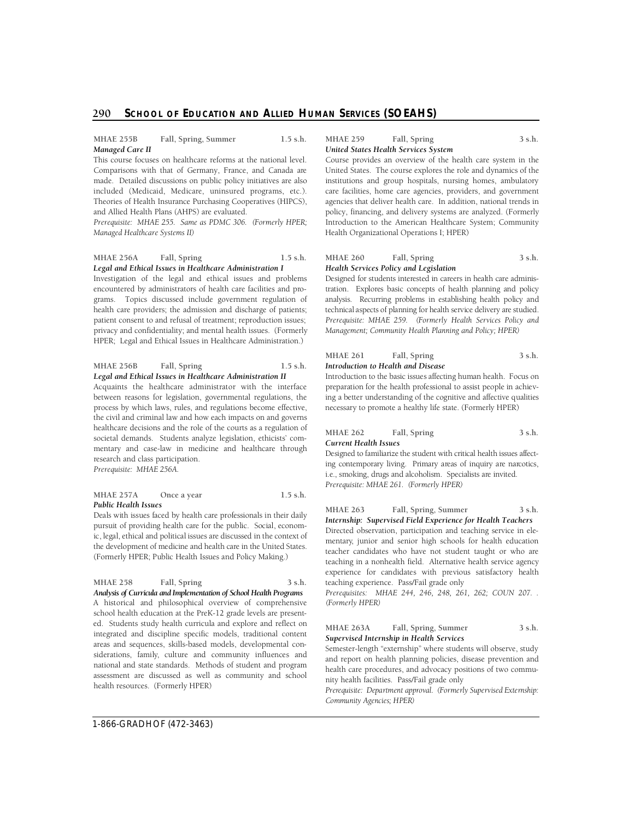# 290 School of Education and Allied Human Services (SOEAHS)

#### **MHAE 255B Fall, Spring, Summer 1.5 s.h.**  *Managed Care II*

 included (Medicaid, Medicare, uninsured programs, etc.). This course focuses on healthcare reforms at the national level. Comparisons with that of Germany, France, and Canada are made. Detailed discussions on public policy initiatives are also Theories of Health Insurance Purchasing Cooperatives (HIPCS), and Allied Health Plans (AHPS) are evaluated.

*Prerequisite: MHAE 255. Same as PDMC 306. (Formerly HPER; Managed Healthcare Systems II)* 

#### **MHAE 256A Fall, Spring 1.5 s.h.**  *Legal and Ethical Issues in Healthcare Administration I*

Investigation of the legal and ethical issues and problems encountered by administrators of health care facilities and programs. Topics discussed include government regulation of health care providers; the admission and discharge of patients; patient consent to and refusal of treatment; reproduction issues; privacy and confidentiality; and mental health issues. (Formerly HPER; Legal and Ethical Issues in Healthcare Administration.)

#### **MHAE 256B Fall, Spring 1.5 s.h.**  *Legal and Ethical Issues in Healthcare Administration II*

Acquaints the healthcare administrator with the interface between reasons for legislation, governmental regulations, the process by which laws, rules, and regulations become effective, the civil and criminal law and how each impacts on and governs healthcare decisions and the role of the courts as a regulation of societal demands. Students analyze legislation, ethicists' commentary and case-law in medicine and healthcare through research and class participation. *Prerequisite: MHAE 256A.* 

#### MHAE 257A Once a year 1.5 s.h. *Public Health Issues*

 Deals with issues faced by health care professionals in their daily pursuit of providing health care for the public. Social, econom- ic, legal, ethical and political issues are discussed in the context of the development of medicine and health care in the United States. (Formerly HPER; Public Health Issues and Policy Making.)

# MHAE 258 Fall, Spring 3 s.h.

 *Analysis of Curricula and Implementation of School Health Programs*  A historical and philosophical overview of comprehensive siderations, family, culture and community influences and school health education at the PreK-12 grade levels are presented. Students study health curricula and explore and reflect on integrated and discipline specific models, traditional content areas and sequences, skills-based models, developmental connational and state standards. Methods of student and program assessment are discussed as well as community and school health resources. (Formerly HPER)

# MHAE 259 Fall, Spring 3 s.h.

*United States Health Services System* 

Course provides an overview of the health care system in the United States. The course explores the role and dynamics of the institutions and group hospitals, nursing homes, ambulatory care facilities, home care agencies, providers, and government agencies that deliver health care. In addition, national trends in policy, financing, and delivery systems are analyzed. (Formerly Introduction to the American Healthcare System; Community Health Organizational Operations I; HPER)

#### MHAE 260 Fall, Spring 3 s.h. *Health Services Policy and Legislation*

 Designed for students interested in careers in health care adminis- tration. Explores basic concepts of health planning and policy analysis. Recurring problems in establishing health policy and technical aspects of planning for health service delivery are studied. *Prerequisite: MHAE 259. (Formerly Health Services Policy and Management; Community Health Planning and Policy; HPER)* 

#### **MHAE 261 Fall, Spring 3 s.h.**  *Introduction to Health and Disease*

preparation for the health professional to assist people in achiev- ing a better understanding of the cognitive and affective qualities necessary to promote a healthy life state. (Formerly HPER) Introduction to the basic issues affecting human health. Focus on

#### **MHAE 262 Fall, Spring 3 s.h.**  *Current Health Issues*

Designed to familiarize the student with critical health issues affecting contemporary living. Primary areas of inquiry are narcotics, i.e., smoking, drugs and alcoholism. Specialists are invited. *Prerequisite: MHAE 261. (Formerly HPER)* 

 experience for candidates with previous satisfactory health **MHAE 263 Fall, Spring, Summer 3 s.h.**  *Internship: Supervised Field Experience for Health Teachers*  Directed observation, participation and teaching service in elementary, junior and senior high schools for health education teacher candidates who have not student taught or who are teaching in a nonhealth field. Alternative health service agency teaching experience. Pass/Fail grade only

*Prerequisites: MHAE 244, 246, 248, 261, 262; COUN 207. . (Formerly HPER)* 

#### **MHAE 263A Fall, Spring, Summer 3 s.h.**  *Supervised Internship in Health Services*

Semester-length "externship" where students will observe, study and report on health planning policies, disease prevention and health care procedures, and advocacy positions of two community health facilities. Pass/Fail grade only

Prerequisite: Department approval. (Formerly Supervised Externship: *Community Agencies; HPER)*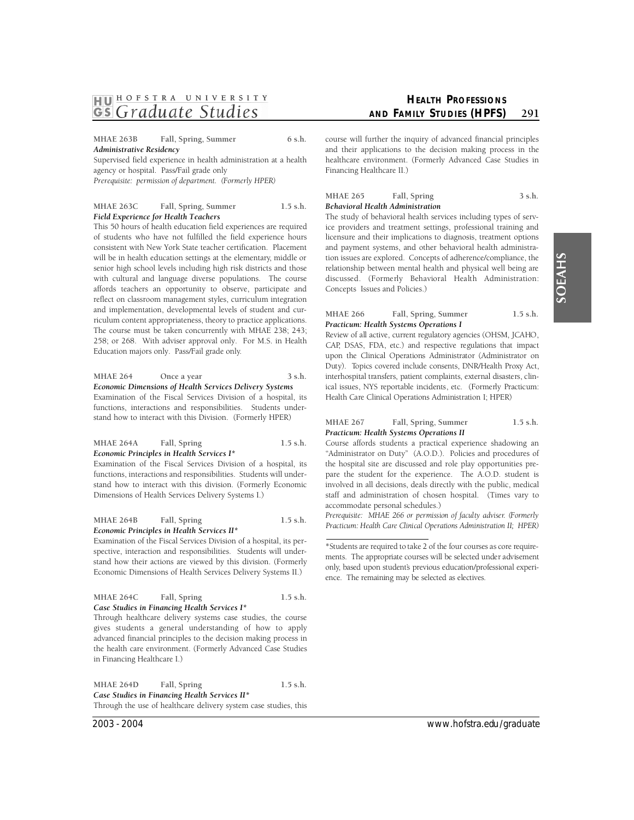**MHAE 263B Fall, Spring, Summer 6 s.h.**  *Administrative Residency* 

Supervised field experience in health administration at a health agency or hospital. Pass/Fail grade only

*Prerequisite: permission of department. (Formerly HPER)* 

# **MHAE 263C Fall, Spring, Summer 1.5 s.h.**  *Field Experience for Health Teachers*

This 50 hours of health education field experiences are required of students who have not fulfilled the field experience hours consistent with New York State teacher certification. Placement will be in health education settings at the elementary, middle or senior high school levels including high risk districts and those with cultural and language diverse populations. The course affords teachers an opportunity to observe, participate and reflect on classroom management styles, curriculum integration and implementation, developmental levels of student and curriculum content appropriateness, theory to practice applications. The course must be taken concurrently with MHAE 238; 243; 258; or 268. With adviser approval only. For M.S. in Health Education majors only. Pass/Fail grade only.

MHAE 264 Once a year 3 s.h. *Economic Dimensions of Health Services Delivery Systems*  Examination of the Fiscal Services Division of a hospital, its functions, interactions and responsibilities. Students understand how to interact with this Division. (Formerly HPER)

# **MHAE 264A Fall, Spring 1.5 s.h.**  *Economic Principles in Health Services I\**

Examination of the Fiscal Services Division of a hospital, its functions, interactions and responsibilities. Students will understand how to interact with this division. (Formerly Economic Dimensions of Health Services Delivery Systems I.)

**MHAE 264B Fall, Spring 1.5 s.h.**  *Economic Principles in Health Services II\** 

Examination of the Fiscal Services Division of a hospital, its perspective, interaction and responsibilities. Students will understand how their actions are viewed by this division. (Formerly Economic Dimensions of Health Services Delivery Systems II.)

| MHAE 264C | Fall, Spring                                 | $1.5$ s.h. |
|-----------|----------------------------------------------|------------|
|           | Case Studies in Financing Health Services I* |            |

 gives students a general understanding of how to apply Through healthcare delivery systems case studies, the course advanced financial principles to the decision making process in the health care environment. (Formerly Advanced Case Studies in Financing Healthcare I.)

MHAE 264D Fall, Spring 1.5 s.h. *Case Studies in Financing Health Services II\**  Through the use of healthcare delivery system case studies, this course will further the inquiry of advanced financial principles and their applications to the decision making process in the healthcare environment. (Formerly Advanced Case Studies in Financing Healthcare II.)

MHAE 265 Fall, Spring 3 s.h. *Behavioral Health Administration* 

The study of behavioral health services including types of service providers and treatment settings, professional training and licensure and their implications to diagnosis, treatment options and payment systems, and other behavioral health administration issues are explored. Concepts of adherence/compliance, the relationship between mental health and physical well being are discussed. (Formerly Behavioral Health Administration: Concepts Issues and Policies.)

#### **MHAE 266 Fall, Spring, Summer 1.5 s.h.**  *Practicum: Health Systems Operations I*

CAP, DSAS, FDA, etc.) and respective regulations that impact Duty). Topics covered include consents, DNR/Health Proxy Act, ical issues, NYS reportable incidents, etc. (Formerly Practicum: Review of all active, current regulatory agencies (OHSM, JCAHO, upon the Clinical Operations Administrator (Administrator on interhospital transfers, patient complaints, external disasters, clin-Health Care Clinical Operations Administration I; HPER)

# **MHAE 267 Fall, Spring, Summer 1.5 s.h.**  *Practicum: Health Systems Operations II*

Course affords students a practical experience shadowing an "Administrator on Duty" (A.O.D.). Policies and procedures of the hospital site are discussed and role play opportunities prepare the student for the experience. The A.O.D. student is involved in all decisions, deals directly with the public, medical staff and administration of chosen hospital. (Times vary to accommodate personal schedules.)

*Prerequisite: MHAE 266 or permission of faculty adviser. (Formerly Practicum: Health Care Clinical Operations Administration II; HPER)* 

<sup>\*</sup>Students are required to take 2 of the four courses as core require- ence. The remaining may be selected as electives. ments. The appropriate courses will be selected under advisement only, based upon student's previous education/professional experi-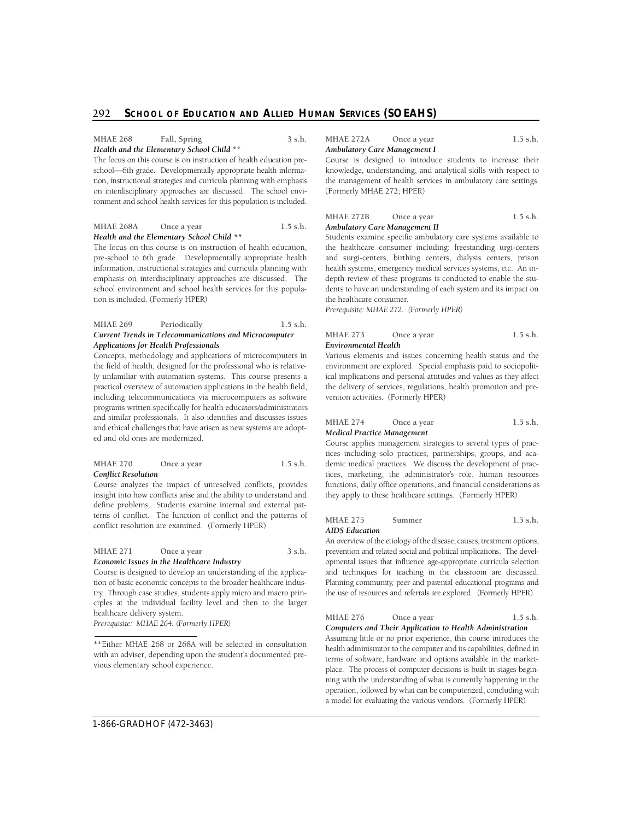#### MHAE 268 Fall, Spring 3 s.h. *Health and the Elementary School Child \*\**

The focus on this course is on instruction of health education preschool—6th grade. Developmentally appropriate health informaon interdisciplinary approaches are discussed. The school envition, instructional strategies and curricula planning with emphasis ronment and school health services for this population is included.

#### MHAE 268A Once a year 1.5 s.h. *Health and the Elementary School Child \*\**

The focus on this course is on instruction of health education, pre-school to 6th grade. Developmentally appropriate health information, instructional strategies and curricula planning with emphasis on interdisciplinary approaches are discussed. The school environment and school health services for this population is included. (Formerly HPER)

#### **MHAE 269 Periodically 1.5 s.h.**  *Current Trends in Telecommunications and Microcomputer Applications for Health Professionals*

Concepts, methodology and applications of microcomputers in the field of health, designed for the professional who is relatively unfamiliar with automation systems. This course presents a practical overview of automation applications in the health field, including telecommunications via microcomputers as software programs written specifically for health educators/administrators and similar professionals. It also identifies and discusses issues and ethical challenges that have arisen as new systems are adopted and old ones are modernized.

#### MHAE 270 Once a year 1.5 s.h. *Conflict Resolution*

Course analyzes the impact of unresolved conflicts, provides insight into how conflicts arise and the ability to understand and define problems. Students examine internal and external patterns of conflict. The function of conflict and the patterns of conflict resolution are examined. (Formerly HPER)

# MHAE 271 Once a year 3 s.h. *Economic Issues in the Healthcare Industry*

Course is designed to develop an understanding of the application of basic economic concepts to the broader healthcare industry. Through case studies, students apply micro and macro principles at the individual facility level and then to the larger healthcare delivery system.

*Prerequisite: MHAE 264. (Formerly HPER)* 

MHAE 272A Once a year 1.5 s.h. *Ambulatory Care Management I* 

Course is designed to introduce students to increase their knowledge, understanding, and analytical skills with respect to the management of health services in ambulatory care settings. (Formerly MHAE 272; HPER)

#### MHAE 272B Once a year 1.5 s.h. *Ambulatory Care Management II*

Students examine specific ambulatory care systems available to the healthcare consumer including: freestanding urgi-centers and surgi-centers, birthing centers, dialysis centers, prison health systems, emergency medical services systems, etc. An indepth review of these programs is conducted to enable the students to have an understanding of each system and its impact on the healthcare consumer.

*Prerequisite: MHAE 272. (Formerly HPER)* 

| <b>MHAE 273</b>      | Once a year | $1.5$ s.h. |
|----------------------|-------------|------------|
| Environmental Health |             |            |

Various elements and issues concerning health status and the environment are explored. Special emphasis paid to sociopolitical implications and personal attitudes and values as they affect the delivery of services, regulations, health promotion and prevention activities. (Formerly HPER)

| <b>MHAE 274</b>             | Once a year |  | $1.5$ s.h. |
|-----------------------------|-------------|--|------------|
| Medical Practice Management |             |  |            |

tices, marketing, the administrator's role, human resources Course applies management strategies to several types of practices including solo practices, partnerships, groups, and academic medical practices. We discuss the development of pracfunctions, daily office operations, and financial considerations as they apply to these healthcare settings. (Formerly HPER)

#### **MHAE 275** Summer 1.5 s.h. *AIDS Education*

 An overview of the etiology of the disease, causes, treatment options, prevention and related social and political implications. The devel- opmental issues that influence age-appropriate curricula selection and techniques for teaching in the classroom are discussed. the use of resources and referrals are explored. (Formerly HPER) Planning community, peer and parental educational programs and

#### MHAE 276 Once a year 1.5 s.h.

 Assuming little or no prior experience, this course introduces the terms of software, hardware and options available in the market- place. The process of computer decisions is built in stages begin- ning with the understanding of what is currently happening in the operation, followed by what can be computerized, concluding with a model for evaluating the various vendors. (Formerly HPER) *Computers and Their Application to Health Administration*  health administrator to the computer and its capabilities, defined in

<sup>\*\*</sup>Either MHAE 268 or 268A will be selected in consultation with an adviser, depending upon the student's documented previous elementary school experience.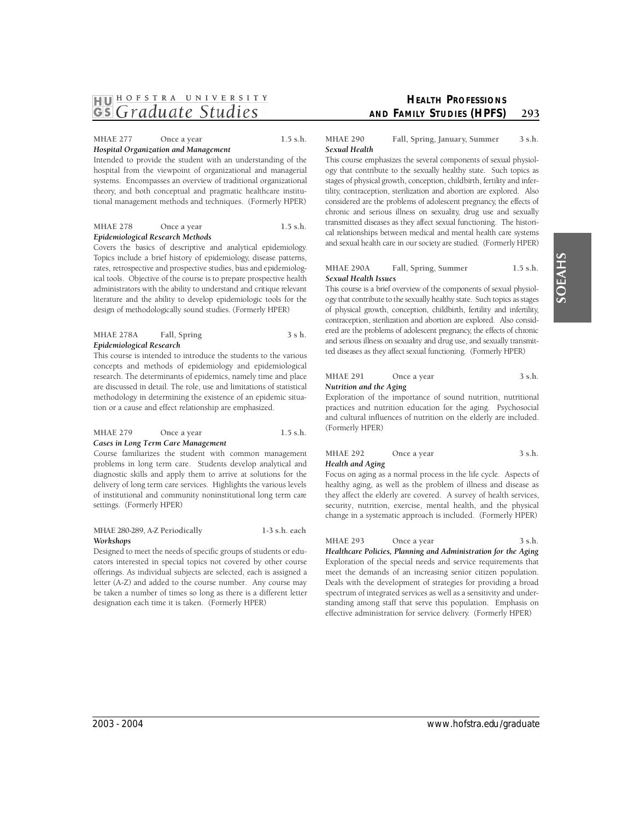# MHAE 277 Once a year 1.5 s.h. *Hospital Organization and Management*

Intended to provide the student with an understanding of the hospital from the viewpoint of organizational and managerial systems. Encompasses an overview of traditional organizational theory, and both conceptual and pragmatic healthcare institutional management methods and techniques. (Formerly HPER)

# MHAE 278 Once a year 1.5 s.h. *Epidemiological Research Methods*

 Covers the basics of descriptive and analytical epidemiology. Topics include a brief history of epidemiology, disease patterns, literature and the ability to develop epidemiologic tools for the rates, retrospective and prospective studies, bias and epidemiological tools. Objective of the course is to prepare prospective health administrators with the ability to understand and critique relevant design of methodologically sound studies. (Formerly HPER)

#### **MHAE 278A Fall, Spring 3 s h.**  *Epidemiological Research*

This course is intended to introduce the students to the various concepts and methods of epidemiology and epidemiological research. The determinants of epidemics, namely time and place are discussed in detail. The role, use and limitations of statistical methodology in determining the existence of an epidemic situation or a cause and effect relationship are emphasized.

# **MHAE 279** Once a year 1.5 s.h. *Cases in Long Term Care Management*

Course familiarizes the student with common management problems in long term care. Students develop analytical and diagnostic skills and apply them to arrive at solutions for the delivery of long term care services. Highlights the various levels of institutional and community noninstitutional long term care settings. (Formerly HPER)

#### **MHAE 280-289, A-Z Periodically 1-3 s.h. each**  *Workshops*

Designed to meet the needs of specific groups of students or educators interested in special topics not covered by other course offerings. As individual subjects are selected, each is assigned a letter (A-Z) and added to the course number. Any course may be taken a number of times so long as there is a different letter designation each time it is taken. (Formerly HPER)

# **HEALTH PROFESSIONS AND FAMILY STUDIES (HPFS)** 293

# **MHAE 290 Fall, Spring, January, Summer 3 s.h.**  *Sexual Health*

 This course emphasizes the several components of sexual physiol- ogy that contribute to the sexually healthy state. Such topics as stages of physical growth, conception, childbirth, fertility and infertility, contraception, sterilization and abortion are explored. Also considered are the problems of adolescent pregnancy, the effects of chronic and serious illness on sexuality, drug use and sexually transmitted diseases as they affect sexual functioning. The histori- cal relationships between medical and mental health care systems and sexual health care in our society are studied. (Formerly HPER)

#### **MHAE 290A Fall, Spring, Summer 1.5 s.h.**  *Sexual Health Issues*

 This course is a brief overview of the components of sexual physiol- ogy that contribute to the sexually healthy state. Such topics as stages of physical growth, conception, childbirth, fertility and infertility, contraception, sterilization and abortion are explored. Also consid- and serious illness on sexuality and drug use, and sexually transmit- ted diseases as they affect sexual functioning. (Formerly HPER) ered are the problems of adolescent pregnancy, the effects of chronic

#### MHAE 291 Once a year 3 s.h. *Nutrition and the Aging*

Exploration of the importance of sound nutrition, nutritional practices and nutrition education for the aging. Psychosocial and cultural influences of nutrition on the elderly are included. (Formerly HPER)

#### MHAE 292 Once a year 3 s.h. *Health and Aging*

Focus on aging as a normal process in the life cycle. Aspects of healthy aging, as well as the problem of illness and disease as they affect the elderly are covered. A survey of health services, security, nutrition, exercise, mental health, and the physical change in a systematic approach is included. (Formerly HPER)

MHAE 293 Once a year 3 s.h. *Healthcare Policies, Planning and Administration for the Aging* Exploration of the special needs and service requirements that meet the demands of an increasing senior citizen population. Deals with the development of strategies for providing a broad spectrum of integrated services as well as a sensitivity and understanding among staff that serve this population. Emphasis on

effective administration for service delivery. (Formerly HPER)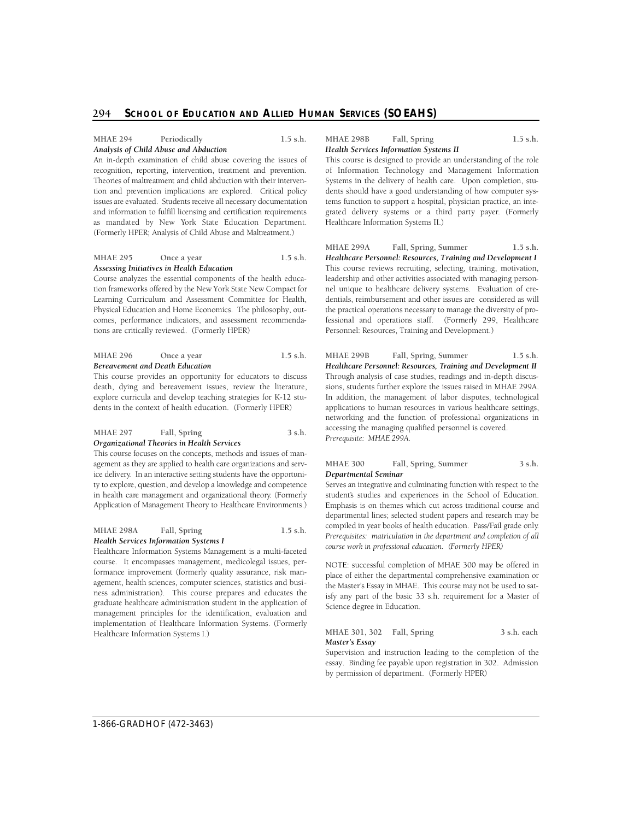# **MHAE 294 Periodically 1.5 s.h.**  *Analysis of Child Abuse and Abduction*

 An in-depth examination of child abuse covering the issues of issues are evaluated. Students receive all necessary documentation as mandated by New York State Education Department. (Formerly HPER; Analysis of Child Abuse and Maltreatment.) recognition, reporting, intervention, treatment and prevention. Theories of maltreatment and child abduction with their intervention and prevention implications are explored. Critical policy and information to fulfill licensing and certification requirements

#### **MHAE 295** Once a year 1.5 s.h. *Assessing Initiatives in Health Education*

Course analyzes the essential components of the health education frameworks offered by the New York State New Compact for Learning Curriculum and Assessment Committee for Health, Physical Education and Home Economics. The philosophy, outcomes, performance indicators, and assessment recommendations are critically reviewed. (Formerly HPER)

#### **MHAE 296** Once a year 1.5 s.h. *Bereavement and Death Education*

This course provides an opportunity for educators to discuss death, dying and bereavement issues, review the literature, explore curricula and develop teaching strategies for K-12 students in the context of health education. (Formerly HPER)

#### **MHAE 297 Fall, Spring 3 s.h.**  *Organizational Theories in Health Services*

 This course focuses on the concepts, methods and issues of man- agement as they are applied to health care organizations and service delivery. In an interactive setting students have the opportunity to explore, question, and develop a knowledge and competence in health care management and organizational theory. (Formerly Application of Management Theory to Healthcare Environments.)

**MHAE 298A Fall, Spring 1.5 s.h.**  *Health Services Information Systems I* 

Healthcare Information Systems Management is a multi-faceted course. It encompasses management, medicolegal issues, performance improvement (formerly quality assurance, risk management, health sciences, computer sciences, statistics and business administration). This course prepares and educates the graduate healthcare administration student in the application of management principles for the identification, evaluation and implementation of Healthcare Information Systems. (Formerly Healthcare Information Systems I.)

#### **MHAE 298B Fall, Spring 1.5 s.h.**  *Health Services Information Systems II*

This course is designed to provide an understanding of the role of Information Technology and Management Information Systems in the delivery of health care. Upon completion, students should have a good understanding of how computer systems function to support a hospital, physician practice, an integrated delivery systems or a third party payer. (Formerly Healthcare Information Systems II.)

 fessional and operations staff. (Formerly 299, Healthcare **MHAE 299A Fall, Spring, Summer 1.5 s.h.**  *Healthcare Personnel: Resources, Training and Development I*  This course reviews recruiting, selecting, training, motivation, leadership and other activities associated with managing personnel unique to healthcare delivery systems. Evaluation of credentials, reimbursement and other issues are considered as will the practical operations necessary to manage the diversity of pro-Personnel: Resources, Training and Development.)

**MHAE 299B Fall, Spring, Summer 1.5 s.h.**  Healthcare Personnel: Resources, Training and Development II Through analysis of case studies, readings and in-depth discussions, students further explore the issues raised in MHAE 299A. In addition, the management of labor disputes, technological applications to human resources in various healthcare settings, networking and the function of professional organizations in accessing the managing qualified personnel is covered. *Prerequisite: MHAE 299A.* 

#### **MHAE 300 Fall, Spring, Summer 3 s.h.**  *Departmental Seminar*

Serves an integrative and culminating function with respect to the Emphasis is on themes which cut across traditional course and departmental lines; selected student papers and research may be student's studies and experiences in the School of Education. compiled in year books of health education. Pass/Fail grade only. *Prerequisites: matriculation in the department and completion of all course work in professional education. (Formerly HPER)* 

NOTE: successful completion of MHAE 300 may be offered in place of either the departmental comprehensive examination or the Master's Essay in MHAE. This course may not be used to satisfy any part of the basic 33 s.h. requirement for a Master of Science degree in Education.

# **MHAE 301, 302 Fall, Spring 3 s.h. each**  *Master's Essay*

Supervision and instruction leading to the completion of the essay. Binding fee payable upon registration in 302. Admission by permission of department. (Formerly HPER)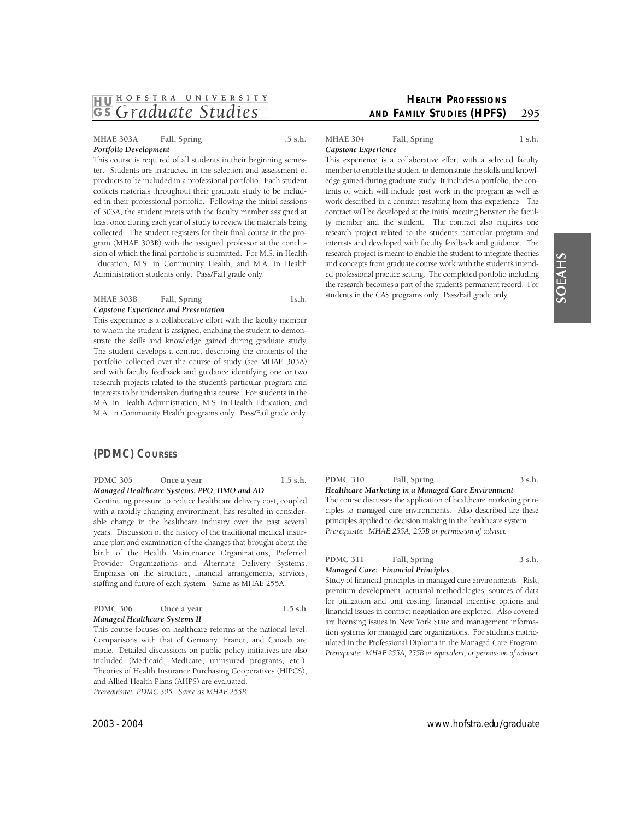# **MHAE 303A Fall, Spring .5 s.h.**  *Portfolio Development*

This course is required of all students in their beginning semester. Students are instructed in the selection and assessment of products to be included in a professional portfolio. Each student collects materials throughout their graduate study to be included in their professional portfolio. Following the initial sessions of 303A, the student meets with the faculty member assigned at least once during each year of study to review the materials being collected. The student registers for their final course in the program (MHAE 303B) with the assigned professor at the conclusion of which the final portfolio is submitted. For M.S. in Health Education, M.S. in Community Health, and M.A. in Health Administration students only. Pass/Fail grade only.

#### MHAE 303B Fall, Spring 1s.h. *Capstone Experience and Presentation*

This experience is a collaborative effort with the faculty member to whom the student is assigned, enabling the student to demon- The student develops a contract describing the contents of the portfolio collected over the course of study (see MHAE 303A) and with faculty feedback and guidance identifying one or two research projects related to the student's particular program and M.A. in Health Administration, M.S. in Health Education, and strate the skills and knowledge gained during graduate study. interests to be undertaken during this course. For students in the M.A. in Community Health programs only. Pass/Fail grade only.

# **(PDMC) COURSES**

**PDMC 305** Once a year 1.5 s.h. *Managed Healthcare Systems: PPO, HMO and AD* 

Continuing pressure to reduce healthcare delivery cost, coupled with a rapidly changing environment, has resulted in considerable change in the healthcare industry over the past several years. Discussion of the history of the traditional medical insurance plan and examination of the changes that brought about the birth of the Health Maintenance Organizations, Preferred Provider Organizations and Alternate Delivery Systems. Emphasis on the structure, financial arrangements, services, staffing and future of each system. Same as MHAE 255A.

| <b>PDMC 306</b>               | Once a year | $1.5$ s.h |  |
|-------------------------------|-------------|-----------|--|
| Managed Healthcare Systems II |             |           |  |

This course focuses on healthcare reforms at the national level. Comparisons with that of Germany, France, and Canada are made. Detailed discussions on public policy initiatives are also included (Medicaid, Medicare, uninsured programs, etc.). Theories of Health Insurance Purchasing Cooperatives (HIPCS), and Allied Health Plans (AHPS) are evaluated. *Prerequisite: PDMC 305. Same as MHAE 255B.* 

# MHAE 304 Fall, Spring 1 s.h. *Capstone Experience*

This experience is a collaborative effort with a selected faculty member to enable the student to demonstrate the skills and knowl- edge gained during graduate study. It includes a portfolio, the con- tents of which will include past work in the program as well as work described in a contract resulting from this experience. The ty member and the student. The contract also requires one research project related to the student's particular program and interests and developed with faculty feedback and guidance. The and concepts from graduate course work with the student's intend- ed professional practice setting. The completed portfolio including the research becomes a part of the student's permanent record. For students in the CAS programs only. Pass/Fail grade only. contract will be developed at the initial meeting between the faculresearch project is meant to enable the student to integrate theories

#### *Healthcare Marketing in a Managed Care Environment*  The course discusses the application of healthcare marketing prin-

 ciples to managed care environments. Also described are these principles applied to decision making in the healthcare system. *Prerequisite: MHAE 255A, 255B or permission of adviser.* 

PDMC 310 Fall, Spring 3 s.h.

# PDMC 311 Fall, Spring 3 s.h.

# *Managed Care: Financial Principles*

 p remium development, actuarial methodologies, sources of data for utilization and unit costing, financial incentive options and ulated in the Professional Diploma in the Managed Care Program. Prerequisite: MHAE 255A, 255B or equivalent, or permission of adviser. Study of financial principles in managed care environments. Risk, financial issues in contract negotiation are explored. Also covered are licensing issues in New York State and management information systems for managed care organizations. For students matric-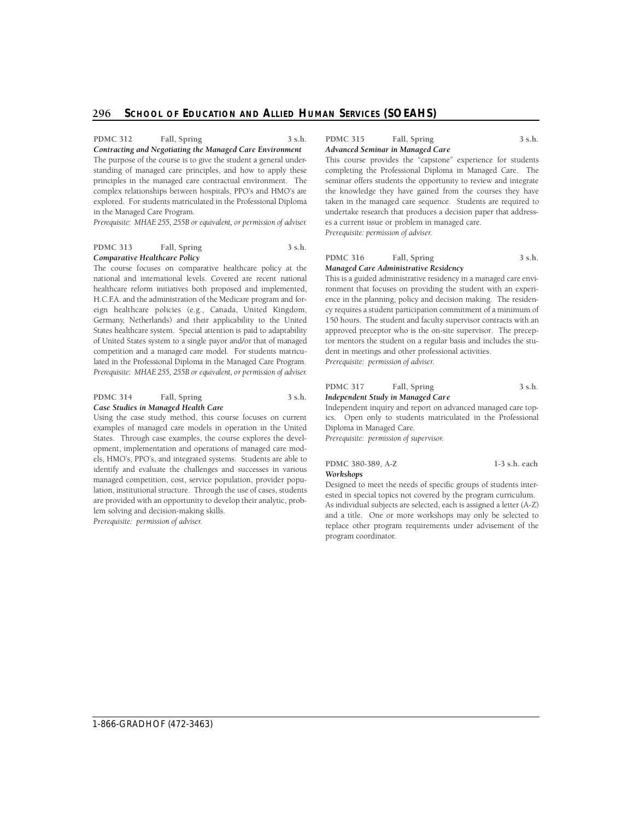PDMC 312 Fall, Spring 3 s.h.

*Contracting and Negotiating the Managed Care Environment*  The purpose of the course is to give the student a general understanding of managed care principles, and how to apply these principles in the managed care contractual environment. The complex relationships between hospitals, PPO's and HMO's are explored. For students matriculated in the Professional Diploma in the Managed Care Program.

Prerequisite: MHAE 255, 255B or equivalent, or permission of adviser.

# PDMC 313 Fall, Spring 3 s.h. *Comparative Healthcare Policy*

 The course focuses on comparative healthcare policy at the H. C . F.A. and the administration of the Medicare program and for- eign healthcare policies (e.g., Canada, United Kingdom, of United States system to a single payor and/or that of managed competition and a managed care model. For students matricu- lated in the Professional Diploma in the Managed Care Program. national and international levels. Covered are recent national healthcare reform initiatives both proposed and implemented, Germany, Netherlands) and their applicability to the United States healthcare system. Special attention is paid to adaptability Prerequisite: MHAE 255, 255B or equivalent, or permission of adviser.

#### PDMC 314 Fall, Spring 3 s.h. *Case Studies in Managed Health Care*

Using the case study method, this course focuses on current examples of managed care models in operation in the United States. Through case examples, the course explores the development, implementation and operations of managed care models, HMO's, PPO's, and integrated systems. Students are able to identify and evaluate the challenges and successes in various managed competition, cost, service population, provider population, institutional structure. Through the use of cases, students are provided with an opportunity to develop their analytic, problem solving and decision-making skills.

*Prerequisite: permission of adviser.* 

#### PDMC 315 Fall, Spring 3 s.h. *Advanced Seminar in Managed Care*

This course provides the "capstone" experience for students completing the Professional Diploma in Managed Care. The seminar offers students the opportunity to review and integrate the knowledge they have gained from the courses they have taken in the managed care sequence. Students are required to undertake research that produces a decision paper that addresses a current issue or problem in managed care. *Prerequisite: permission of adviser.* 

#### PDMC 316 Fall, Spring 3 s.h. *Managed Care Administrative Residency*

This is a guided administrative residency in a managed care environment that focuses on providing the student with an experience in the planning, policy and decision making. The residency requires a student participation commitment of a minimum of 150 hours. The student and faculty supervisor contracts with an approved preceptor who is the on-site supervisor. The preceptor mentors the student on a regular basis and includes the student in meetings and other professional activities. *Prerequisite: permission of adviser.* 

PDMC 317 Fall, Spring 3 s.h.

# *Independent Study in Managed Care*

Independent inquiry and report on advanced managed care topics. Open only to students matriculated in the Professional Diploma in Managed Care. *Prerequisite: permission of supervisor.* 

**PDMC 380-389, A-Z 1-3 s.h. each**  *Workshops* 

Designed to meet the needs of specific groups of students interested in special topics not covered by the program curriculum. As individual subjects are selected, each is assigned a letter (A-Z) and a title. One or more workshops may only be selected to replace other program requirements under advisement of the program coordinator.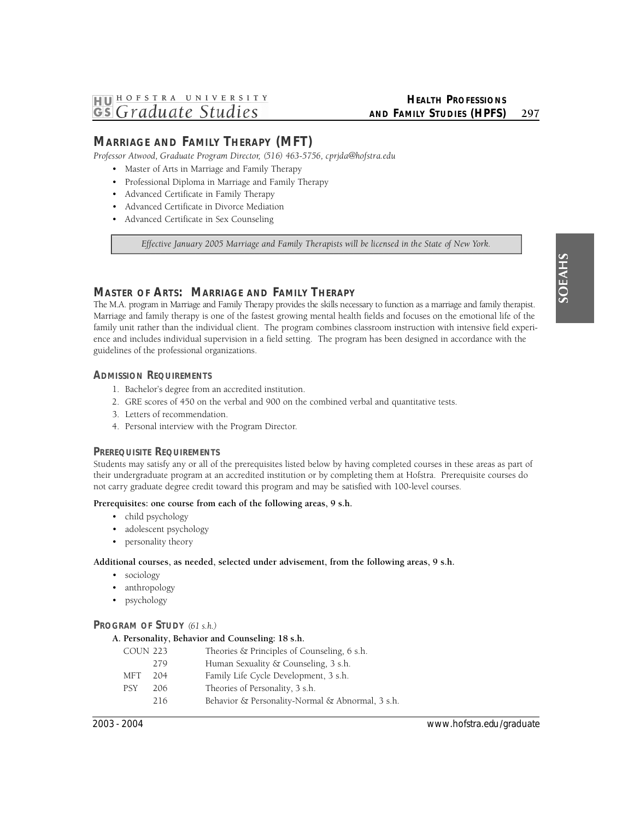# **MARRIAGE AND FAMILY THERAPY (MFT)**

Professor Atwood, Graduate Program Director, (516) 463-5756, cprjda@hofstra.edu

- Master of Arts in Marriage and Family Therapy
- Professional Diploma in Marriage and Family Therapy
- Advanced Certificate in Family Therapy
- Advanced Certificate in Divorce Mediation
- Advanced Certificate in Sex Counseling

Effective January 2005 Marriage and Family Therapists will be licensed in the State of New York.

# **MASTER OF ARTS: MARRIAGE AND FAMILY THERAPY**

The M.A. program in Marriage and Family Therapy provides the skills necessary to function as a marriage and family therapist. Marriage and family therapy is one of the fastest growing mental health fields and focuses on the emotional life of the family unit rather than the individual client. The program combines classroom instruction with intensive field experience and includes individual supervision in a field setting. The program has been designed in accordance with the guidelines of the professional organizations.

# **ADMISSION REQUIREMENTS**

- 1. Bachelor's degree from an accredited institution.
- 2. GRE scores of 450 on the verbal and 900 on the combined verbal and quantitative tests.
- 3. Letters of recommendation.
- 4. Personal interview with the Program Director.

# **PREREQUISITE REQUIREMENTS**

Students may satisfy any or all of the prerequisites listed below by having completed courses in these areas as part of their undergraduate program at an accredited institution or by completing them at Hofstra. Prerequisite courses do not carry graduate degree credit toward this program and may be satisfied with 100-level courses.

# **Prerequisites: one course from each of the following areas, 9 s.h.**

- child psychology
- adolescent psychology
- personality theory

# **Additional courses, as needed, selected under advisement, from the following areas, 9 s.h.**

- sociology
- anthropology
- psychology

# **PROGRAM OF STUDY** *(61 s.h.)*

# **A. Personality, Behavior and Counseling: 18 s.h.**

| <b>COUN 223</b> |     | Theories & Principles of Counseling, 6 s.h.      |
|-----------------|-----|--------------------------------------------------|
|                 | 279 | Human Sexuality & Counseling, 3 s.h.             |
| MFT             | 204 | Family Life Cycle Development, 3 s.h.            |
| <b>PSY</b>      | 206 | Theories of Personality, 3 s.h.                  |
|                 | 216 | Behavior & Personality-Normal & Abnormal, 3 s.h. |
|                 |     |                                                  |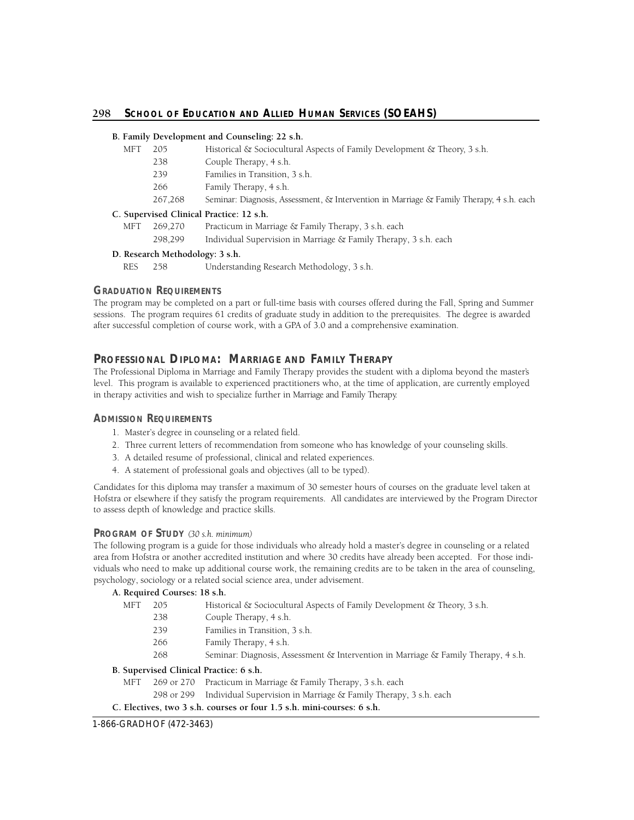# 298 School of Education and Allied Human Services (SOEAHS)

# **B. Family Development and Counseling: 22 s.h.**

- MFT 205 Historical & Sociocultural Aspects of Family Development & Theory, 3 s.h.
	- 238 Couple Therapy, 4 s.h.
	- 239 Families in Transition, 3 s.h.
	- 266 Family Therapy, 4 s.h.
	- 267,268 Seminar: Diagnosis, Assessment, & Intervention in Marriage & Family Therapy, 4 s.h. each

# **C. Supervised Clinical Practice: 12 s.h.**

- MFT 269,270 Practicum in Marriage & Family Therapy, 3 s.h. each
	- 298,299 Individual Supervision in Marriage & Family Therapy, 3 s.h. each

# **D. Research Methodology: 3 s.h.**

RES 258 Understanding Research Methodology, 3 s.h.

# **GRADUATION REQUIREMENTS**

The program may be completed on a part or full-time basis with courses offered during the Fall, Spring and Summer sessions. The program requires 61 credits of graduate study in addition to the prerequisites. The degree is awarded after successful completion of course work, with a GPA of 3.0 and a comprehensive examination.

# **PROFESSIONAL DIPLOMA: MARRIAGE AND FAMILY THERAPY**

The Professional Diploma in Marriage and Family Therapy provides the student with a diploma beyond the master's level. This program is available to experienced practitioners who, at the time of application, are currently employed in therapy activities and wish to specialize further in Marriage and Family Therapy.

# **ADMISSION REQUIREMENTS**

- 1. Master's degree in counseling or a related field.
- 2. Three current letters of recommendation from someone who has knowledge of your counseling skills.
- 3. A detailed resume of professional, clinical and related experiences.
- 4. A statement of professional goals and objectives (all to be typed).

Candidates for this diploma may transfer a maximum of 30 semester hours of courses on the graduate level taken at Hofstra or elsewhere if they satisfy the program requirements. All candidates are interviewed by the Program Director to assess depth of knowledge and practice skills.

# **PROGRAM OF STUDY** *(30 s.h. minimum)*

The following program is a guide for those individuals who already hold a master's degree in counseling or a related area from Hofstra or another accredited institution and where 30 credits have already been accepted. For those individuals who need to make up additional course work, the remaining credits are to be taken in the area of counseling, psychology, sociology or a related social science area, under advisement.

# **A. Required Courses: 18 s.h.**

| MFT                                | 205 | Historical & Sociocultural Aspects of Family Development & Theory, 3 s.h.                    |
|------------------------------------|-----|----------------------------------------------------------------------------------------------|
|                                    | 238 | Couple Therapy, 4 s.h.                                                                       |
|                                    | 239 | Families in Transition, 3 s.h.                                                               |
|                                    | 266 | Family Therapy, 4 s.h.                                                                       |
|                                    | 268 | Seminar: Diagnosis, Assessment & Intervention in Marriage & Family Therapy, $4 \text{ s.h.}$ |
| Cunomicad Clinical Dracticas 6 c h |     |                                                                                              |

# **B. Supervised Clinical Practice: 6 s.h.**

- MFT 269 or 270 Practicum in Marriage & Family Therapy, 3 s.h. each
	- 298 or 299 Individual Supervision in Marriage & Family Therapy, 3 s.h. each

# **C. Electives, two 3 s.h. courses or four 1.5 s.h. mini-courses: 6 s.h.**

1-866-GRADHOF (472-3463)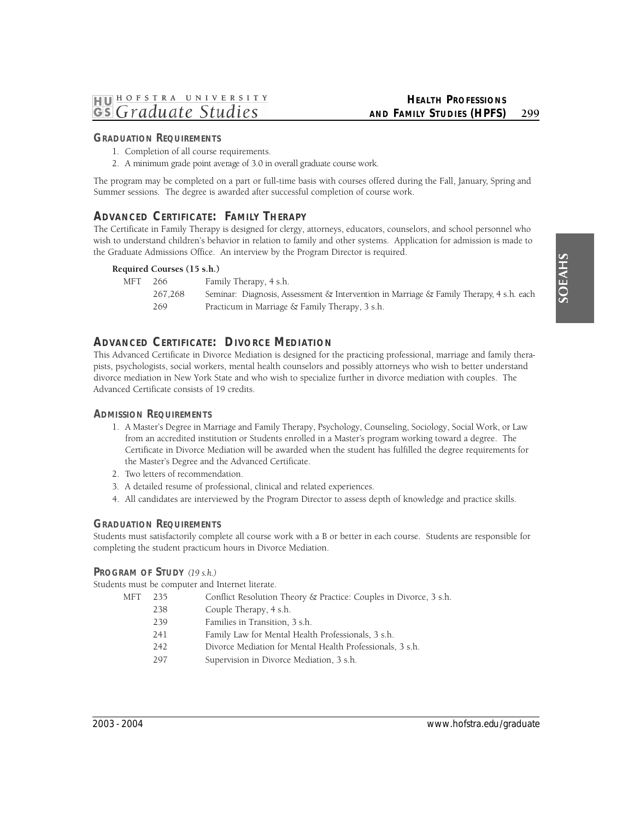# **HEALTH PROFESSIONS AND FAMILY STUDIES (HPFS)** 299

# **GRADUATION REQUIREMENTS**

- 1. Completion of all course requirements.
- 2. A minimum grade point average of 3.0 in overall graduate course work.

The program may be completed on a part or full-time basis with courses offered during the Fall, January, Spring and Summer sessions. The degree is awarded after successful completion of course work.

# **A**DVANCED CERTIFICATE: FAMILY THERAPY

The Certificate in Family Therapy is designed for clergy, attorneys, educators, counselors, and school personnel who wish to understand children's behavior in relation to family and other systems. Application for admission is made to the Graduate Admissions Office. An interview by the Program Director is required.

# **Required Courses (15 s.h.)**

| MFT | 266     | Family Therapy, 4 s.h.                                                                  |
|-----|---------|-----------------------------------------------------------------------------------------|
|     | 267.268 | Seminar: Diagnosis, Assessment & Intervention in Marriage & Family Therapy, 4 s.h. each |
|     | 269     | Practicum in Marriage & Family Therapy, 3 s.h.                                          |

# **A**DVANCED CERTIFICATE: DIVORCE MEDIATION

This Advanced Certificate in Divorce Mediation is designed for the practicing professional, marriage and family therapists, psychologists, social workers, mental health counselors and possibly attorneys who wish to better understand divorce mediation in New York State and who wish to specialize further in divorce mediation with couples. The Advanced Certificate consists of 19 credits.

# **ADMISSION REQUIREMENTS**

- 1. A Master's Degree in Marriage and Family Therapy, Psychology, Counseling, Sociology, Social Work, or Law from an accredited institution or Students enrolled in a Master's program working toward a degree. The Certificate in Divorce Mediation will be awarded when the student has fulfilled the degree requirements for the Master's Degree and the Advanced Certificate.
- 2. Two letters of recommendation.
- 3. A detailed resume of professional, clinical and related experiences.
- 4. All candidates are interviewed by the Program Director to assess depth of knowledge and practice skills.

# **GRADUATION REQUIREMENTS**

Students must satisfactorily complete all course work with a B or better in each course. Students are responsible for completing the student practicum hours in Divorce Mediation.

# **PROGRAM OF STUDY** *(19 s.h.)*

Students must be computer and Internet literate.

- MFT 235 Conflict Resolution Theory & Practice: Couples in Divorce, 3 s.h.
	- 238 Couple Therapy, 4 s.h.
	- 239 Families in Transition, 3 s.h.
	- 241 Family Law for Mental Health Professionals, 3 s.h.
	- 242 Divorce Mediation for Mental Health Professionals, 3 s.h.
	- 297 Supervision in Divorce Mediation, 3 s.h.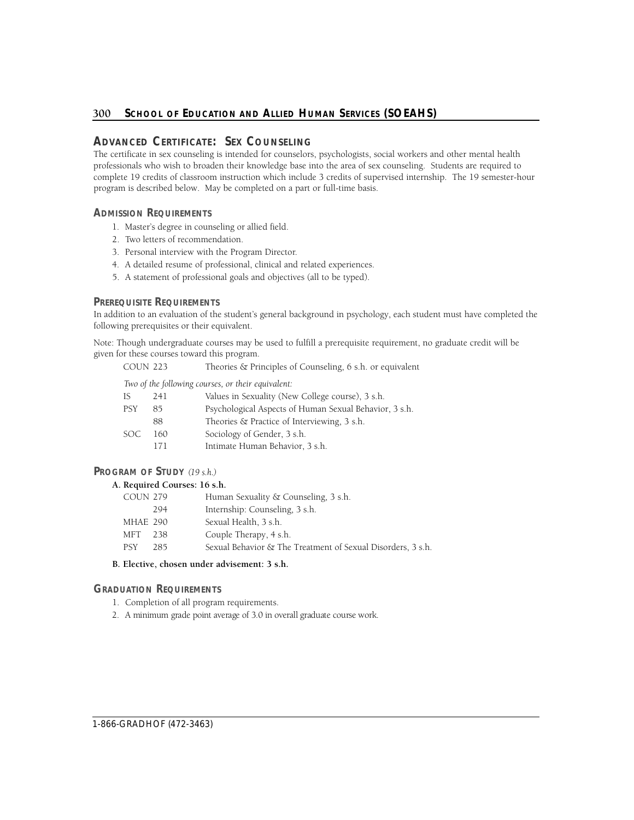# **ADVANCED CERTIFICATE: SEX COUNSELING**

The certificate in sex counseling is intended for counselors, psychologists, social workers and other mental health professionals who wish to broaden their knowledge base into the area of sex counseling. Students are required to complete 19 credits of classroom instruction which include 3 credits of supervised internship. The 19 semester-hour program is described below. May be completed on a part or full-time basis.

# **ADMISSION REQUIREMENTS**

- 1. Master's degree in counseling or allied field.
- 2. Two letters of recommendation.
- 3. Personal interview with the Program Director.
- 4. A detailed resume of professional, clinical and related experiences.
- 5. A statement of professional goals and objectives (all to be typed).

# **PREREQUISITE REQUIREMENTS**

In addition to an evaluation of the student's general background in psychology, each student must have completed the following prerequisites or their equivalent.

Note: Though undergraduate courses may be used to fulfill a prerequisite requirement, no graduate credit will be given for these courses toward this program.

COUN 223 Theories & Principles of Counseling, 6 s.h. or equivalent

*Two of the following courses, or their equivalent:* 

| ΙS  | 241  | Values in Sexuality (New College course), 3 s.h.       |
|-----|------|--------------------------------------------------------|
| PSY | 85   | Psychological Aspects of Human Sexual Behavior, 3 s.h. |
|     | 88   | Theories & Practice of Interviewing, 3 s.h.            |
| SOC | 160. | Sociology of Gender, 3 s.h.                            |
|     | 171  | Intimate Human Behavior, 3 s.h.                        |
|     |      |                                                        |

# **PROGRAM OF STUDY** *(19 s.h.)*

# **A. Required Courses: 16 s.h.**

| <b>COUN 279</b> |      | Human Sexuality & Counseling, 3 s.h.                        |
|-----------------|------|-------------------------------------------------------------|
|                 | 294  | Internship: Counseling, 3 s.h.                              |
| MHAE 290        |      | Sexual Health, 3 s.h.                                       |
| MFT             | -238 | Couple Therapy, 4 s.h.                                      |
| <b>PSY</b>      | 285. | Sexual Behavior & The Treatment of Sexual Disorders, 3 s.h. |
|                 |      |                                                             |

# **B. Elective, chosen under advisement: 3 s.h.**

# **GRADUATION REQUIREMENTS**

- 1. Completion of all program requirements.
- 2. A minimum grade point average of 3.0 in overall graduate course work.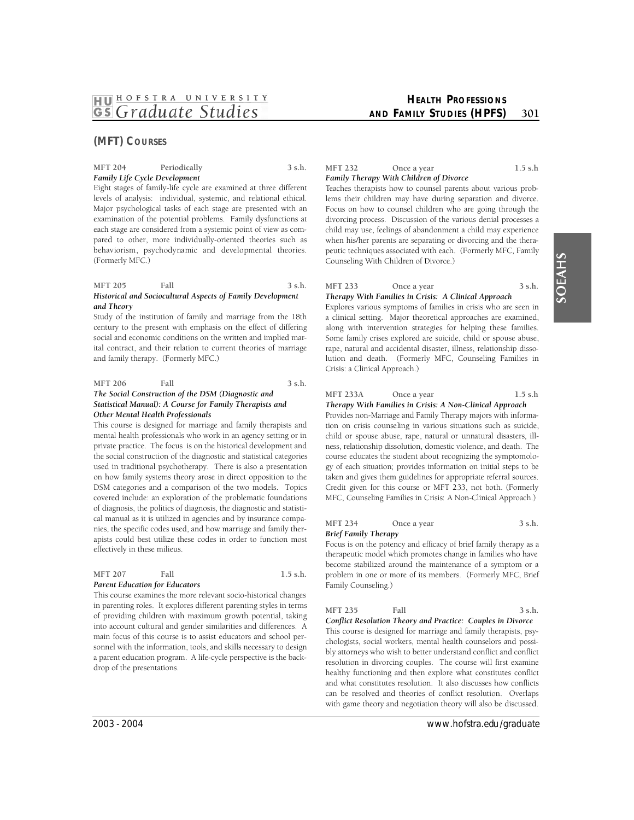# **(MFT) COURSES**

# **MFT 204 Periodically 3 s.h.**  *Family Life Cycle Development*

 behaviorism, psychodynamic and developmental theories. Eight stages of family-life cycle are examined at three different levels of analysis: individual, systemic, and relational ethical. Major psychological tasks of each stage are presented with an examination of the potential problems. Family dysfunctions at each stage are considered from a systemic point of view as compared to other, more individually-oriented theories such as (Formerly MFC.)

#### **MFT 205 Fall 3 s.h.**  *Historical and Sociocultural Aspects of Family Development and Theory*

Study of the institution of family and marriage from the 18th century to the present with emphasis on the effect of differing social and economic conditions on the written and implied marital contract, and their relation to current theories of marriage and family therapy. (Formerly MFC.)

#### **MFT 206 Fall 3 s.h.**  *The Social Construction of the DSM (Diagnostic and Statistical Manual): A Course for Family Therapists and Other Mental Health Professionals*

This course is designed for marriage and family therapists and mental health professionals who work in an agency setting or in private practice. The focus is on the historical development and the social construction of the diagnostic and statistical categories used in traditional psychotherapy. There is also a presentation on how family systems theory arose in direct opposition to the DSM categories and a comparison of the two models. Topics covered include: an exploration of the problematic foundations of diagnosis, the politics of diagnosis, the diagnostic and statistical manual as it is utilized in agencies and by insurance companies, the specific codes used, and how marriage and family therapists could best utilize these codes in order to function most effectively in these milieus.

| Fall<br><b>MFT 207</b><br>$1.5$ s.h. |  |
|--------------------------------------|--|
|--------------------------------------|--|

# *Parent Education for Educators*

This course examines the more relevant socio-historical changes in parenting roles. It explores different parenting styles in terms of providing children with maximum growth potential, taking into account cultural and gender similarities and differences. A main focus of this course is to assist educators and school personnel with the information, tools, and skills necessary to design a parent education program. A life-cycle perspective is the backdrop of the presentations.

# **HEALTH PROFESSIONS AND FAMILY STUDIES (HPFS)** 301

#### **MFT 232** Once a year 1.5 s.h *Family Therapy With Children of Divorce*

Teaches therapists how to counsel parents about various problems their children may have during separation and divorce. Focus on how to counsel children who are going through the divorcing process. Discussion of the various denial processes a child may use, feelings of abandonment a child may experience when his/her parents are separating or divorcing and the therapeutic techniques associated with each. (Formerly MFC, Family Counseling With Children of Divorce.)

# MFT 233 Once a year 3 s.h. *Therapy With Families in Crisis: A Clinical Approach*

Explores various symptoms of families in crisis who are seen in a clinical setting. Major theoretical approaches are examined, along with intervention strategies for helping these families. Some family crises explored are suicide, child or spouse abuse, rape, natural and accidental disaster, illness, relationship dissolution and death. (Formerly MFC, Counseling Families in Crisis: a Clinical Approach.)

# **MFT 233A Once a year 1.5 s.h**

 tion on crisis counseling in various situations such as suicide, course educates the student about recognizing the symptomolo-Credit given for this course or MFT 233, not both. (Formerly MFC, Counseling Families in Crisis: A Non-Clinical Approach.) *Therapy With Families in Crisis: A Non-Clinical Approach*  Provides non-Marriage and Family Therapy majors with informachild or spouse abuse, rape, natural or unnatural disasters, illness, relationship dissolution, domestic violence, and death. The gy of each situation; provides information on initial steps to be taken and gives them guidelines for appropriate referral sources.

# MFT 234 Once a year 3 s.h.

*Brief Family Therapy* 

Focus is on the potency and efficacy of brief family therapy as a therapeutic model which promotes change in families who have become stabilized around the maintenance of a symptom or a problem in one or more of its members. (Formerly MFC, Brief Family Counseling.)

# **MFT 235 Fall 3 s.h.**

*Conflict Resolution Theory and Practice: Couples in Divorce*  This course is designed for marriage and family therapists, psychologists, social workers, mental health counselors and possibly attorneys who wish to better understand conflict and conflict resolution in divorcing couples. The course will first examine healthy functioning and then explore what constitutes conflict and what constitutes resolution. It also discusses how conflicts can be resolved and theories of conflict resolution. Overlaps with game theory and negotiation theory will also be discussed.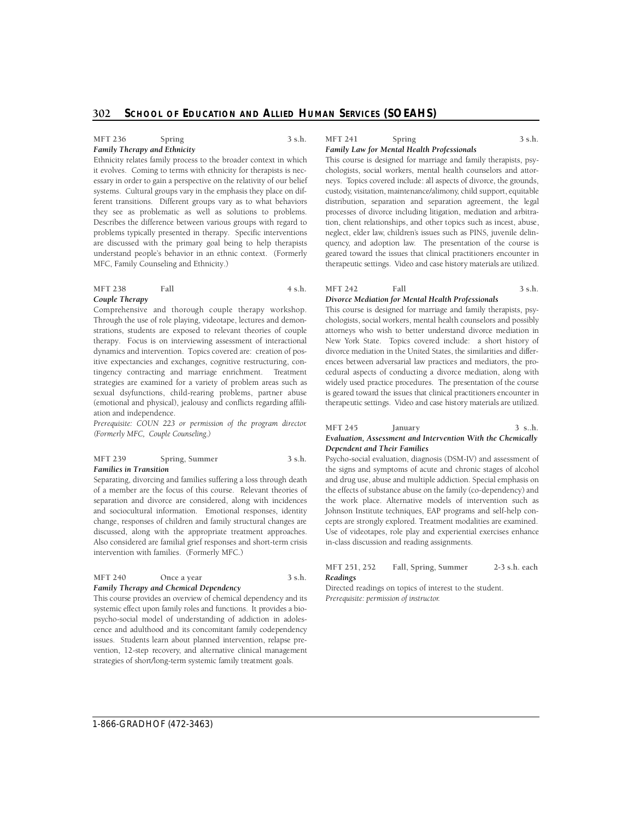#### **MFT 236 Spring 3 s.h.**  *Family Therapy and Ethnicity*

Ethnicity relates family process to the broader context in which it evolves. Coming to terms with ethnicity for therapists is necessary in order to gain a perspective on the relativity of our belief systems. Cultural groups vary in the emphasis they place on different transitions. Different groups vary as to what behaviors they see as problematic as well as solutions to problems. Describes the difference between various groups with regard to problems typically presented in therapy. Specific interventions are discussed with the primary goal being to help therapists understand people's behavior in an ethnic context. (Formerly MFC, Family Counseling and Ethnicity.)

#### **MFT 238** Fall 4 s.h. *Couple Therapy*

Comprehensive and thorough couple therapy workshop. sexual dsyfunctions, child-rearing problems, partner abuse Through the use of role playing, videotape, lectures and demonstrations, students are exposed to relevant theories of couple therapy. Focus is on interviewing assessment of interactional dynamics and intervention. Topics covered are: creation of positive expectancies and exchanges, cognitive restructuring, contingency contracting and marriage enrichment. Treatment strategies are examined for a variety of problem areas such as (emotional and physical), jealousy and conflicts regarding affiliation and independence.

*Prerequisite: COUN 223 or permission of the program director. (Formerly MFC, Couple Counseling.)* 

#### MFT 239 Spring, Summer 3 s.h. *Families in Transition*

Separating, divorcing and families suffering a loss through death of a member are the focus of this course. Relevant theories of separation and divorce are considered, along with incidences and sociocultural information. Emotional responses, identity change, responses of children and family structural changes are discussed, along with the appropriate treatment approaches. Also considered are familial grief responses and short-term crisis intervention with families. (Formerly MFC.)

#### MFT 240 Once a year 3 s.h. *Family Therapy and Chemical Dependency*

# systemic effect upon family roles and functions. It provides a bio- psycho-social model of understanding of addiction in adoles- issues. Students learn about planned intervention, relapse pre-This course provides an overview of chemical dependency and its cence and adulthood and its concomitant family codependency vention, 12-step recovery, and alternative clinical management

strategies of short/long-term systemic family treatment goals.

# **MFT 241 Spring 3 s.h.**

# *Family Law for Mental Health Professionals*

 chologists, social workers, mental health counselors and attor- distribution, separation and separation agreement, the legal tion, client relationships, and other topics such as incest, abuse, neglect, elder law, children's issues such as PINS, juvenile delinquency, and adoption law. The presentation of the course is geared toward the issues that clinical practitioners encounter in therapeutic settings. Video and case history materials are utilized. This course is designed for marriage and family therapists, psyneys. Topics covered include: all aspects of divorce, the grounds, custody, visitation, maintenance/alimony, child support, equitable p rocesses of divorce including litigation, mediation and arbitra-

#### **MFT 242 Fall 3 s.h.**  *Divorce Mediation for Mental Health Professionals*

 This course is designed for marriage and family therapists, psy- New York State. Topics covered include: a short history of ences between adversarial law practices and mediators, the pro- cedural aspects of conducting a divorce mediation, along with is geared toward the issues that clinical practitioners encounter in therapeutic settings. Video and case history materials are utilized. chologists, social workers, mental health counselors and possibly attorneys who wish to better understand divorce mediation in divorce mediation in the United States, the similarities and differwidely used practice procedures. The presentation of the course

#### **MFT 245 January 3 s..h.**  *Evaluation, Assessment and Intervention With the Chemically Dependent and Their Families*

Psycho-social evaluation, diagnosis (DSM-IV) and assessment of the signs and symptoms of acute and chronic stages of alcohol and drug use, abuse and multiple addiction. Special emphasis on the effects of substance abuse on the family (co-dependency) and the work place. Alternative models of intervention such as Johnson Institute techniques, EAP programs and self-help concepts are strongly explored. Treatment modalities are examined. Use of videotapes, role play and experiential exercises enhance in-class discussion and reading assignments.

# **MFT 251, 252 Fall, Spring, Summer 2-3 s.h. each**  *Readings*

Directed readings on topics of interest to the student. *Prerequisite: permission of instructor.*